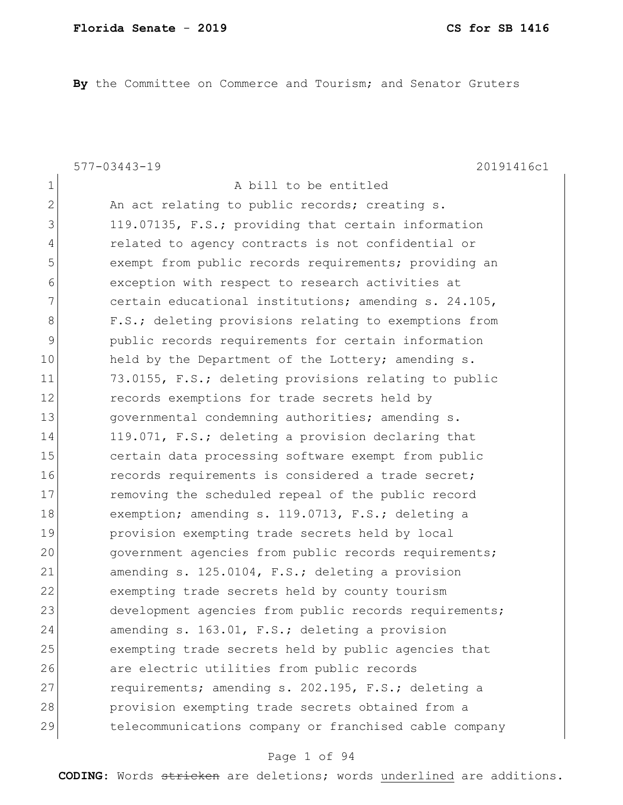**By** the Committee on Commerce and Tourism; and Senator Gruters

577-03443-19 20191416c1 1 a bill to be entitled 2 An act relating to public records; creating s. 3 119.07135, F.S.; providing that certain information 4 related to agency contracts is not confidential or 5 5 exempt from public records requirements; providing an 6 exception with respect to research activities at 7 certain educational institutions; amending s. 24.105, 8 F.S.; deleting provisions relating to exemptions from 9 public records requirements for certain information 10 held by the Department of the Lottery; amending s. 11 73.0155, F.S.; deleting provisions relating to public 12 records exemptions for trade secrets held by 13 governmental condemning authorities; amending s. 14 119.071, F.S.; deleting a provision declaring that 15 certain data processing software exempt from public 16 records requirements is considered a trade secret; 17 removing the scheduled repeal of the public record 18 exemption; amending s. 119.0713, F.S.; deleting a 19 provision exempting trade secrets held by local 20 government agencies from public records requirements; 21 amending s. 125.0104, F.S.; deleting a provision 22 exempting trade secrets held by county tourism 23 development agencies from public records requirements; 24 amending s. 163.01, F.S.; deleting a provision 25 exempting trade secrets held by public agencies that 26 are electric utilities from public records 27 requirements; amending s. 202.195, F.S.; deleting a 28 provision exempting trade secrets obtained from a 29 telecommunications company or franchised cable company

#### Page 1 of 94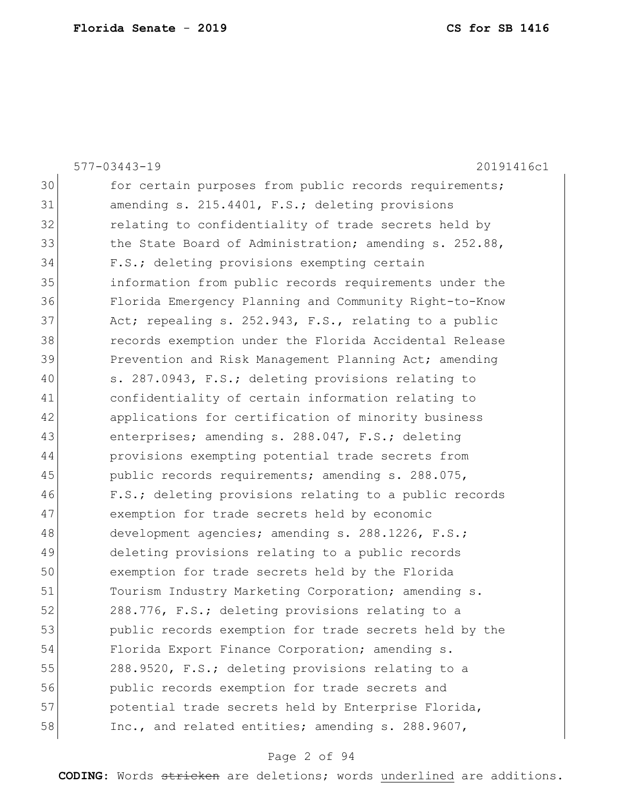|    | $577 - 03443 - 19$<br>20191416c1                       |
|----|--------------------------------------------------------|
| 30 | for certain purposes from public records requirements; |
| 31 | amending s. 215.4401, F.S.; deleting provisions        |
| 32 | relating to confidentiality of trade secrets held by   |
| 33 | the State Board of Administration; amending s. 252.88, |
| 34 | F.S.; deleting provisions exempting certain            |
| 35 | information from public records requirements under the |
| 36 | Florida Emergency Planning and Community Right-to-Know |
| 37 | Act; repealing s. 252.943, F.S., relating to a public  |
| 38 | records exemption under the Florida Accidental Release |
| 39 | Prevention and Risk Management Planning Act; amending  |
| 40 | s. 287.0943, F.S.; deleting provisions relating to     |
| 41 | confidentiality of certain information relating to     |
| 42 | applications for certification of minority business    |
| 43 | enterprises; amending s. 288.047, F.S.; deleting       |
| 44 | provisions exempting potential trade secrets from      |
| 45 | public records requirements; amending s. 288.075,      |
| 46 | F.S.; deleting provisions relating to a public records |
| 47 | exemption for trade secrets held by economic           |
| 48 | development agencies; amending s. 288.1226, F.S.;      |
| 49 | deleting provisions relating to a public records       |
| 50 | exemption for trade secrets held by the Florida        |
| 51 | Tourism Industry Marketing Corporation; amending s.    |
| 52 | 288.776, F.S.; deleting provisions relating to a       |
| 53 | public records exemption for trade secrets held by the |
| 54 | Florida Export Finance Corporation; amending s.        |
| 55 | 288.9520, F.S.; deleting provisions relating to a      |
| 56 | public records exemption for trade secrets and         |
| 57 | potential trade secrets held by Enterprise Florida,    |
| 58 | Inc., and related entities; amending s. 288.9607,      |
|    |                                                        |

# Page 2 of 94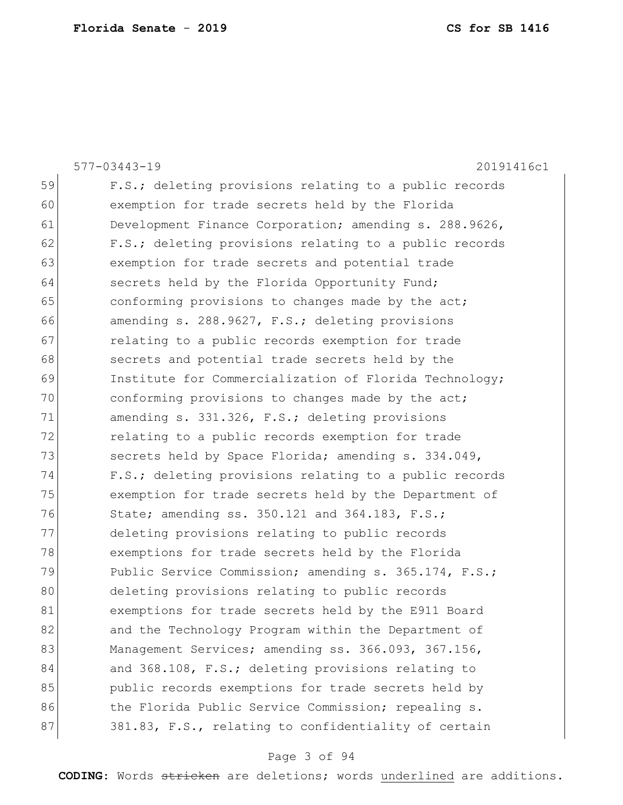|    | $577 - 03443 - 19$<br>20191416c1                       |
|----|--------------------------------------------------------|
| 59 | F.S.; deleting provisions relating to a public records |
| 60 | exemption for trade secrets held by the Florida        |
| 61 | Development Finance Corporation; amending s. 288.9626, |
| 62 | F.S.; deleting provisions relating to a public records |
| 63 | exemption for trade secrets and potential trade        |
| 64 | secrets held by the Florida Opportunity Fund;          |
| 65 | conforming provisions to changes made by the act;      |
| 66 | amending s. 288.9627, F.S.; deleting provisions        |
| 67 | relating to a public records exemption for trade       |
| 68 | secrets and potential trade secrets held by the        |
| 69 | Institute for Commercialization of Florida Technology; |
| 70 | conforming provisions to changes made by the act;      |
| 71 | amending s. 331.326, F.S.; deleting provisions         |
| 72 | relating to a public records exemption for trade       |
| 73 | secrets held by Space Florida; amending s. 334.049,    |
| 74 | F.S.; deleting provisions relating to a public records |
| 75 | exemption for trade secrets held by the Department of  |
| 76 | State; amending ss. 350.121 and 364.183, F.S.;         |
| 77 | deleting provisions relating to public records         |
| 78 | exemptions for trade secrets held by the Florida       |
| 79 | Public Service Commission; amending s. 365.174, F.S.;  |
| 80 | deleting provisions relating to public records         |
| 81 | exemptions for trade secrets held by the E911 Board    |
| 82 | and the Technology Program within the Department of    |
| 83 | Management Services; amending ss. 366.093, 367.156,    |
| 84 | and 368.108, F.S.; deleting provisions relating to     |
| 85 | public records exemptions for trade secrets held by    |
| 86 | the Florida Public Service Commission; repealing s.    |
| 87 | 381.83, F.S., relating to confidentiality of certain   |
|    |                                                        |

# Page 3 of 94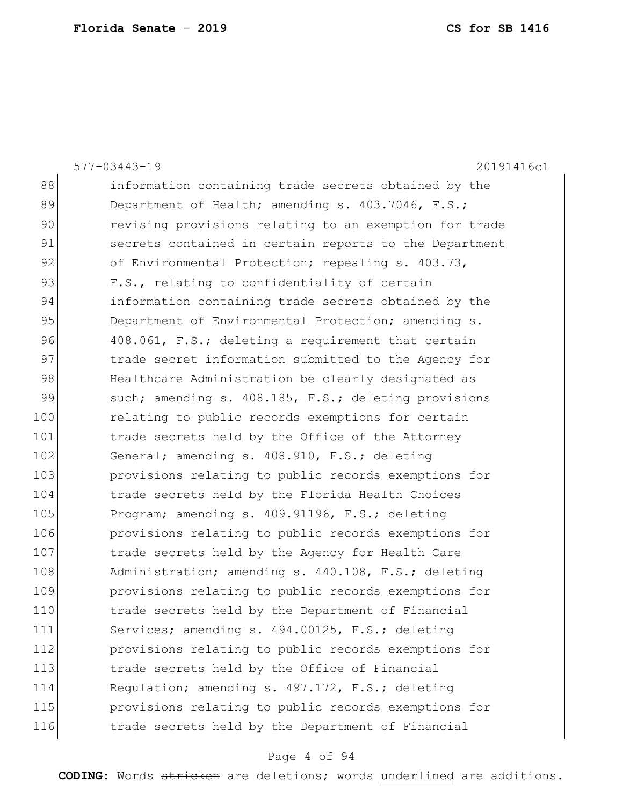|     | 20191416c1<br>$577 - 03443 - 19$                       |
|-----|--------------------------------------------------------|
| 88  | information containing trade secrets obtained by the   |
| 89  | Department of Health; amending s. 403.7046, F.S.;      |
| 90  | revising provisions relating to an exemption for trade |
| 91  | secrets contained in certain reports to the Department |
| 92  | of Environmental Protection; repealing s. 403.73,      |
| 93  | F.S., relating to confidentiality of certain           |
| 94  | information containing trade secrets obtained by the   |
| 95  | Department of Environmental Protection; amending s.    |
| 96  | 408.061, F.S.; deleting a requirement that certain     |
| 97  | trade secret information submitted to the Agency for   |
| 98  | Healthcare Administration be clearly designated as     |
| 99  | such; amending s. 408.185, F.S.; deleting provisions   |
| 100 | relating to public records exemptions for certain      |
| 101 | trade secrets held by the Office of the Attorney       |
| 102 | General; amending s. 408.910, F.S.; deleting           |
| 103 | provisions relating to public records exemptions for   |
| 104 | trade secrets held by the Florida Health Choices       |
| 105 | Program; amending s. 409.91196, F.S.; deleting         |
| 106 | provisions relating to public records exemptions for   |
| 107 | trade secrets held by the Agency for Health Care       |
| 108 | Administration; amending s. 440.108, F.S.; deleting    |
| 109 | provisions relating to public records exemptions for   |
| 110 | trade secrets held by the Department of Financial      |
| 111 | Services; amending s. 494.00125, F.S.; deleting        |
| 112 | provisions relating to public records exemptions for   |
| 113 | trade secrets held by the Office of Financial          |
| 114 | Regulation; amending s. 497.172, F.S.; deleting        |
| 115 | provisions relating to public records exemptions for   |
| 116 | trade secrets held by the Department of Financial      |
|     |                                                        |

# Page 4 of 94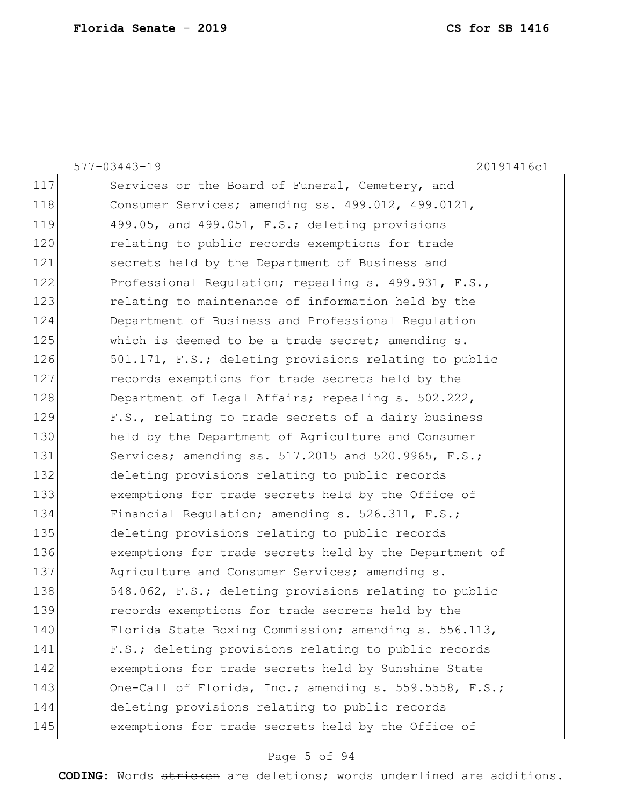|     | 577-03443-19<br>20191416c1                                 |
|-----|------------------------------------------------------------|
| 117 | Services or the Board of Funeral, Cemetery, and            |
| 118 | Consumer Services; amending ss. 499.012, 499.0121,         |
| 119 | 499.05, and 499.051, F.S.; deleting provisions             |
| 120 | relating to public records exemptions for trade            |
| 121 | secrets held by the Department of Business and             |
| 122 | Professional Regulation; repealing s. 499.931, F.S.,       |
| 123 | relating to maintenance of information held by the         |
| 124 | Department of Business and Professional Regulation         |
| 125 | which is deemed to be a trade secret; amending s.          |
| 126 | 501.171, F.S.; deleting provisions relating to public      |
| 127 | records exemptions for trade secrets held by the           |
| 128 | Department of Legal Affairs; repealing s. 502.222,         |
| 129 | F.S., relating to trade secrets of a dairy business        |
| 130 | held by the Department of Agriculture and Consumer         |
| 131 | Services; amending ss. $517.2015$ and $520.9965$ , $F.S.;$ |
| 132 | deleting provisions relating to public records             |
| 133 | exemptions for trade secrets held by the Office of         |
| 134 | Financial Regulation; amending s. 526.311, F.S.;           |
| 135 | deleting provisions relating to public records             |
| 136 | exemptions for trade secrets held by the Department of     |
| 137 | Agriculture and Consumer Services; amending s.             |
| 138 | 548.062, F.S.; deleting provisions relating to public      |
| 139 | records exemptions for trade secrets held by the           |
| 140 | Florida State Boxing Commission; amending s. 556.113,      |
| 141 | F.S.; deleting provisions relating to public records       |
| 142 | exemptions for trade secrets held by Sunshine State        |
| 143 | One-Call of Florida, Inc.; amending s. 559.5558, F.S.;     |
| 144 | deleting provisions relating to public records             |
| 145 | exemptions for trade secrets held by the Office of         |
|     |                                                            |

# Page 5 of 94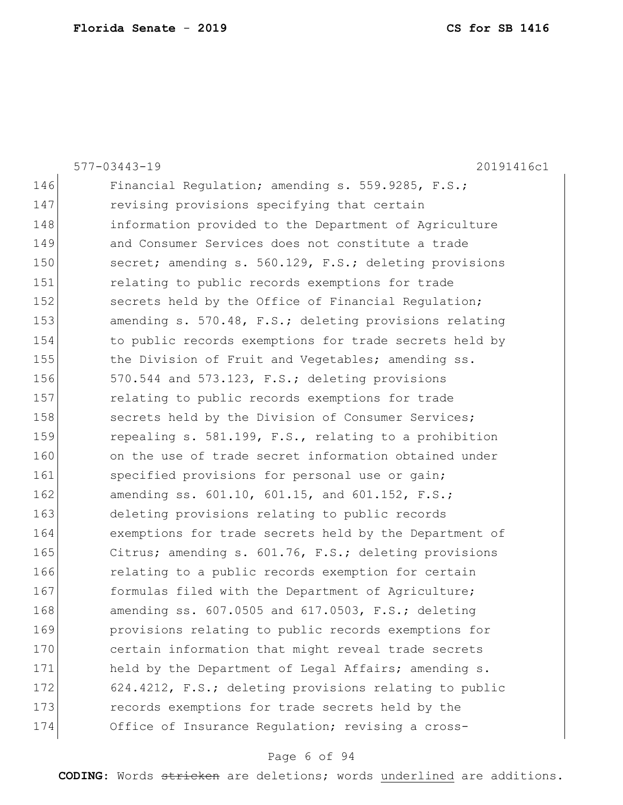|     | 577-03443-19<br>20191416c1                              |
|-----|---------------------------------------------------------|
| 146 | Financial Requlation; amending s. 559.9285, F.S.;       |
| 147 | revising provisions specifying that certain             |
| 148 | information provided to the Department of Agriculture   |
| 149 | and Consumer Services does not constitute a trade       |
| 150 | secret; amending s. 560.129, F.S.; deleting provisions  |
| 151 | relating to public records exemptions for trade         |
| 152 | secrets held by the Office of Financial Regulation;     |
| 153 | amending s. 570.48, F.S.; deleting provisions relating  |
| 154 | to public records exemptions for trade secrets held by  |
| 155 | the Division of Fruit and Vegetables; amending ss.      |
| 156 | 570.544 and 573.123, F.S.; deleting provisions          |
| 157 | relating to public records exemptions for trade         |
| 158 | secrets held by the Division of Consumer Services;      |
| 159 | repealing s. 581.199, F.S., relating to a prohibition   |
| 160 | on the use of trade secret information obtained under   |
| 161 | specified provisions for personal use or gain;          |
| 162 | amending ss. 601.10, 601.15, and 601.152, F.S.;         |
| 163 | deleting provisions relating to public records          |
| 164 | exemptions for trade secrets held by the Department of  |
| 165 | Citrus; amending s. 601.76, F.S.; deleting provisions   |
| 166 | relating to a public records exemption for certain      |
| 167 | formulas filed with the Department of Agriculture;      |
| 168 | amending ss. $607.0505$ and $617.0503$ , F.S.; deleting |
| 169 | provisions relating to public records exemptions for    |
| 170 | certain information that might reveal trade secrets     |
| 171 | held by the Department of Legal Affairs; amending s.    |
| 172 | 624.4212, F.S.; deleting provisions relating to public  |
| 173 | records exemptions for trade secrets held by the        |
| 174 | Office of Insurance Regulation; revising a cross-       |
|     |                                                         |

# Page 6 of 94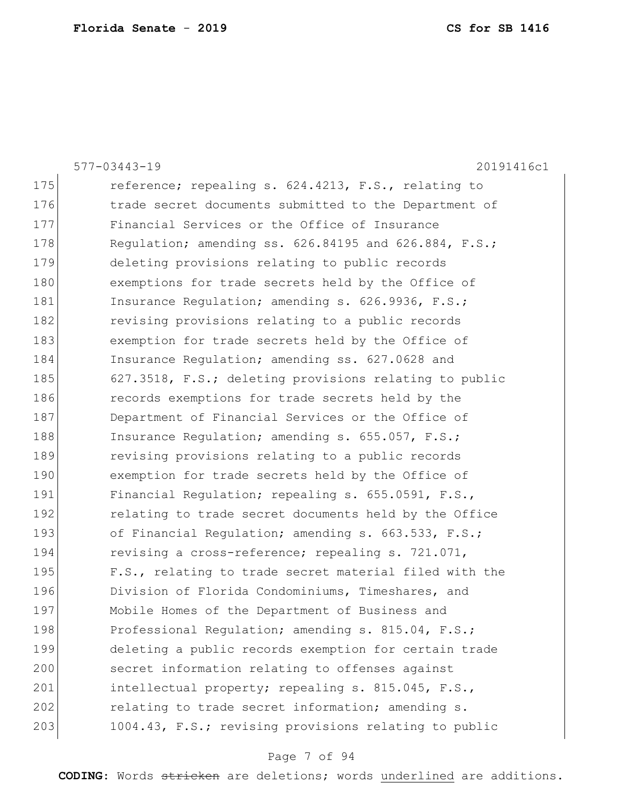| 577-03443-19<br>20191416c1                             |
|--------------------------------------------------------|
| reference; repealing s. 624.4213, F.S., relating to    |
| trade secret documents submitted to the Department of  |
| Financial Services or the Office of Insurance          |
| Regulation; amending ss. 626.84195 and 626.884, F.S.;  |
| deleting provisions relating to public records         |
| exemptions for trade secrets held by the Office of     |
| Insurance Regulation; amending s. 626.9936, F.S.;      |
| revising provisions relating to a public records       |
| exemption for trade secrets held by the Office of      |
| Insurance Regulation; amending ss. 627.0628 and        |
| 627.3518, F.S.; deleting provisions relating to public |
| records exemptions for trade secrets held by the       |
| Department of Financial Services or the Office of      |
| Insurance Regulation; amending s. 655.057, F.S.;       |
| revising provisions relating to a public records       |
| exemption for trade secrets held by the Office of      |
| Financial Regulation; repealing s. 655.0591, F.S.,     |
| relating to trade secret documents held by the Office  |
| of Financial Regulation; amending s. 663.533, F.S.;    |
| revising a cross-reference; repealing s. 721.071,      |
| F.S., relating to trade secret material filed with the |
| Division of Florida Condominiums, Timeshares, and      |
| Mobile Homes of the Department of Business and         |
| Professional Regulation; amending s. 815.04, F.S.;     |
| deleting a public records exemption for certain trade  |
| secret information relating to offenses against        |
| intellectual property; repealing s. 815.045, F.S.,     |
| relating to trade secret information; amending s.      |
| 1004.43, F.S.; revising provisions relating to public  |
|                                                        |

# Page 7 of 94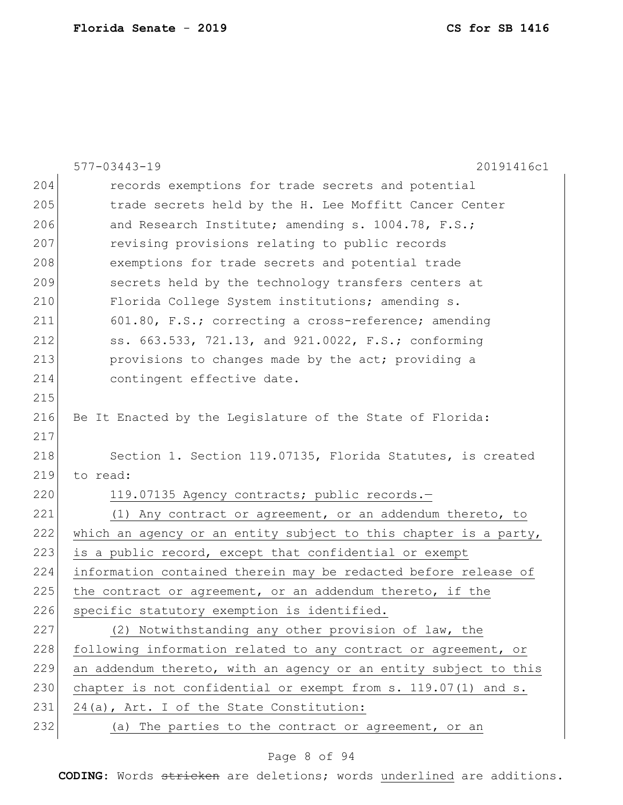|     | $577 - 03443 - 19$<br>20191416c1                                 |
|-----|------------------------------------------------------------------|
| 204 | records exemptions for trade secrets and potential               |
| 205 | trade secrets held by the H. Lee Moffitt Cancer Center           |
| 206 | and Research Institute; amending s. 1004.78, F.S.;               |
| 207 | revising provisions relating to public records                   |
| 208 | exemptions for trade secrets and potential trade                 |
| 209 | secrets held by the technology transfers centers at              |
| 210 | Florida College System institutions; amending s.                 |
| 211 | 601.80, F.S.; correcting a cross-reference; amending             |
| 212 | ss. 663.533, 721.13, and 921.0022, F.S.; conforming              |
| 213 | provisions to changes made by the act; providing a               |
| 214 | contingent effective date.                                       |
| 215 |                                                                  |
| 216 | Be It Enacted by the Legislature of the State of Florida:        |
| 217 |                                                                  |
| 218 | Section 1. Section 119.07135, Florida Statutes, is created       |
| 219 | to read:                                                         |
| 220 | 119.07135 Agency contracts; public records.-                     |
| 221 | (1) Any contract or agreement, or an addendum thereto, to        |
| 222 | which an agency or an entity subject to this chapter is a party, |
| 223 | is a public record, except that confidential or exempt           |
| 224 | information contained therein may be redacted before release of  |
| 225 | the contract or agreement, or an addendum thereto, if the        |
| 226 | specific statutory exemption is identified.                      |
| 227 | (2) Notwithstanding any other provision of law, the              |
| 228 | following information related to any contract or agreement, or   |
| 229 | an addendum thereto, with an agency or an entity subject to this |
| 230 | chapter is not confidential or exempt from s. 119.07(1) and s.   |
| 231 | 24(a), Art. I of the State Constitution:                         |
| 232 | (a) The parties to the contract or agreement, or an              |

# Page 8 of 94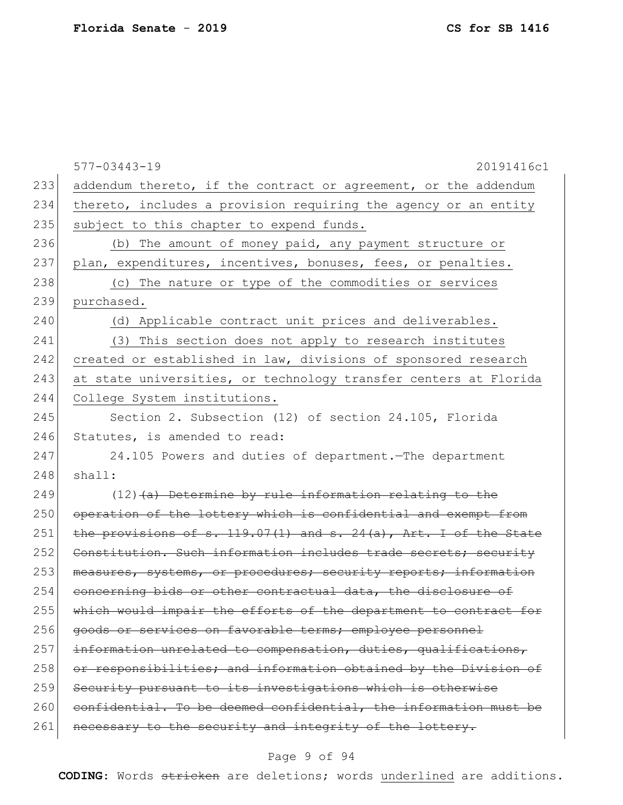|     | 577-03443-19<br>20191416c1                                            |
|-----|-----------------------------------------------------------------------|
| 233 | addendum thereto, if the contract or agreement, or the addendum       |
| 234 | thereto, includes a provision requiring the agency or an entity       |
| 235 | subject to this chapter to expend funds.                              |
| 236 | (b) The amount of money paid, any payment structure or                |
| 237 | plan, expenditures, incentives, bonuses, fees, or penalties.          |
| 238 | (c) The nature or type of the commodities or services                 |
| 239 | purchased.                                                            |
| 240 | (d) Applicable contract unit prices and deliverables.                 |
| 241 | (3) This section does not apply to research institutes                |
| 242 | created or established in law, divisions of sponsored research        |
| 243 | at state universities, or technology transfer centers at Florida      |
| 244 | College System institutions.                                          |
| 245 | Section 2. Subsection (12) of section 24.105, Florida                 |
| 246 | Statutes, is amended to read:                                         |
| 247 | 24.105 Powers and duties of department. The department                |
| 248 | shall:                                                                |
| 249 | $(12)$ (a) Determine by rule information relating to the              |
| 250 | operation of the lottery which is confidential and exempt from        |
| 251 | the provisions of s. $119.07(1)$ and s. $24(a)$ , Art. I of the State |
| 252 | Constitution. Such information includes trade secrets; security       |
| 253 | measures, systems, or procedures; security reports; information       |
| 254 | concerning bids or other contractual data, the disclosure of          |
| 255 | which would impair the efforts of the department to contract for      |
| 256 | goods or services on favorable terms; employee personnel              |
| 257 | information unrelated to compensation, duties, qualifications,        |
| 258 | or responsibilities; and information obtained by the Division of      |
| 259 | Security pursuant to its investigations which is otherwise            |
| 260 | confidential. To be deemed confidential, the information must be      |
| 261 | necessary to the security and integrity of the lottery.               |

# Page 9 of 94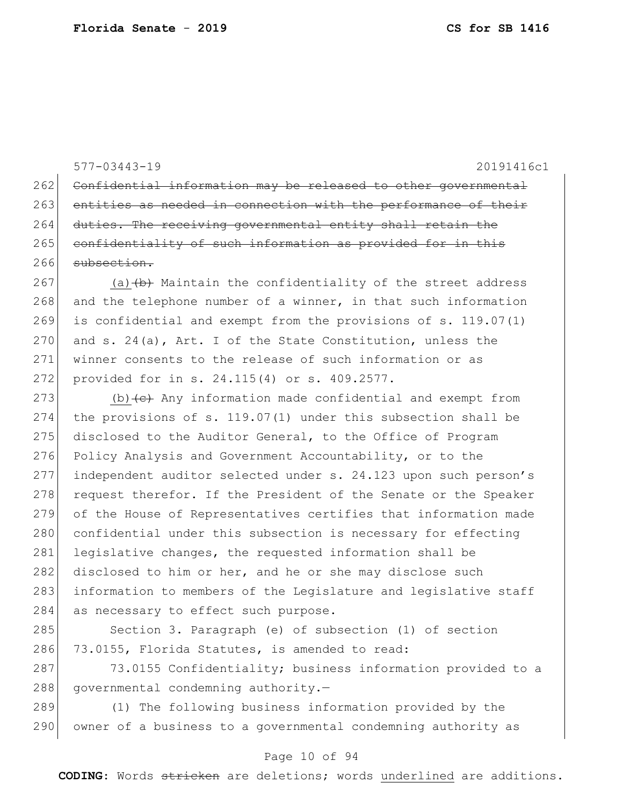577-03443-19 20191416c1

262 Confidential information may be released to other governmental 263 entities as needed in connection with the performance of their 264 duties. The receiving governmental entity shall retain the 265 confidentiality of such information as provided for in this 266 subsection.

267 (a)  $(b)$  Maintain the confidentiality of the street address 268 and the telephone number of a winner, in that such information 269 is confidential and exempt from the provisions of s. 119.07(1) 270 and s. 24(a), Art. I of the State Constitution, unless the 271 winner consents to the release of such information or as 272 provided for in s. 24.115(4) or s. 409.2577.

273 (b) $\left\{ e \right\}$  Any information made confidential and exempt from 274 the provisions of s. 119.07(1) under this subsection shall be 275 disclosed to the Auditor General, to the Office of Program 276 Policy Analysis and Government Accountability, or to the 277 independent auditor selected under s. 24.123 upon such person's 278 request therefor. If the President of the Senate or the Speaker 279 of the House of Representatives certifies that information made 280 confidential under this subsection is necessary for effecting 281 legislative changes, the requested information shall be 282 disclosed to him or her, and he or she may disclose such 283 information to members of the Legislature and legislative staff 284 as necessary to effect such purpose.

285 Section 3. Paragraph (e) of subsection (1) of section 286 73.0155, Florida Statutes, is amended to read:

287 73.0155 Confidentiality; business information provided to a 288 governmental condemning authority.-

289 (1) The following business information provided by the 290 owner of a business to a governmental condemning authority as

#### Page 10 of 94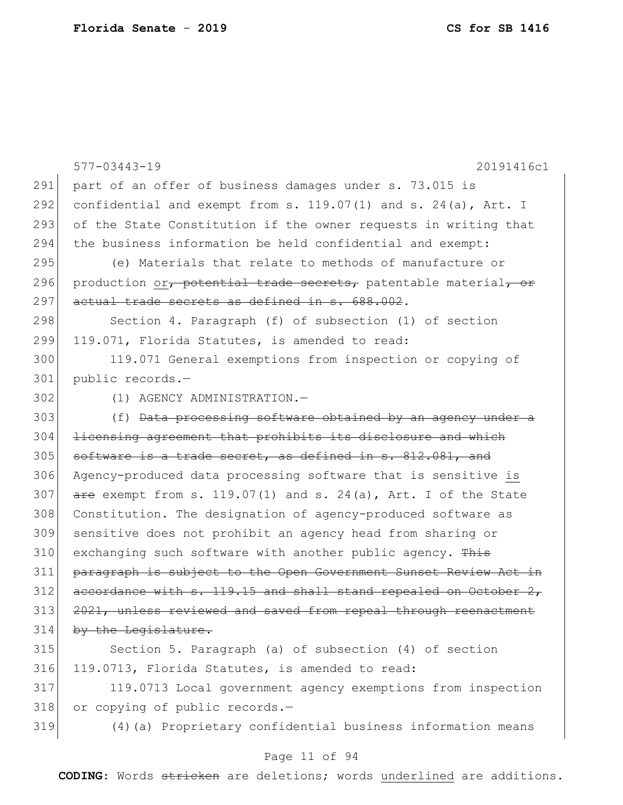|     | 20191416c1<br>$577 - 03443 - 19$                                         |
|-----|--------------------------------------------------------------------------|
| 291 | part of an offer of business damages under s. 73.015 is                  |
| 292 | confidential and exempt from s. $119.07(1)$ and s. $24(a)$ , Art. I      |
| 293 | of the State Constitution if the owner requests in writing that          |
| 294 | the business information be held confidential and exempt:                |
| 295 | (e) Materials that relate to methods of manufacture or                   |
| 296 | production or, potential trade secrets, patentable material, or          |
| 297 | actual trade secrets as defined in s. 688.002.                           |
| 298 | Section 4. Paragraph (f) of subsection (1) of section                    |
| 299 | 119.071, Florida Statutes, is amended to read:                           |
| 300 | 119.071 General exemptions from inspection or copying of                 |
| 301 | public records.-                                                         |
| 302 | (1) AGENCY ADMINISTRATION.-                                              |
| 303 | (f) Data processing software obtained by an agency under a               |
| 304 | licensing agreement that prohibits its disclosure and which              |
| 305 | software is a trade secret, as defined in s. 812.081, and                |
| 306 | Agency-produced data processing software that is sensitive is            |
| 307 | $\frac{1}{2}$ exempt from s. 119.07(1) and s. 24(a), Art. I of the State |
| 308 | Constitution. The designation of agency-produced software as             |
| 309 | sensitive does not prohibit an agency head from sharing or               |
| 310 | exchanging such software with another public agency. This                |
| 311 | paragraph is subject to the Open Government Sunset Review Act in         |
| 312 | accordance with s. 119.15 and shall stand repealed on October 2,         |
| 313 | 2021, unless reviewed and saved from repeal through reenactment          |
| 314 | by the Legislature.                                                      |
| 315 | Section 5. Paragraph (a) of subsection (4) of section                    |
| 316 | 119.0713, Florida Statutes, is amended to read:                          |
| 317 | 119.0713 Local government agency exemptions from inspection              |
| 318 | or copying of public records.-                                           |

319 (4)(a) Proprietary confidential business information means

## Page 11 of 94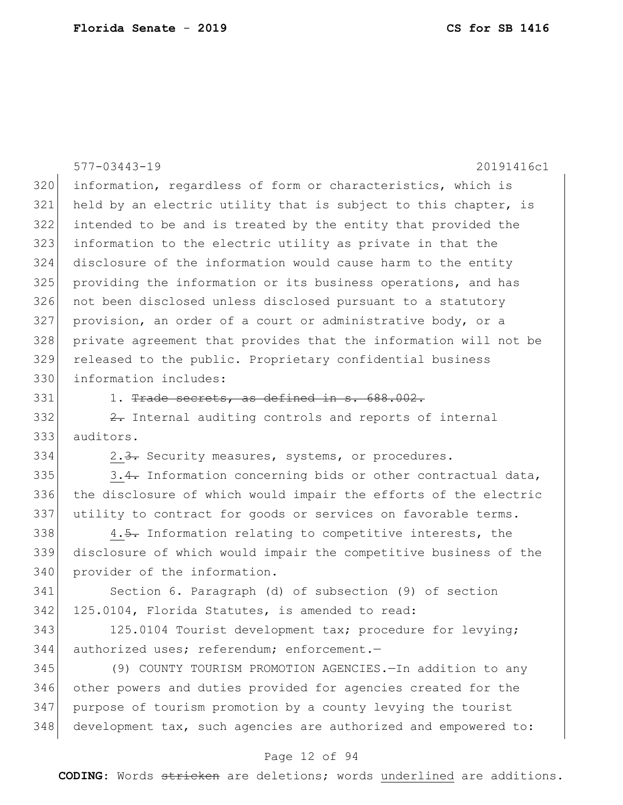|     | $577 - 03443 - 19$<br>20191416c1                                 |
|-----|------------------------------------------------------------------|
| 320 | information, regardless of form or characteristics, which is     |
| 321 | held by an electric utility that is subject to this chapter, is  |
| 322 | intended to be and is treated by the entity that provided the    |
| 323 | information to the electric utility as private in that the       |
| 324 | disclosure of the information would cause harm to the entity     |
| 325 | providing the information or its business operations, and has    |
| 326 | not been disclosed unless disclosed pursuant to a statutory      |
| 327 | provision, an order of a court or administrative body, or a      |
| 328 | private agreement that provides that the information will not be |
| 329 | released to the public. Proprietary confidential business        |
| 330 | information includes:                                            |
| 331 | 1. Trade secrets, as defined in s. 688.002.                      |
| 332 | 2. Internal auditing controls and reports of internal            |
| 333 | auditors.                                                        |
| 334 | 2.3. Security measures, systems, or procedures.                  |
| 335 | 3.4. Information concerning bids or other contractual data,      |
| 336 | the disclosure of which would impair the efforts of the electric |
| 337 | utility to contract for goods or services on favorable terms.    |
| 338 | 4.5. Information relating to competitive interests, the          |
| 339 | disclosure of which would impair the competitive business of the |
| 340 | provider of the information.                                     |
| 341 | Section 6. Paragraph (d) of subsection (9) of section            |
| 342 | 125.0104, Florida Statutes, is amended to read:                  |
| 343 | 125.0104 Tourist development tax; procedure for levying;         |
| 344 | authorized uses; referendum; enforcement.-                       |
| 345 | (9) COUNTY TOURISM PROMOTION AGENCIES. - In addition to any      |
| 346 | other powers and duties provided for agencies created for the    |
| 347 | purpose of tourism promotion by a county levying the tourist     |

## Page 12 of 94

348 development tax, such agencies are authorized and empowered to: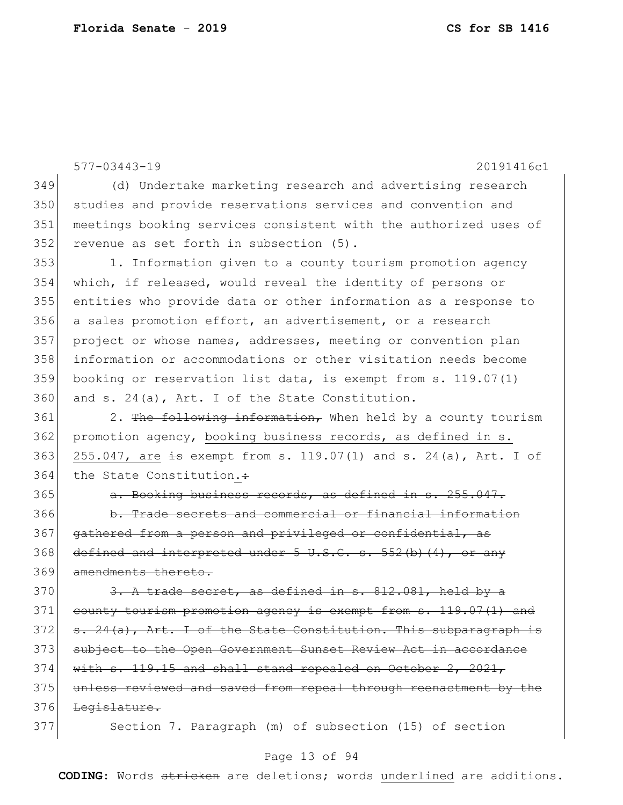577-03443-19 20191416c1 349 (d) Undertake marketing research and advertising research 350 studies and provide reservations services and convention and 351 meetings booking services consistent with the authorized uses of 352 revenue as set forth in subsection (5). 353 1. Information given to a county tourism promotion agency 354 which, if released, would reveal the identity of persons or 355 entities who provide data or other information as a response to 356 a sales promotion effort, an advertisement, or a research 357 project or whose names, addresses, meeting or convention plan 358 information or accommodations or other visitation needs become 359 booking or reservation list data, is exempt from s. 119.07(1) 360 and s. 24(a), Art. I of the State Constitution.  $361$  2. The following information, When held by a county tourism 362 promotion agency, booking business records, as defined in s. 363 255.047, are  $\frac{1}{19}$  exempt from s. 119.07(1) and s. 24(a), Art. I of 364 the State Constitution.: 365 a. Booking business records, as defined in s. 255.047. 366 b. Trade secrets and commercial or financial information 367 gathered from a person and privileged or confidential, as 368 defined and interpreted under  $5 \text{ U.S.C. s. } 552 \text{ (b) (4)}$ , or any 369 amendments thereto.  $370$   $3.$  A trade secret, as defined in s.  $812.081$ , held by a 371 county tourism promotion agency is exempt from s. 119.07(1) and  $372$  s.  $24(a)$ , Art. I of the State Constitution. This subparagraph is 373 subject to the Open Government Sunset Review Act in accordance  $374$  with s. 119.15 and shall stand repealed on October 2, 2021, 375 unless reviewed and saved from repeal through reenactment by the 376 Legislature. 377 Section 7. Paragraph (m) of subsection (15) of section

## Page 13 of 94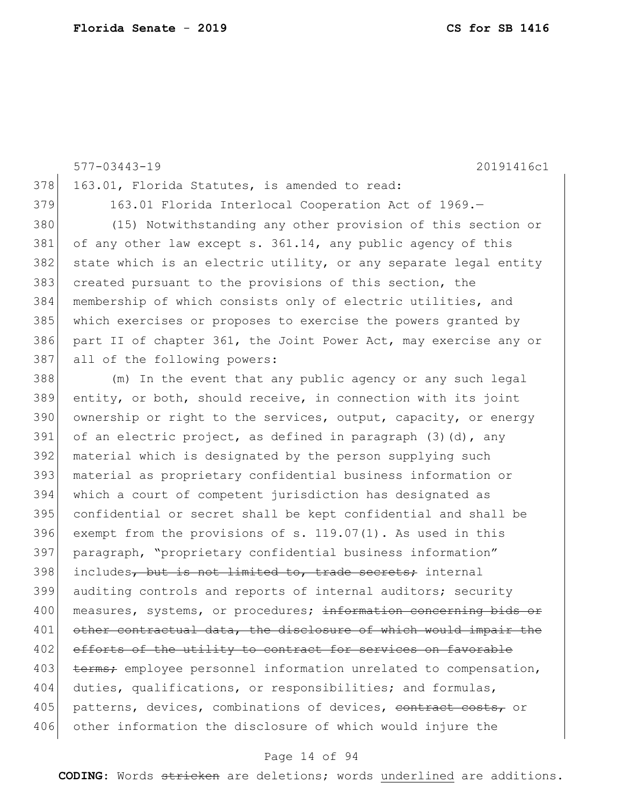577-03443-19 20191416c1 378 163.01, Florida Statutes, is amended to read: 379 163.01 Florida Interlocal Cooperation Act of 1969.-380 (15) Notwithstanding any other provision of this section or 381 of any other law except s. 361.14, any public agency of this  $382$  state which is an electric utility, or any separate legal entity 383 created pursuant to the provisions of this section, the 384 membership of which consists only of electric utilities, and 385 which exercises or proposes to exercise the powers granted by 386 part II of chapter 361, the Joint Power Act, may exercise any or 387 all of the following powers: 388 (m) In the event that any public agency or any such legal 389 entity, or both, should receive, in connection with its joint 390 ownership or right to the services, output, capacity, or energy 391 of an electric project, as defined in paragraph  $(3)(d)$ , any 392 material which is designated by the person supplying such 393 material as proprietary confidential business information or 394 which a court of competent jurisdiction has designated as 395 confidential or secret shall be kept confidential and shall be 396 exempt from the provisions of s.  $119.07(1)$ . As used in this 397 paragraph, "proprietary confidential business information" 398 includes, but is not limited to, trade secrets; internal 399 auditing controls and reports of internal auditors; security 400 measures, systems, or procedures; information concerning bids or 401 other contractual data, the disclosure of which would impair the 402 efforts of the utility to contract for services on favorable 403 terms; employee personnel information unrelated to compensation, 404 duties, qualifications, or responsibilities; and formulas, 405 patterns, devices, combinations of devices, contract costs, or

#### Page 14 of 94

406 other information the disclosure of which would injure the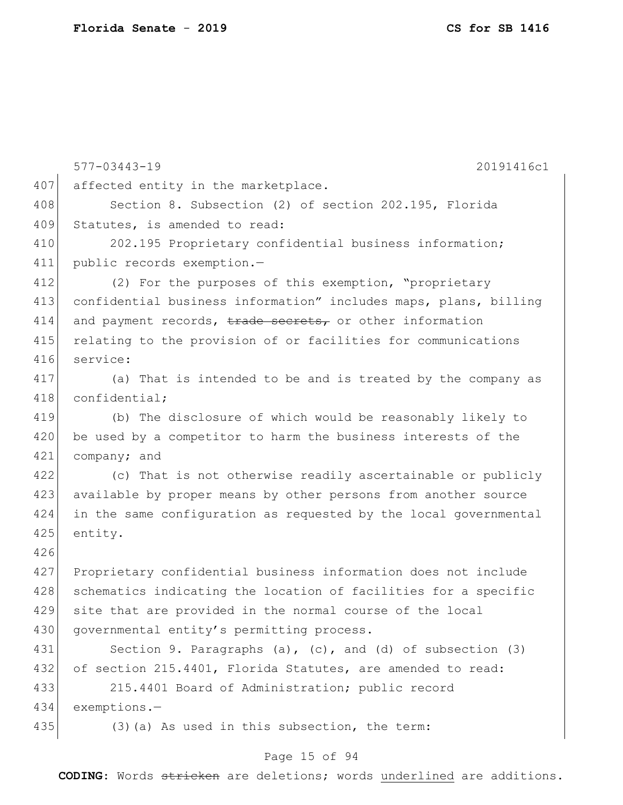|     | $577 - 03443 - 19$<br>20191416c1                                    |
|-----|---------------------------------------------------------------------|
| 407 | affected entity in the marketplace.                                 |
| 408 | Section 8. Subsection (2) of section 202.195, Florida               |
| 409 | Statutes, is amended to read:                                       |
| 410 | 202.195 Proprietary confidential business information;              |
| 411 | public records exemption.-                                          |
| 412 | (2) For the purposes of this exemption, "proprietary                |
| 413 | confidential business information" includes maps, plans, billing    |
| 414 | and payment records, trade secrets, or other information            |
| 415 | relating to the provision of or facilities for communications       |
| 416 | service:                                                            |
| 417 | (a) That is intended to be and is treated by the company as         |
| 418 | confidential;                                                       |
| 419 | (b) The disclosure of which would be reasonably likely to           |
| 420 | be used by a competitor to harm the business interests of the       |
| 421 | company; and                                                        |
| 422 | (c) That is not otherwise readily ascertainable or publicly         |
| 423 | available by proper means by other persons from another source      |
| 424 | in the same configuration as requested by the local governmental    |
| 425 | entity.                                                             |
| 426 |                                                                     |
| 427 | Proprietary confidential business information does not include      |
| 428 | schematics indicating the location of facilities for a specific     |
| 429 | site that are provided in the normal course of the local            |
| 430 | governmental entity's permitting process.                           |
| 431 | Section 9. Paragraphs $(a)$ , $(c)$ , and $(d)$ of subsection $(3)$ |
| 432 | of section 215.4401, Florida Statutes, are amended to read:         |
| 433 | 215.4401 Board of Administration; public record                     |
| 434 | exemptions.-                                                        |
| 435 | $(3)$ (a) As used in this subsection, the term:                     |

# Page 15 of 94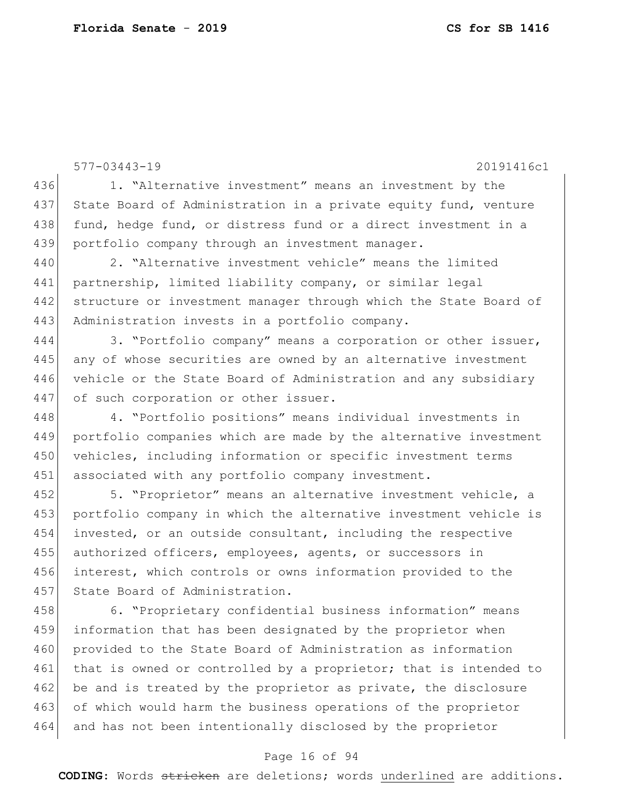577-03443-19 20191416c1 436 1. "Alternative investment" means an investment by the 437 State Board of Administration in a private equity fund, venture 438 fund, hedge fund, or distress fund or a direct investment in a 439 portfolio company through an investment manager. 440 2. "Alternative investment vehicle" means the limited 441 partnership, limited liability company, or similar legal 442 structure or investment manager through which the State Board of 443 Administration invests in a portfolio company. 444 3. "Portfolio company" means a corporation or other issuer, 446 vehicle or the State Board of Administration and any subsidiary 447 of such corporation or other issuer. 458 6. "Proprietary confidential business information" means

445 any of whose securities are owned by an alternative investment

448 4. "Portfolio positions" means individual investments in 449 portfolio companies which are made by the alternative investment 450 vehicles, including information or specific investment terms 451 associated with any portfolio company investment.

452 5. "Proprietor" means an alternative investment vehicle, a 453 portfolio company in which the alternative investment vehicle is 454 invested, or an outside consultant, including the respective 455 authorized officers, employees, agents, or successors in 456 interest, which controls or owns information provided to the 457 State Board of Administration.

459 information that has been designated by the proprietor when 460 provided to the State Board of Administration as information 461 that is owned or controlled by a proprietor; that is intended to 462 be and is treated by the proprietor as private, the disclosure 463 of which would harm the business operations of the proprietor 464 and has not been intentionally disclosed by the proprietor

#### Page 16 of 94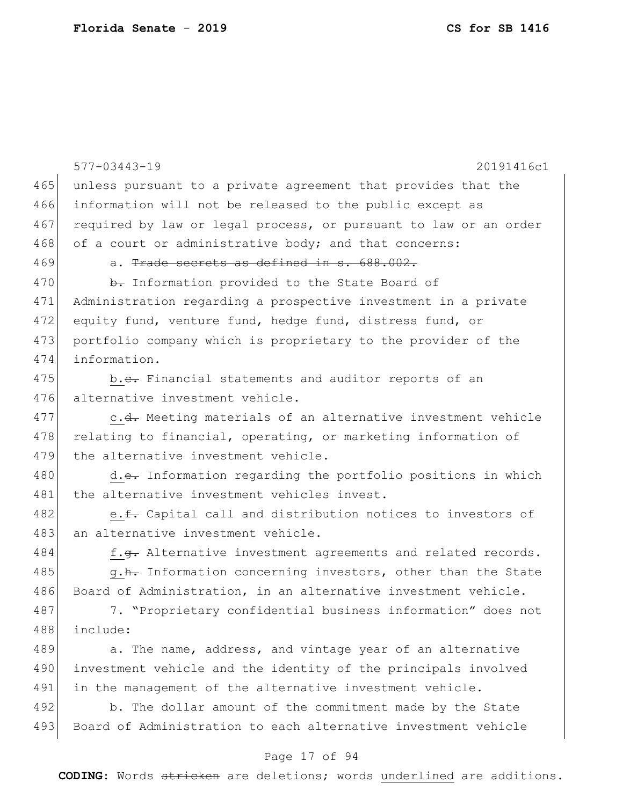|     | $577 - 03443 - 19$<br>20191416c1                                 |
|-----|------------------------------------------------------------------|
| 465 | unless pursuant to a private agreement that provides that the    |
| 466 | information will not be released to the public except as         |
| 467 | required by law or legal process, or pursuant to law or an order |
| 468 | of a court or administrative body; and that concerns:            |
| 469 | a. Trade secrets as defined in s. 688.002.                       |
| 470 | b. Information provided to the State Board of                    |
| 471 | Administration regarding a prospective investment in a private   |
| 472 | equity fund, venture fund, hedge fund, distress fund, or         |
| 473 | portfolio company which is proprietary to the provider of the    |
| 474 | information.                                                     |
| 475 | b.e. Financial statements and auditor reports of an              |
| 476 | alternative investment vehicle.                                  |
| 477 | c.d. Meeting materials of an alternative investment vehicle      |
| 478 | relating to financial, operating, or marketing information of    |
| 479 | the alternative investment vehicle.                              |
| 480 | d.e. Information regarding the portfolio positions in which      |
| 481 | the alternative investment vehicles invest.                      |
| 482 | e. f. Capital call and distribution notices to investors of      |
| 483 | an alternative investment vehicle.                               |
| 484 | f.g. Alternative investment agreements and related records.      |
| 485 | g.h. Information concerning investors, other than the State      |
| 486 | Board of Administration, in an alternative investment vehicle.   |
| 487 | 7. "Proprietary confidential business information" does not      |
| 488 | include:                                                         |
| 489 | a. The name, address, and vintage year of an alternative         |
| 490 | investment vehicle and the identity of the principals involved   |
| 491 | in the management of the alternative investment vehicle.         |
| 492 | b. The dollar amount of the commitment made by the State         |
| 493 | Board of Administration to each alternative investment vehicle   |
|     |                                                                  |

# Page 17 of 94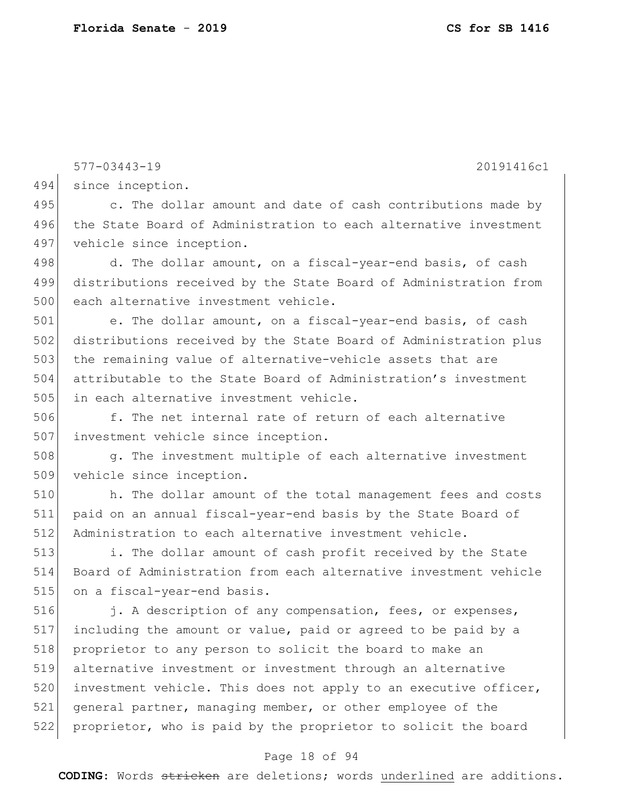577-03443-19 20191416c1 494 since inception. 495 c. The dollar amount and date of cash contributions made by 496 the State Board of Administration to each alternative investment 497 vehicle since inception. 498 d. The dollar amount, on a fiscal-year-end basis, of cash 499 distributions received by the State Board of Administration from 500 each alternative investment vehicle. 501 e. The dollar amount, on a fiscal-year-end basis, of cash 502 distributions received by the State Board of Administration plus 503 the remaining value of alternative-vehicle assets that are 504 attributable to the State Board of Administration's investment 505 in each alternative investment vehicle. 513 i. The dollar amount of cash profit received by the State 516 **j.** A description of any compensation, fees, or expenses, 517 including the amount or value, paid or agreed to be paid by a 518 proprietor to any person to solicit the board to make an 519 alternative investment or investment through an alternative 520 investment vehicle. This does not apply to an executive officer, 521 general partner, managing member, or other employee of the 522 proprietor, who is paid by the proprietor to solicit the board

## Page 18 of 94

**CODING**: Words stricken are deletions; words underlined are additions.

506 f. The net internal rate of return of each alternative 507 investment vehicle since inception.

508 g. The investment multiple of each alternative investment 509 vehicle since inception.

510 h. The dollar amount of the total management fees and costs 511 paid on an annual fiscal-year-end basis by the State Board of 512 Administration to each alternative investment vehicle.

514 Board of Administration from each alternative investment vehicle 515 on a fiscal-year-end basis.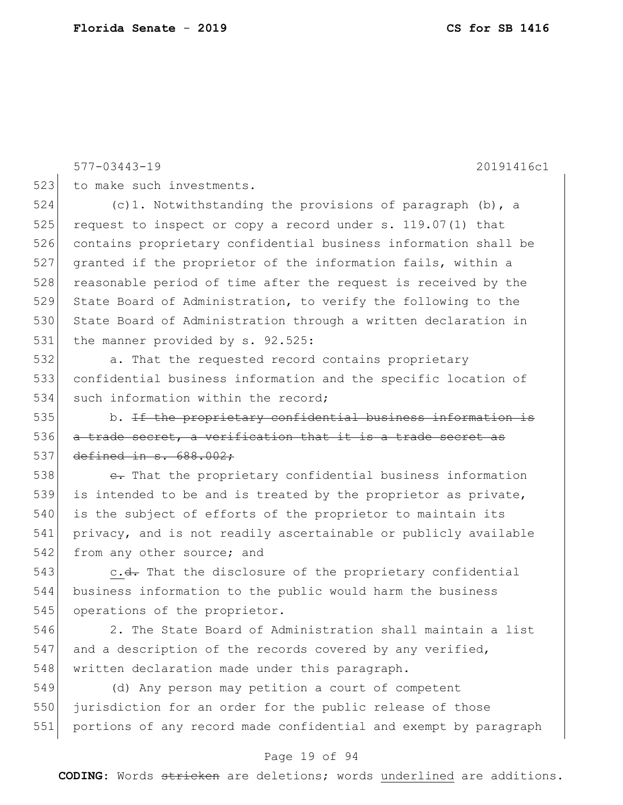577-03443-19 20191416c1 523 to make such investments. 524 (c)1. Notwithstanding the provisions of paragraph (b), a 525 request to inspect or copy a record under s. 119.07(1) that 526 contains proprietary confidential business information shall be

527 granted if the proprietor of the information fails, within a 528 reasonable period of time after the request is received by the 529 State Board of Administration, to verify the following to the 530 State Board of Administration through a written declaration in 531 the manner provided by s. 92.525:

532 a. That the requested record contains proprietary 533 confidential business information and the specific location of 534 such information within the record;

535 b. If the proprictary confidential business information 536 a trade secret, a verification that it is a trade secret as 537 defined in s. 688.002:

538  $\epsilon$ . That the proprietary confidential business information 539 is intended to be and is treated by the proprietor as private, 540 is the subject of efforts of the proprietor to maintain its 541 privacy, and is not readily ascertainable or publicly available 542 from any other source; and

543 c.<del>d.</del> That the disclosure of the proprietary confidential 544 business information to the public would harm the business 545 operations of the proprietor.

546 2. The State Board of Administration shall maintain a list 547 and a description of the records covered by any verified, 548 written declaration made under this paragraph.

549 (d) Any person may petition a court of competent 550 jurisdiction for an order for the public release of those 551 portions of any record made confidential and exempt by paragraph

#### Page 19 of 94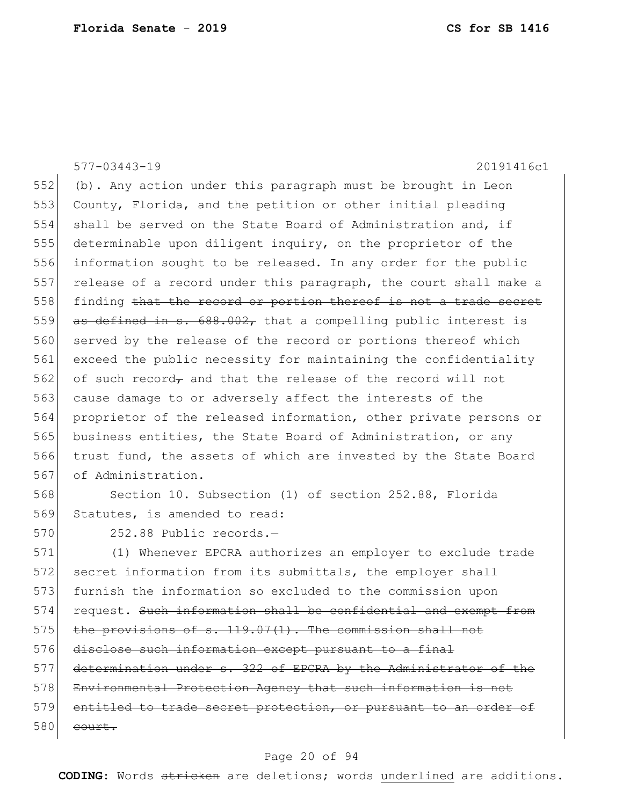577-03443-19 20191416c1 552 (b). Any action under this paragraph must be brought in Leon 553 County, Florida, and the petition or other initial pleading 554 shall be served on the State Board of Administration and, if 555 determinable upon diligent inquiry, on the proprietor of the 556 information sought to be released. In any order for the public 557 release of a record under this paragraph, the court shall make a 558 finding that the record or portion thereof is not a trade secret 559 as defined in s.  $688.002$ , that a compelling public interest is 560 served by the release of the record or portions thereof which 561 exceed the public necessity for maintaining the confidentiality 562 of such record<sub>7</sub> and that the release of the record will not 563 cause damage to or adversely affect the interests of the 564 proprietor of the released information, other private persons or 565 business entities, the State Board of Administration, or any 566 trust fund, the assets of which are invested by the State Board 567 of Administration. 568 Section 10. Subsection (1) of section 252.88, Florida

569 Statutes, is amended to read:

570 252.88 Public records.

571 (1) Whenever EPCRA authorizes an employer to exclude trade 572 secret information from its submittals, the employer shall 573 furnish the information so excluded to the commission upon 574 request. Such information shall be confidential and exempt from  $575$  the provisions of s. 119.07(1). The commission shall not 576 disclose such information except pursuant to a final 577 determination under s. 322 of EPCRA by the Administrator of the 578 Environmental Protection Agency that such information is not 579 entitled to trade secret protection, or pursuant to an order of  $580$  court.

## Page 20 of 94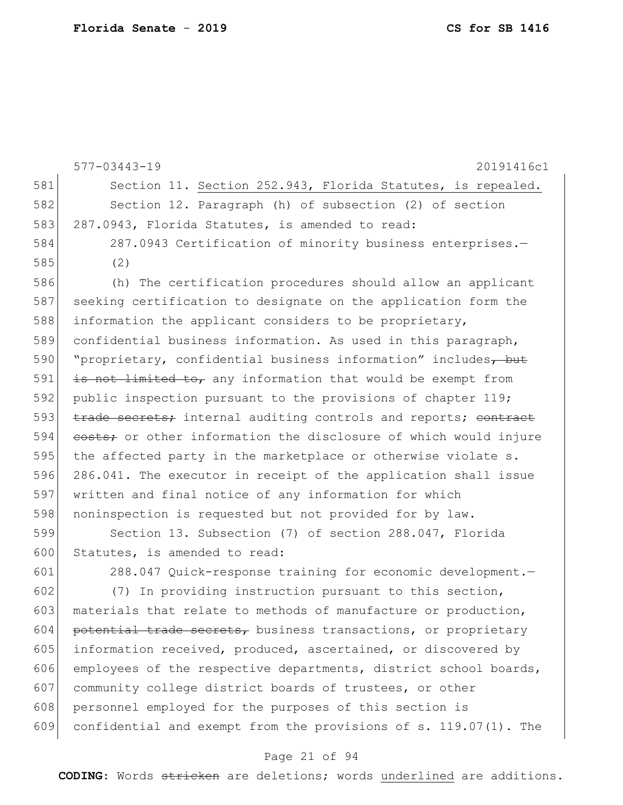577-03443-19 20191416c1 581 Section 11. Section 252.943, Florida Statutes, is repealed. 582 Section 12. Paragraph (h) of subsection (2) of section 583 287.0943, Florida Statutes, is amended to read: 584 287.0943 Certification of minority business enterprises.— 585 (2) 586 (h) The certification procedures should allow an applicant 587 seeking certification to designate on the application form the 588 information the applicant considers to be proprietary, 589 confidential business information. As used in this paragraph, 590 | "proprietary, confidential business information" includes<del>, but</del> 591  $\pm$  <del>is not limited to,</del> any information that would be exempt from 592 public inspection pursuant to the provisions of chapter 119; 593 **trade secrets;** internal auditing controls and reports; contract 594 costs; or other information the disclosure of which would injure 595 the affected party in the marketplace or otherwise violate s. 596 286.041. The executor in receipt of the application shall issue 597 written and final notice of any information for which 598 noninspection is requested but not provided for by law. 599 Section 13. Subsection (7) of section 288.047, Florida 600 Statutes, is amended to read:

601 288.047 Quick-response training for economic development.—

602 (7) In providing instruction pursuant to this section, 603 materials that relate to methods of manufacture or production,  $604$  potential trade secrets, business transactions, or proprietary 605 information received, produced, ascertained, or discovered by 606 employees of the respective departments, district school boards, 607 community college district boards of trustees, or other 608 personnel employed for the purposes of this section is 609 confidential and exempt from the provisions of s. 119.07(1). The

### Page 21 of 94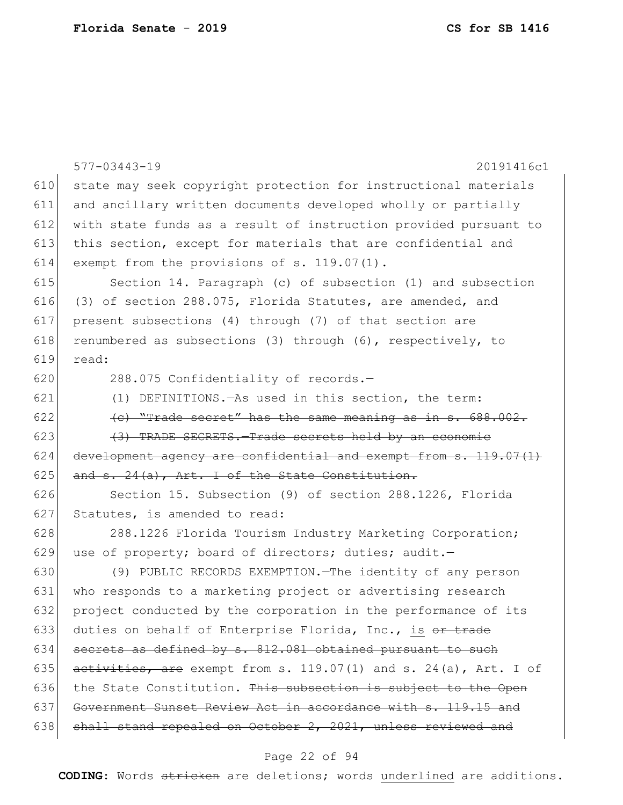|     | $577 - 03443 - 19$<br>20191416c1                                 |
|-----|------------------------------------------------------------------|
| 610 | state may seek copyright protection for instructional materials  |
| 611 | and ancillary written documents developed wholly or partially    |
| 612 | with state funds as a result of instruction provided pursuant to |
| 613 | this section, except for materials that are confidential and     |
| 614 | exempt from the provisions of s. 119.07(1).                      |
| 615 | Section 14. Paragraph (c) of subsection (1) and subsection       |
| 616 | (3) of section 288.075, Florida Statutes, are amended, and       |
| 617 | present subsections (4) through (7) of that section are          |
| 618 | renumbered as subsections (3) through (6), respectively, to      |
| 619 | read:                                                            |
| 620 | 288.075 Confidentiality of records.-                             |
| 621 | (1) DEFINITIONS. - As used in this section, the term:            |
| 622 | (e) "Trade secret" has the same meaning as in s. 688.002.        |
| 623 | (3) TRADE SECRETS. Trade secrets held by an economic             |
| 624 | development agency are confidential and exempt from s. 119.07(1) |
| 625 | and $s. 24(a)$ , Art. I of the State Constitution.               |
| 626 | Section 15. Subsection (9) of section 288.1226, Florida          |
| 627 | Statutes, is amended to read:                                    |
| 628 | 288.1226 Florida Tourism Industry Marketing Corporation;         |
| 629 | use of property; board of directors; duties; audit.-             |
| 630 | (9) PUBLIC RECORDS EXEMPTION. The identity of any person         |
| 631 | who responds to a marketing project or advertising research      |
| 632 | project conducted by the corporation in the performance of its   |
| 633 | duties on behalf of Enterprise Florida, Inc., is or trade        |
| 634 | secrets as defined by s. 812.081 obtained pursuant to such       |
| 635 | activities, are exempt from s. 119.07(1) and s. 24(a), Art. I of |
| 636 | the State Constitution. This subsection is subject to the Open   |
| 637 | Government Sunset Review Act in accordance with s. 119.15 and    |
| 638 | shall stand repealed on October 2, 2021, unless reviewed and     |

# Page 22 of 94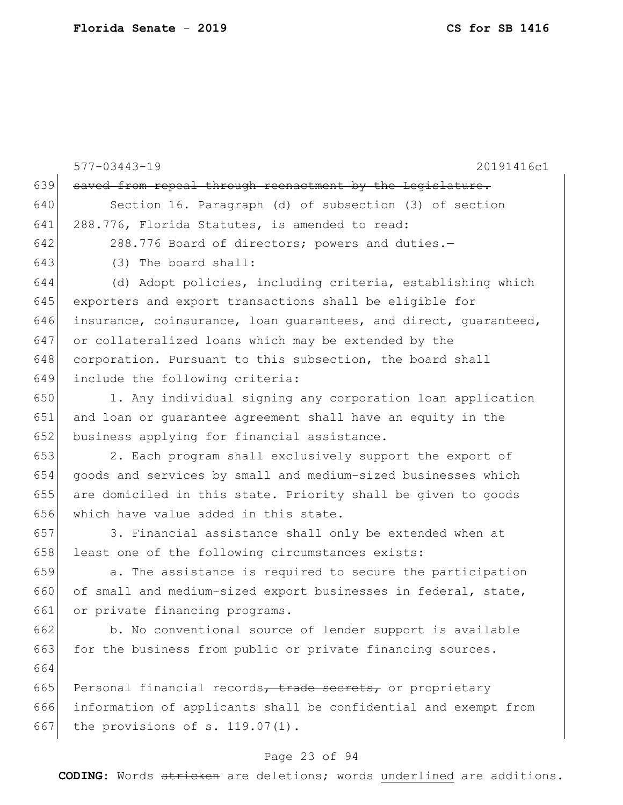|     | $577 - 03443 - 19$<br>20191416c1                                 |
|-----|------------------------------------------------------------------|
| 639 | saved from repeal through reenactment by the Legislature.        |
| 640 | Section 16. Paragraph (d) of subsection (3) of section           |
| 641 | 288.776, Florida Statutes, is amended to read:                   |
| 642 | 288.776 Board of directors; powers and duties.-                  |
| 643 | (3) The board shall:                                             |
| 644 | (d) Adopt policies, including criteria, establishing which       |
| 645 | exporters and export transactions shall be eligible for          |
| 646 | insurance, coinsurance, loan quarantees, and direct, quaranteed, |
| 647 | or collateralized loans which may be extended by the             |
| 648 | corporation. Pursuant to this subsection, the board shall        |
| 649 | include the following criteria:                                  |
| 650 | 1. Any individual signing any corporation loan application       |
| 651 | and loan or guarantee agreement shall have an equity in the      |
| 652 | business applying for financial assistance.                      |
| 653 | 2. Each program shall exclusively support the export of          |
| 654 | goods and services by small and medium-sized businesses which    |
| 655 | are domiciled in this state. Priority shall be given to goods    |
| 656 | which have value added in this state.                            |
| 657 | 3. Financial assistance shall only be extended when at           |
| 658 | least one of the following circumstances exists:                 |
| 659 | a. The assistance is required to secure the participation        |
| 660 | of small and medium-sized export businesses in federal, state,   |
| 661 | or private financing programs.                                   |
| 662 | b. No conventional source of lender support is available         |
| 663 | for the business from public or private financing sources.       |
| 664 |                                                                  |
| 665 | Personal financial records, trade secrets, or proprietary        |
| 666 | information of applicants shall be confidential and exempt from  |
| 667 | the provisions of $s. 119.07(1)$ .                               |
|     | Daga 00 af 04                                                    |

## Page 23 of 94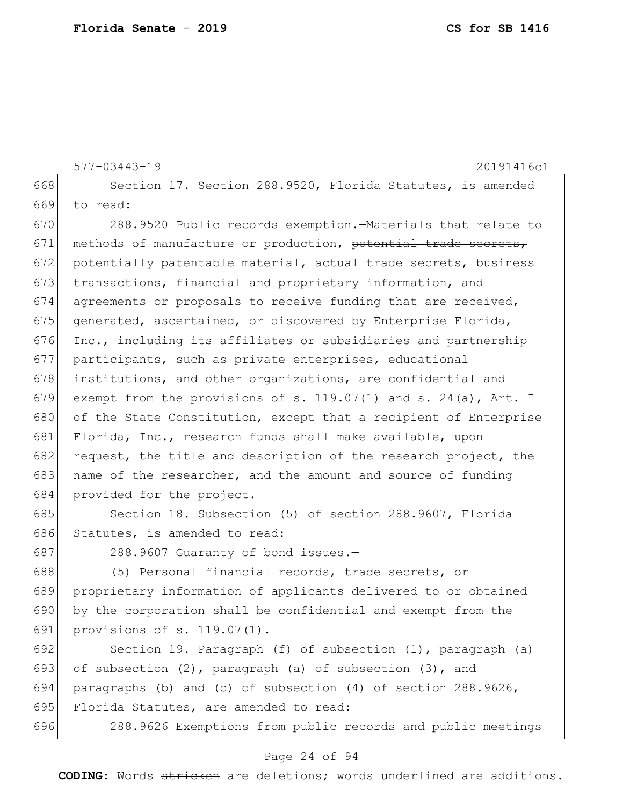577-03443-19 20191416c1 668 Section 17. Section 288.9520, Florida Statutes, is amended 669 to read: 670 288.9520 Public records exemption.—Materials that relate to 671 methods of manufacture or production, potential trade secrets, 672 potentially patentable material,  $\alpha$  actual trade secrets, business 673 transactions, financial and proprietary information, and 674 agreements or proposals to receive funding that are received, 675 generated, ascertained, or discovered by Enterprise Florida,  $676$  Inc., including its affiliates or subsidiaries and partnership 677 participants, such as private enterprises, educational 678 institutions, and other organizations, are confidential and 679 exempt from the provisions of s.  $119.07(1)$  and s.  $24(a)$ , Art. I 680 of the State Constitution, except that a recipient of Enterprise 681 Florida, Inc., research funds shall make available, upon 682 request, the title and description of the research project, the 683 name of the researcher, and the amount and source of funding 684 provided for the project.

685 Section 18. Subsection (5) of section 288.9607, Florida 686 Statutes, is amended to read:

687 288.9607 Guaranty of bond issues.-

688 (5) Personal financial records, trade secrets, or 689 proprietary information of applicants delivered to or obtained 690 by the corporation shall be confidential and exempt from the 691 provisions of s. 119.07(1).

692 Section 19. Paragraph (f) of subsection (1), paragraph (a) 693 of subsection  $(2)$ , paragraph  $(a)$  of subsection  $(3)$ , and 694 paragraphs (b) and (c) of subsection (4) of section 288.9626, 695 Florida Statutes, are amended to read:

696 288.9626 Exemptions from public records and public meetings

#### Page 24 of 94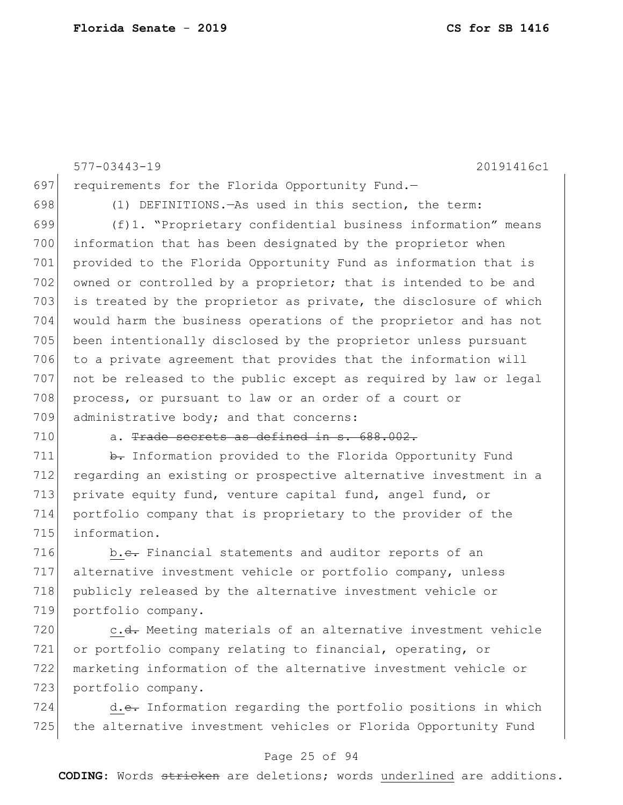577-03443-19 20191416c1 697 requirements for the Florida Opportunity Fund.-698 (1) DEFINITIONS. —As used in this section, the term: 699 (f)1. "Proprietary confidential business information" means 700 information that has been designated by the proprietor when 701 provided to the Florida Opportunity Fund as information that is 702 owned or controlled by a proprietor; that is intended to be and 703 is treated by the proprietor as private, the disclosure of which 704 would harm the business operations of the proprietor and has not 705 been intentionally disclosed by the proprietor unless pursuant 706 to a private agreement that provides that the information will 707 not be released to the public except as required by law or legal 708 process, or pursuant to law or an order of a court or 709 administrative body; and that concerns: 710 a. Trade secrets as defined in s. 688.002.

711 b. Information provided to the Florida Opportunity Fund 712 regarding an existing or prospective alternative investment in a 713 private equity fund, venture capital fund, angel fund, or 714 portfolio company that is proprietary to the provider of the 715 information.

716 b.c. Financial statements and auditor reports of an 717 alternative investment vehicle or portfolio company, unless 718 publicly released by the alternative investment vehicle or 719 portfolio company.

720 c.<del>d.</del> Meeting materials of an alternative investment vehicle or portfolio company relating to financial, operating, or marketing information of the alternative investment vehicle or portfolio company.

724 d.e. Information regarding the portfolio positions in which 725 the alternative investment vehicles or Florida Opportunity Fund

## Page 25 of 94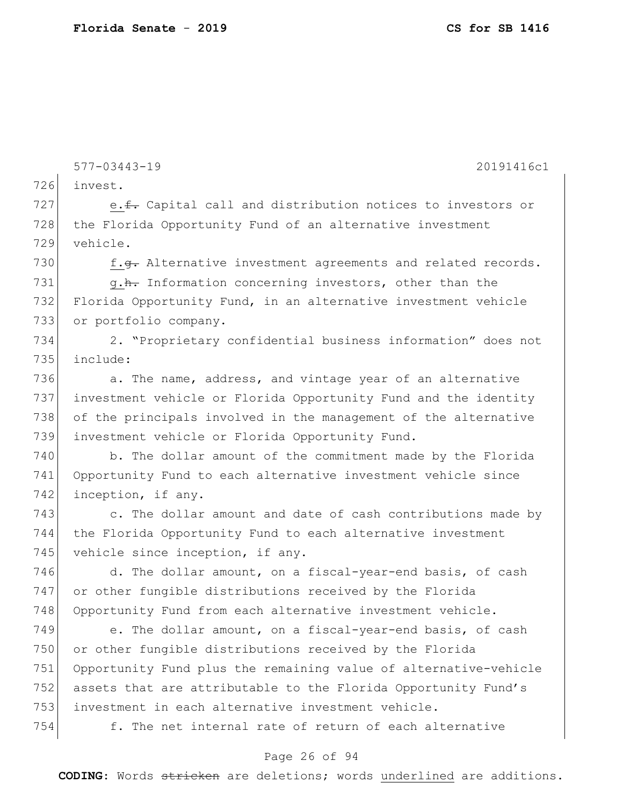577-03443-19 20191416c1 726 invest. 727 e.f. Capital call and distribution notices to investors or 728 the Florida Opportunity Fund of an alternative investment 729 vehicle. 730  $f.\overline{g}$ . Alternative investment agreements and related records. 731 g.h. Information concerning investors, other than the 732 Florida Opportunity Fund, in an alternative investment vehicle 733 or portfolio company. 734 2. "Proprietary confidential business information" does not 735 include: 736  $\vert$  a. The name, address, and vintage year of an alternative 737 investment vehicle or Florida Opportunity Fund and the identity 738 of the principals involved in the management of the alternative 739 investment vehicle or Florida Opportunity Fund. 740 b. The dollar amount of the commitment made by the Florida 741 Opportunity Fund to each alternative investment vehicle since 742 inception, if any. 743 c. The dollar amount and date of cash contributions made by 744 the Florida Opportunity Fund to each alternative investment 745 vehicle since inception, if any. 746 d. The dollar amount, on a fiscal-year-end basis, of cash 747 or other fungible distributions received by the Florida 748 Opportunity Fund from each alternative investment vehicle. 749 e. The dollar amount, on a fiscal-year-end basis, of cash 750 or other fungible distributions received by the Florida 751 Opportunity Fund plus the remaining value of alternative-vehicle 752 assets that are attributable to the Florida Opportunity Fund's 753 investment in each alternative investment vehicle. 754 f. The net internal rate of return of each alternative

## Page 26 of 94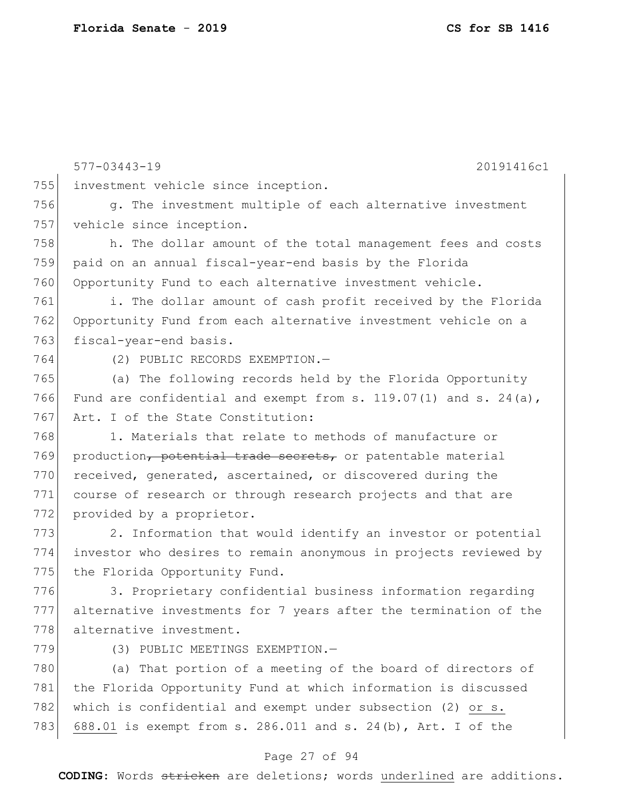577-03443-19 20191416c1 755 investment vehicle since inception. 756 g. The investment multiple of each alternative investment 757 vehicle since inception. 758 h. The dollar amount of the total management fees and costs 759 paid on an annual fiscal-year-end basis by the Florida 760 Opportunity Fund to each alternative investment vehicle. 761 i. The dollar amount of cash profit received by the Florida 762 Opportunity Fund from each alternative investment vehicle on a 763 fiscal-year-end basis. 764 (2) PUBLIC RECORDS EXEMPTION.— 765 (a) The following records held by the Florida Opportunity 766 Fund are confidential and exempt from s. 119.07(1) and s. 24(a), 767 Art. I of the State Constitution: 768 1. Materials that relate to methods of manufacture or 769 production<del>, potential trade secrets,</del> or patentable material 770 received, generated, ascertained, or discovered during the 771 course of research or through research projects and that are 772 provided by a proprietor. 773 2. Information that would identify an investor or potential 774 investor who desires to remain anonymous in projects reviewed by 775 the Florida Opportunity Fund. 776 3. Proprietary confidential business information regarding 777 alternative investments for 7 years after the termination of the 778 alternative investment. 779 (3) PUBLIC MEETINGS EXEMPTION. 780 (a) That portion of a meeting of the board of directors of 781 the Florida Opportunity Fund at which information is discussed 782 which is confidential and exempt under subsection (2) or s. 783 688.01 is exempt from s. 286.011 and s. 24(b), Art. I of the

## Page 27 of 94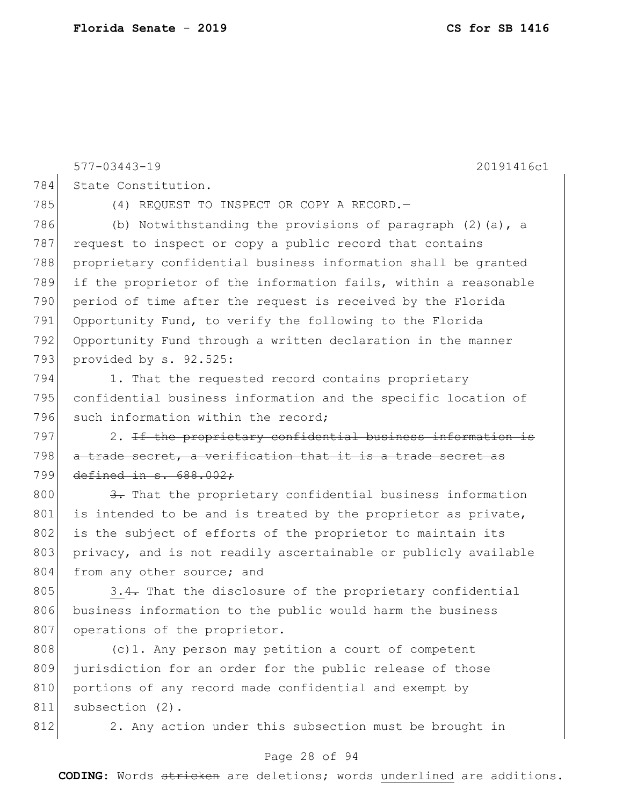577-03443-19 20191416c1 784 State Constitution. 785 (4) REQUEST TO INSPECT OR COPY A RECORD. 786 (b) Notwithstanding the provisions of paragraph  $(2)$  (a), a 787 request to inspect or copy a public record that contains 788 proprietary confidential business information shall be granted 789 if the proprietor of the information fails, within a reasonable 790 period of time after the request is received by the Florida 791 Opportunity Fund, to verify the following to the Florida 792 Opportunity Fund through a written declaration in the manner 793 provided by s. 92.525: 794 1. That the requested record contains proprietary 795 confidential business information and the specific location of 796 such information within the record; 797 2. If the proprietary confidential business information is 798 a trade secret, a verification that it is a trade secret as 799 defined in s. 688.002; 800 3. That the proprietary confidential business information  $801$  is intended to be and is treated by the proprietor as private, 802 is the subject of efforts of the proprietor to maintain its 803 privacy, and is not readily ascertainable or publicly available 804 from any other source; and 805 3.4. That the disclosure of the proprietary confidential 806 business information to the public would harm the business 807 operations of the proprietor. 808 (c)1. Any person may petition a court of competent 809 jurisdiction for an order for the public release of those 810 portions of any record made confidential and exempt by

812 2. Any action under this subsection must be brought in

## Page 28 of 94

**CODING**: Words stricken are deletions; words underlined are additions.

811 subsection (2).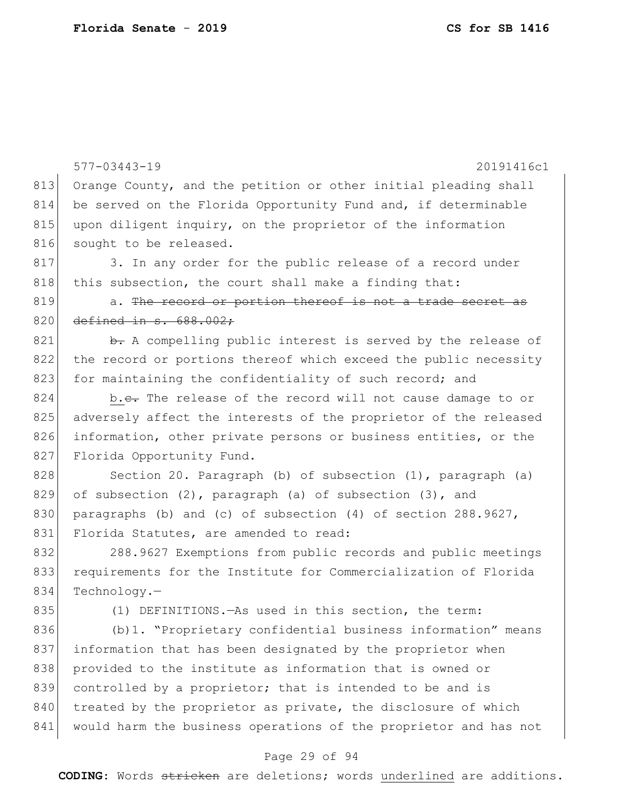|     | $577 - 03443 - 19$<br>20191416c1                                 |
|-----|------------------------------------------------------------------|
| 813 | Orange County, and the petition or other initial pleading shall  |
| 814 | be served on the Florida Opportunity Fund and, if determinable   |
| 815 | upon diligent inquiry, on the proprietor of the information      |
| 816 | sought to be released.                                           |
| 817 | 3. In any order for the public release of a record under         |
| 818 | this subsection, the court shall make a finding that:            |
| 819 | a. The record or portion thereof is not a trade secret as        |
| 820 | defined in $s.688.002;$                                          |
| 821 | b. A compelling public interest is served by the release of      |
| 822 | the record or portions thereof which exceed the public necessity |
| 823 | for maintaining the confidentiality of such record; and          |
| 824 | b.e. The release of the record will not cause damage to or       |
| 825 | adversely affect the interests of the proprietor of the released |
| 826 | information, other private persons or business entities, or the  |
| 827 | Florida Opportunity Fund.                                        |
| 828 | Section 20. Paragraph (b) of subsection (1), paragraph (a)       |
| 829 | of subsection $(2)$ , paragraph $(a)$ of subsection $(3)$ , and  |
| 830 | paragraphs (b) and (c) of subsection $(4)$ of section 288.9627,  |
| 831 | Florida Statutes, are amended to read:                           |
| 832 | 288.9627 Exemptions from public records and public meetings      |
| 833 | requirements for the Institute for Commercialization of Florida  |
| 834 | $Technology. -$                                                  |
| 835 | (1) DEFINITIONS. - As used in this section, the term:            |
| 836 | (b) 1. "Proprietary confidential business information" means     |
| 837 | information that has been designated by the proprietor when      |
| 838 | provided to the institute as information that is owned or        |
| 839 | controlled by a proprietor; that is intended to be and is        |
| 840 | treated by the proprietor as private, the disclosure of which    |
| 841 | would harm the business operations of the proprietor and has not |
|     | Page 29 of 94                                                    |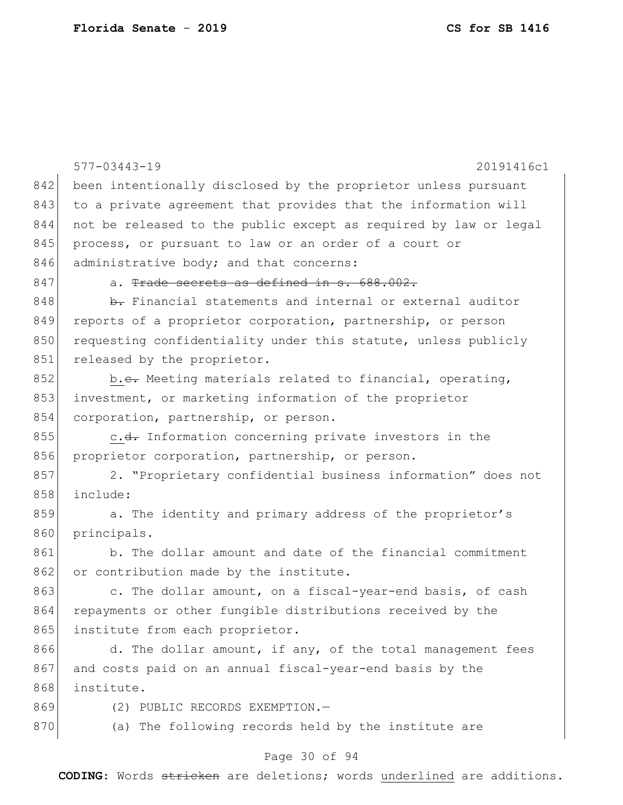|     | $577 - 03443 - 19$<br>20191416c1                                 |
|-----|------------------------------------------------------------------|
| 842 | been intentionally disclosed by the proprietor unless pursuant   |
| 843 | to a private agreement that provides that the information will   |
| 844 | not be released to the public except as required by law or legal |
| 845 | process, or pursuant to law or an order of a court or            |
| 846 | administrative body; and that concerns:                          |
| 847 | a. Trade secrets as defined in s. 688.002.                       |
| 848 | b. Financial statements and internal or external auditor         |
| 849 | reports of a proprietor corporation, partnership, or person      |
| 850 | requesting confidentiality under this statute, unless publicly   |
| 851 | released by the proprietor.                                      |
| 852 | b.e. Meeting materials related to financial, operating,          |
| 853 | investment, or marketing information of the proprietor           |
| 854 | corporation, partnership, or person.                             |
| 855 | c. <del>d.</del> Information concerning private investors in the |
| 856 | proprietor corporation, partnership, or person.                  |
| 857 | 2. "Proprietary confidential business information" does not      |
| 858 | include:                                                         |
| 859 | a. The identity and primary address of the proprietor's          |
| 860 | principals.                                                      |
| 861 | b. The dollar amount and date of the financial commitment        |
| 862 | or contribution made by the institute.                           |
| 863 | c. The dollar amount, on a fiscal-year-end basis, of cash        |
| 864 | repayments or other fungible distributions received by the       |
| 865 | institute from each proprietor.                                  |
| 866 | d. The dollar amount, if any, of the total management fees       |
| 867 | and costs paid on an annual fiscal-year-end basis by the         |
| 868 | institute.                                                       |
| 869 | (2) PUBLIC RECORDS EXEMPTION.-                                   |
| 870 | (a) The following records held by the institute are              |

# Page 30 of 94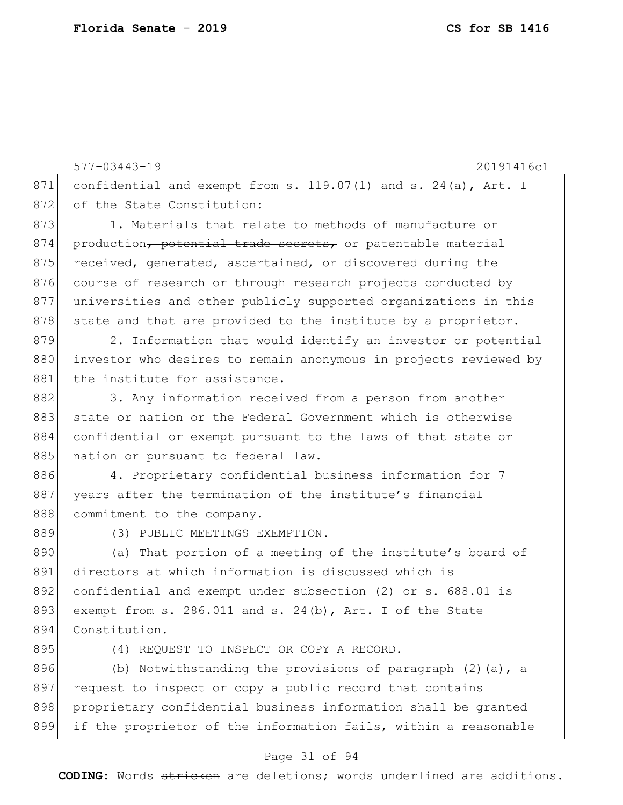577-03443-19 20191416c1 871 confidential and exempt from s. 119.07(1) and s. 24(a), Art. I 872 of the State Constitution: 873 1. Materials that relate to methods of manufacture or 874 production, potential trade secrets, or patentable material 875 received, generated, ascertained, or discovered during the 876 course of research or through research projects conducted by 877 universities and other publicly supported organizations in this  $878$  state and that are provided to the institute by a proprietor. 879 2. Information that would identify an investor or potential 880 investor who desires to remain anonymous in projects reviewed by 881 the institute for assistance. 882 3. Any information received from a person from another 883 state or nation or the Federal Government which is otherwise 884 confidential or exempt pursuant to the laws of that state or 885 nation or pursuant to federal law. 886 4. Proprietary confidential business information for 7 887 years after the termination of the institute's financial 888 commitment to the company. 889 (3) PUBLIC MEETINGS EXEMPTION. 890 (a) That portion of a meeting of the institute's board of 891 directors at which information is discussed which is 892 confidential and exempt under subsection (2) or s. 688.01 is 893 exempt from s. 286.011 and s. 24(b), Art. I of the State 894 Constitution. 895 (4) REQUEST TO INSPECT OR COPY A RECORD.

896 (b) Notwithstanding the provisions of paragraph  $(2)$  (a), a 897 request to inspect or copy a public record that contains 898 proprietary confidential business information shall be granted 899 if the proprietor of the information fails, within a reasonable

#### Page 31 of 94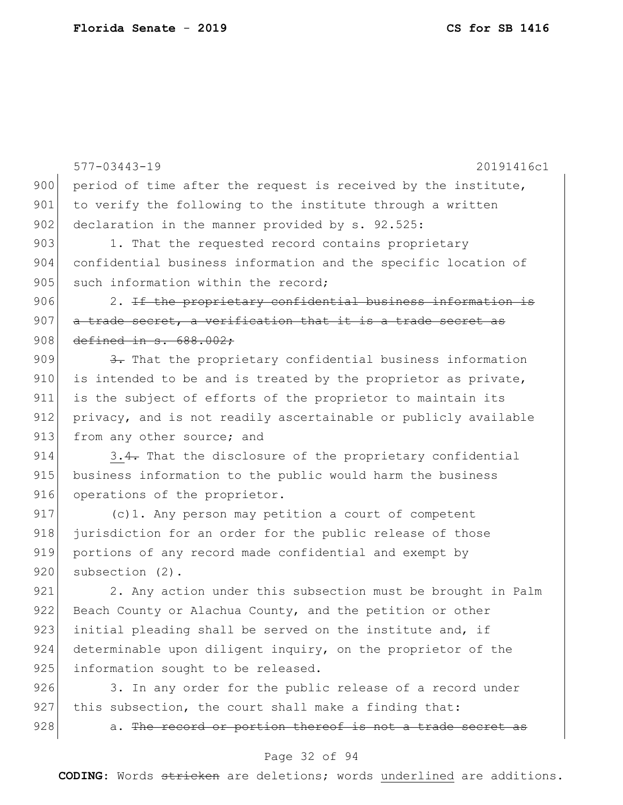577-03443-19 20191416c1 900 period of time after the request is received by the institute, 901 to verify the following to the institute through a written 902 declaration in the manner provided by s. 92.525: 903 1. That the requested record contains proprietary 904 confidential business information and the specific location of 905 such information within the record: 906 2. If the proprictary confidential business information is  $907$  a trade secret, a verification that it is a trade secret as 908 defined in s. 688.002; 909  $\left\vert \frac{3}{2} \right\vert$  That the proprietary confidential business information  $910$  is intended to be and is treated by the proprietor as private, 911 is the subject of efforts of the proprietor to maintain its 912 privacy, and is not readily ascertainable or publicly available 913 from any other source; and 914 3.4. That the disclosure of the proprietary confidential 915 business information to the public would harm the business 916 operations of the proprietor. 917 (c)1. Any person may petition a court of competent 918 jurisdiction for an order for the public release of those 919 portions of any record made confidential and exempt by 920 subsection (2). 921 2. Any action under this subsection must be brought in Palm 922 Beach County or Alachua County, and the petition or other 923 initial pleading shall be served on the institute and, if 924 determinable upon diligent inquiry, on the proprietor of the 925 information sought to be released. 926 3. In any order for the public release of a record under

927 this subsection, the court shall make a finding that:

 $928$  a. The record or portion thereof is not a trade secret as

#### Page 32 of 94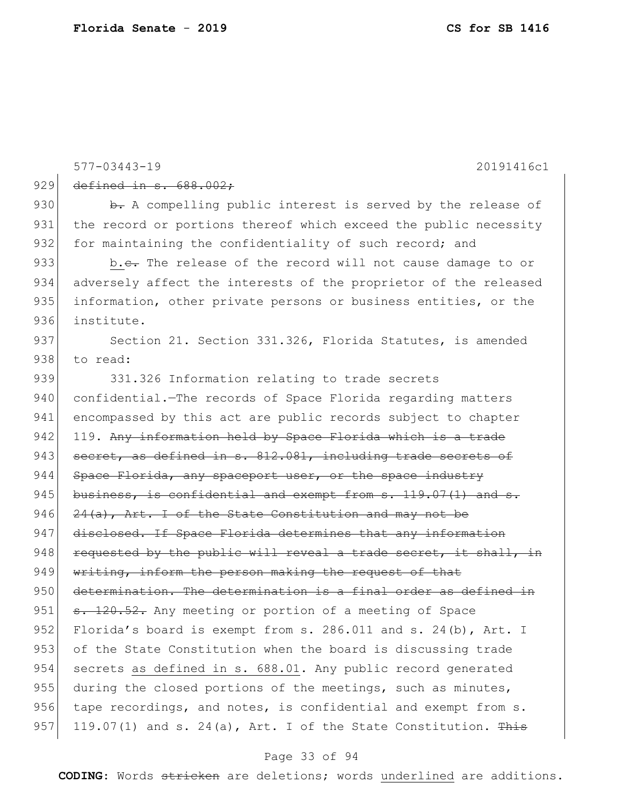577-03443-19 20191416c1 929 defined in s. 688.002; 930 b. A compelling public interest is served by the release of 931 the record or portions thereof which exceed the public necessity 932 for maintaining the confidentiality of such record; and 933 b.c. The release of the record will not cause damage to or 934 adversely affect the interests of the proprietor of the released 935 information, other private persons or business entities, or the 936 institute. 937 Section 21. Section 331.326, Florida Statutes, is amended 938 to read: 939 331.326 Information relating to trade secrets 940 confidential.—The records of Space Florida regarding matters 941 encompassed by this act are public records subject to chapter 942 119. Any information held by Space Florida which is a trade 943 secret, as defined in s. 812.081, including trade secrets of 944 Space Florida, any spaceport user, or the space industry  $945$  business, is confidential and exempt from s. 119.07(1) and s. 946  $24(a)$ , Art. I of the State Constitution and may not be 947 disclosed. If Space Florida determines that any information 948 requested by the public will reveal a trade secret, it shall, in 949 writing, inform the person making the request of that 950 determination. The determination is a final order as defined in 951 s. 120.52. Any meeting or portion of a meeting of Space 952 Florida's board is exempt from s. 286.011 and s. 24(b), Art. I 953 of the State Constitution when the board is discussing trade 954 secrets as defined in s. 688.01. Any public record generated 955 during the closed portions of the meetings, such as minutes, 956 tape recordings, and notes, is confidential and exempt from s. 957 119.07(1) and s. 24(a), Art. I of the State Constitution. This

#### Page 33 of 94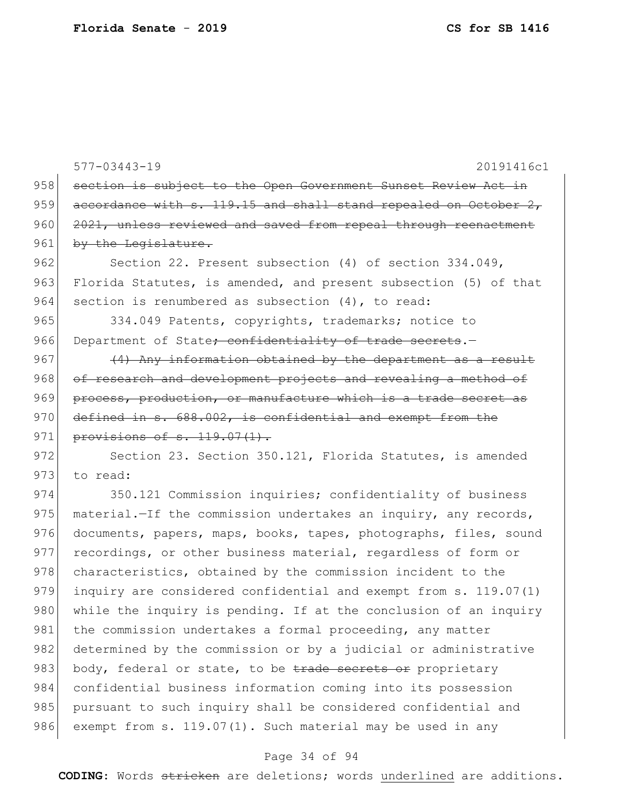577-03443-19 20191416c1 958 section is subject to the Open Government Sunset Review Act in 959  $\vert$  accordance with s. 119.15 and shall stand repealed on October 2, 960 2021, unless reviewed and saved from repeal through reenactment 961 by the Legislature. 962 Section 22. Present subsection (4) of section 334.049, 963 Florida Statutes, is amended, and present subsection (5) of that 964 section is renumbered as subsection (4), to read: 965 334.049 Patents, copyrights, trademarks; notice to 966 Department of State<del>; confidentiality of trade secrets</del>.  $967$  (4) Any information obtained by the department as a result 968 of research and development projects and revealing a method of 969 process, production, or manufacture which is a trade secret as 970 defined in s. 688.002, is confidential and exempt from the 971 provisions of s. 119.07(1). 972 Section 23. Section 350.121, Florida Statutes, is amended 973 to read: 974 350.121 Commission inquiries; confidentiality of business 975 material.—If the commission undertakes an inquiry, any records, 976 documents, papers, maps, books, tapes, photographs, files, sound 977 recordings, or other business material, regardless of form or 978 characteristics, obtained by the commission incident to the 979 inquiry are considered confidential and exempt from s. 119.07(1) 980 while the inquiry is pending. If at the conclusion of an inquiry 981 the commission undertakes a formal proceeding, any matter 982 determined by the commission or by a judicial or administrative 983 body, federal or state, to be trade secrets or proprietary 984 confidential business information coming into its possession 985 pursuant to such inquiry shall be considered confidential and 986 exempt from s.  $119.07(1)$ . Such material may be used in any

#### Page 34 of 94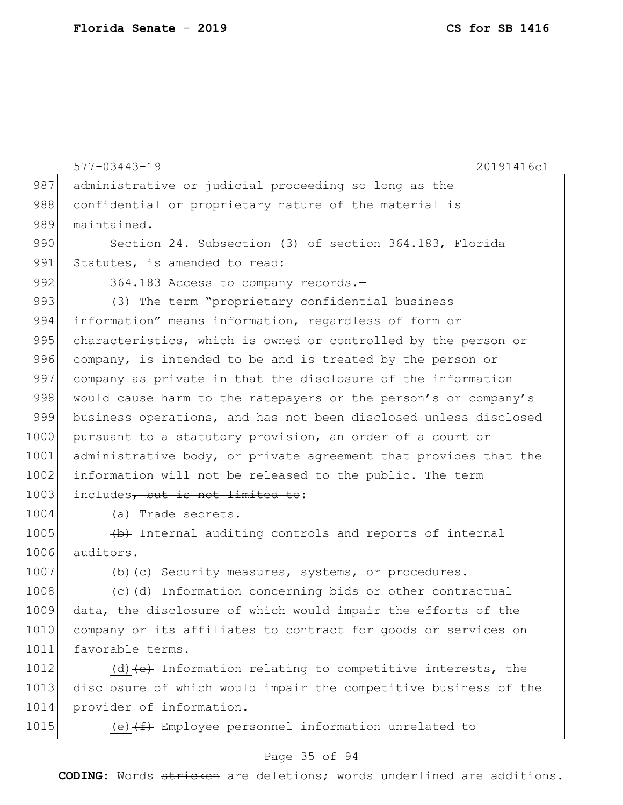577-03443-19 20191416c1 987 administrative or judicial proceeding so long as the 988 confidential or proprietary nature of the material is 989 maintained. 990 Section 24. Subsection (3) of section 364.183, Florida 991 Statutes, is amended to read: 992 364.183 Access to company records. 993 (3) The term "proprietary confidential business 994 information" means information, regardless of form or 995 characteristics, which is owned or controlled by the person or 996 company, is intended to be and is treated by the person or 997 company as private in that the disclosure of the information 998 would cause harm to the ratepayers or the person's or company's 999 business operations, and has not been disclosed unless disclosed 1000 pursuant to a statutory provision, an order of a court or 1001 administrative body, or private agreement that provides that the 1002 information will not be released to the public. The term 1003 includes, but is not limited to:

1004 (a) Trade secrets.

 $1005$  (b) Internal auditing controls and reports of internal 1006 auditors.

1007 (b) $\left\langle e\right\rangle$  Security measures, systems, or procedures.

 $1008$  (c) $\left(\frac{d}{d}\right)$  Information concerning bids or other contractual 1009 data, the disclosure of which would impair the efforts of the 1010 company or its affiliates to contract for goods or services on 1011 favorable terms.

1012 (d)  $\left(e\right)$  Information relating to competitive interests, the 1013 disclosure of which would impair the competitive business of the 1014 provider of information.

1015 (e) $(f)$  Employee personnel information unrelated to

## Page 35 of 94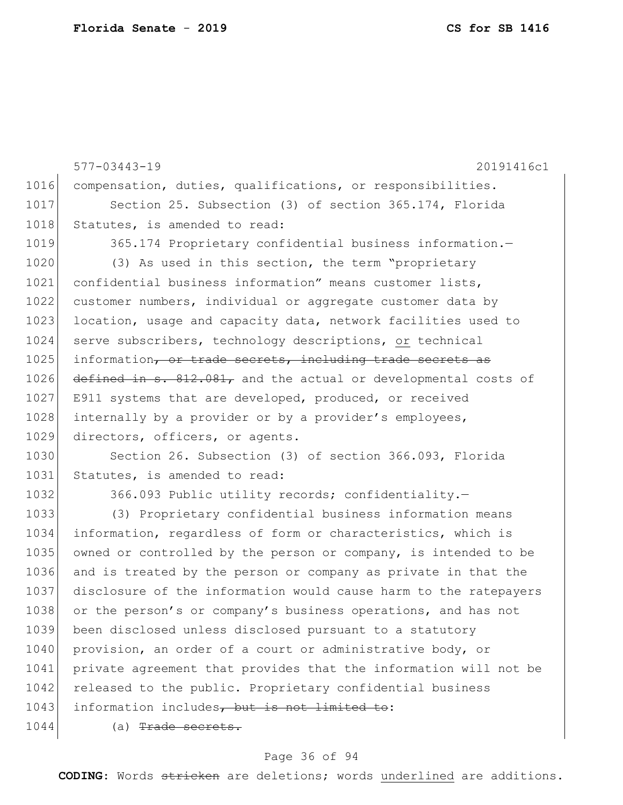577-03443-19 20191416c1 1016 compensation, duties, qualifications, or responsibilities. 1017 Section 25. Subsection (3) of section 365.174, Florida 1018 Statutes, is amended to read: 1019 365.174 Proprietary confidential business information.-1020 (3) As used in this section, the term "proprietary 1021 confidential business information" means customer lists, 1022 customer numbers, individual or aggregate customer data by 1023 location, usage and capacity data, network facilities used to 1024 serve subscribers, technology descriptions, or technical 1025 information, or trade secrets, including trade secrets as 1026 defined in s. 812.081, and the actual or developmental costs of 1027 E911 systems that are developed, produced, or received 1028 internally by a provider or by a provider's employees, 1029 directors, officers, or agents. 1030 Section 26. Subsection (3) of section 366.093, Florida 1031 Statutes, is amended to read: 1032 366.093 Public utility records; confidentiality. 1033 (3) Proprietary confidential business information means 1034 information, regardless of form or characteristics, which is 1035 owned or controlled by the person or company, is intended to be 1036 and is treated by the person or company as private in that the 1037 disclosure of the information would cause harm to the ratepayers 1038 or the person's or company's business operations, and has not 1039 been disclosed unless disclosed pursuant to a statutory 1040 provision, an order of a court or administrative body, or 1041 private agreement that provides that the information will not be 1042 released to the public. Proprietary confidential business 1043 information includes, but is not limited to: 1044 (a) Trade secrets.

#### Page 36 of 94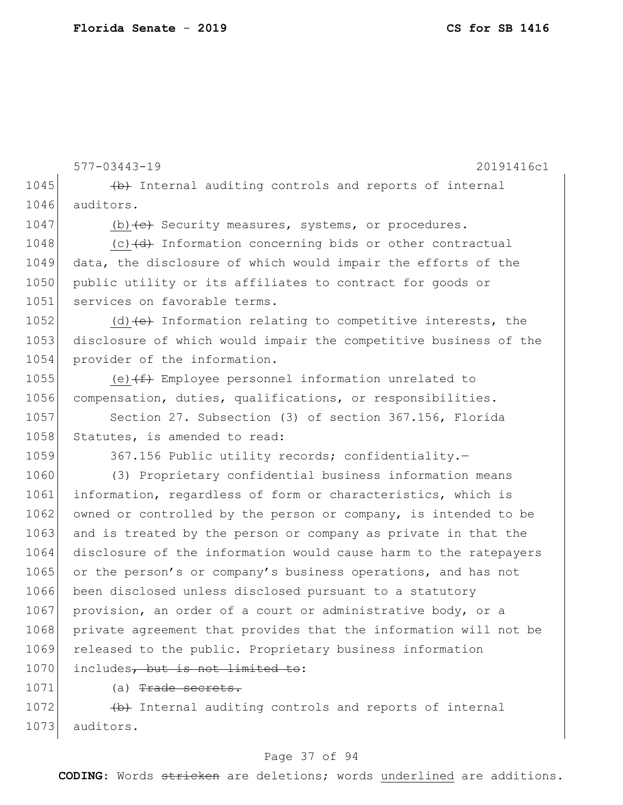577-03443-19 20191416c1 1045  $\leftarrow$  +b+ Internal auditing controls and reports of internal 1046 auditors. 1047 (b)  $\left\langle e\right\rangle$  Security measures, systems, or procedures. 1048  $(c)$  (c)  $(d)$  Information concerning bids or other contractual 1049 data, the disclosure of which would impair the efforts of the 1050 public utility or its affiliates to contract for goods or 1051 services on favorable terms. 1052 (d) $\left\{ e \right\}$  Information relating to competitive interests, the 1053 disclosure of which would impair the competitive business of the 1054 provider of the information. 1055 (e) $(f+$  Employee personnel information unrelated to 1056 compensation, duties, qualifications, or responsibilities. 1057 Section 27. Subsection (3) of section 367.156, Florida 1058 Statutes, is amended to read: 1059 367.156 Public utility records; confidentiality. 1060 (3) Proprietary confidential business information means 1061 information, regardless of form or characteristics, which is 1062 owned or controlled by the person or company, is intended to be 1063 and is treated by the person or company as private in that the 1064 disclosure of the information would cause harm to the ratepayers 1065 or the person's or company's business operations, and has not 1066 been disclosed unless disclosed pursuant to a statutory 1067 provision, an order of a court or administrative body, or a 1068 private agreement that provides that the information will not be 1069 released to the public. Proprietary business information 1070 includes, but is not limited to: 1071 (a) Trade secrets.

 $1072$  (b) Internal auditing controls and reports of internal 1073 auditors.

## Page 37 of 94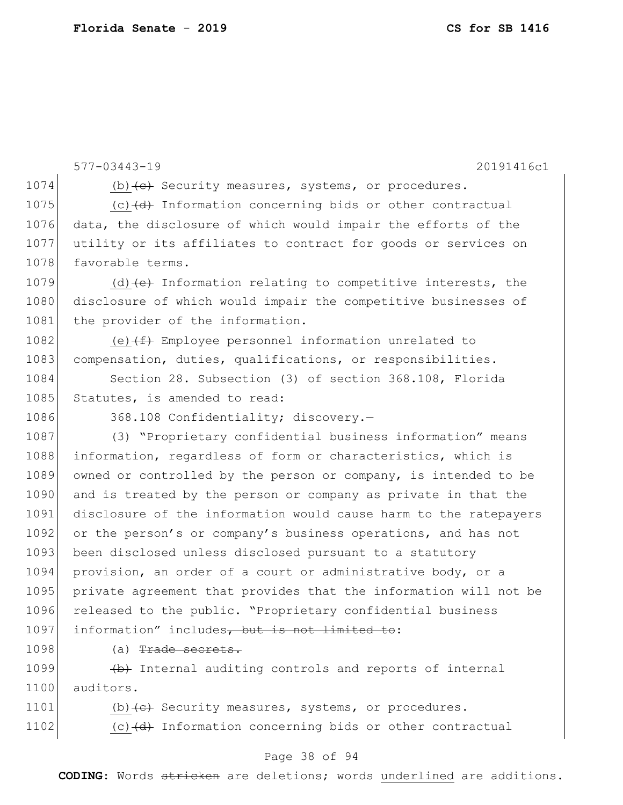577-03443-19 20191416c1 1074 (b)  $\left\langle e\right\rangle$  Security measures, systems, or procedures. 1075  $(c)$  (c)  $(d)$  Information concerning bids or other contractual 1076 data, the disclosure of which would impair the efforts of the 1077 utility or its affiliates to contract for goods or services on 1078 favorable terms. 1079 (d) $\left\{ e \right\}$  Information relating to competitive interests, the 1080 disclosure of which would impair the competitive businesses of 1081 the provider of the information. 1082 (e) $(f+$  Employee personnel information unrelated to 1083 compensation, duties, qualifications, or responsibilities. 1084 Section 28. Subsection (3) of section 368.108, Florida 1085 Statutes, is amended to read: 1086 368.108 Confidentiality; discovery.-1087 (3) "Proprietary confidential business information" means 1088 information, regardless of form or characteristics, which is 1089 owned or controlled by the person or company, is intended to be 1090 and is treated by the person or company as private in that the 1091 disclosure of the information would cause harm to the ratepayers 1092 or the person's or company's business operations, and has not 1093 been disclosed unless disclosed pursuant to a statutory 1094 provision, an order of a court or administrative body, or a 1095 private agreement that provides that the information will not be 1096 released to the public. "Proprietary confidential business 1097 information" includes, but is not limited to: 1098 (a) Trade secrets.

 $1099$  (b) Internal auditing controls and reports of internal 1100 auditors.

1101 (b) $\left\langle e\right\rangle$  Security measures, systems, or procedures. 1102  $(c)$  (c)  $(d)$  Information concerning bids or other contractual

## Page 38 of 94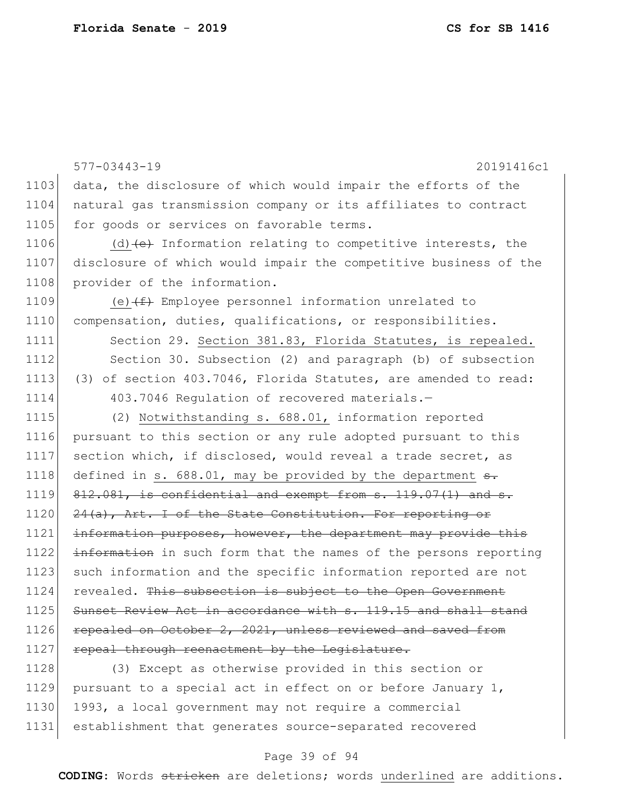577-03443-19 20191416c1 1103 data, the disclosure of which would impair the efforts of the 1104 | natural gas transmission company or its affiliates to contract 1105 for goods or services on favorable terms. 1106 (d) $\left\{ e\right\}$  Information relating to competitive interests, the 1107 disclosure of which would impair the competitive business of the 1108 provider of the information. 1109 (e) $(f)$  Employee personnel information unrelated to 1110 compensation, duties, qualifications, or responsibilities. 1111 Section 29. Section 381.83, Florida Statutes, is repealed. 1112 Section 30. Subsection (2) and paragraph (b) of subsection 1113 (3) of section 403.7046, Florida Statutes, are amended to read: 1114 403.7046 Regulation of recovered materials.-1115 (2) Notwithstanding s. 688.01, information reported 1116 pursuant to this section or any rule adopted pursuant to this 1117 section which, if disclosed, would reveal a trade secret, as 1118 defined in s.  $688.01$ , may be provided by the department  $s$ .  $1119$   $812.081$ , is confidential and exempt from s.  $119.07(1)$  and s. 1120 24(a), Art. I of the State Constitution. For reporting or 1121 information purposes, however, the department may provide this 1122 information in such form that the names of the persons reporting 1123 such information and the specific information reported are not 1124 revealed. This subsection is subject to the Open Government 1125 Sunset Review Act in accordance with s. 119.15 and shall stand 1126 repealed on October 2, 2021, unless reviewed and saved from 1127 repeal through reenactment by the Legislature. 1128 (3) Except as otherwise provided in this section or 1129 pursuant to a special act in effect on or before January 1, 1130 1993, a local government may not require a commercial

## Page 39 of 94

1131 establishment that generates source-separated recovered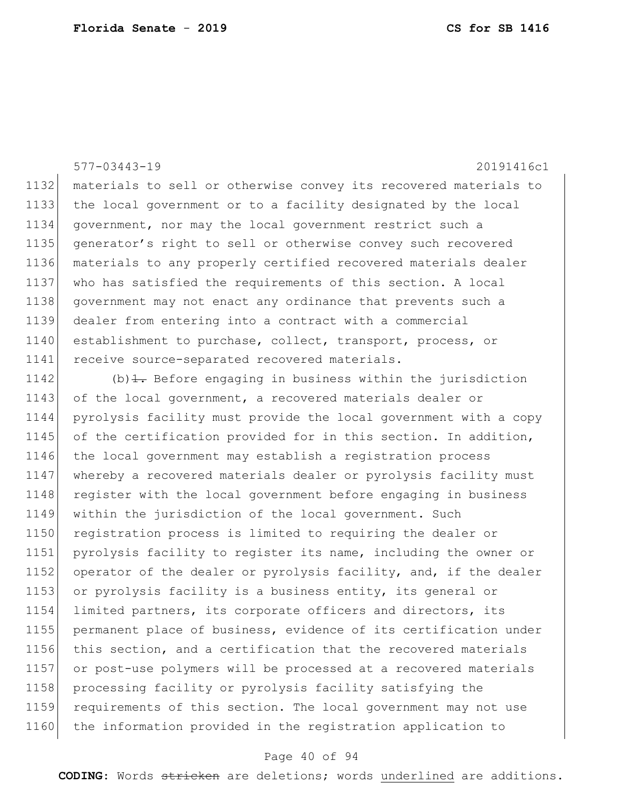577-03443-19 20191416c1

 materials to sell or otherwise convey its recovered materials to the local government or to a facility designated by the local government, nor may the local government restrict such a generator's right to sell or otherwise convey such recovered materials to any properly certified recovered materials dealer 1137 who has satisfied the requirements of this section. A local 1138 government may not enact any ordinance that prevents such a dealer from entering into a contract with a commercial 1140 establishment to purchase, collect, transport, process, or receive source-separated recovered materials.

1142 (b) $\pm$ . Before engaging in business within the jurisdiction 1143 of the local government, a recovered materials dealer or 1144 pyrolysis facility must provide the local government with a copy 1145 of the certification provided for in this section. In addition, 1146 the local government may establish a registration process 1147 whereby a recovered materials dealer or pyrolysis facility must 1148 register with the local government before engaging in business 1149 within the jurisdiction of the local government. Such 1150 registration process is limited to requiring the dealer or 1151 pyrolysis facility to register its name, including the owner or 1152 operator of the dealer or pyrolysis facility, and, if the dealer 1153 or pyrolysis facility is a business entity, its general or 1154 limited partners, its corporate officers and directors, its 1155 permanent place of business, evidence of its certification under 1156 this section, and a certification that the recovered materials 1157 or post-use polymers will be processed at a recovered materials 1158 processing facility or pyrolysis facility satisfying the 1159 requirements of this section. The local government may not use 1160 the information provided in the registration application to

## Page 40 of 94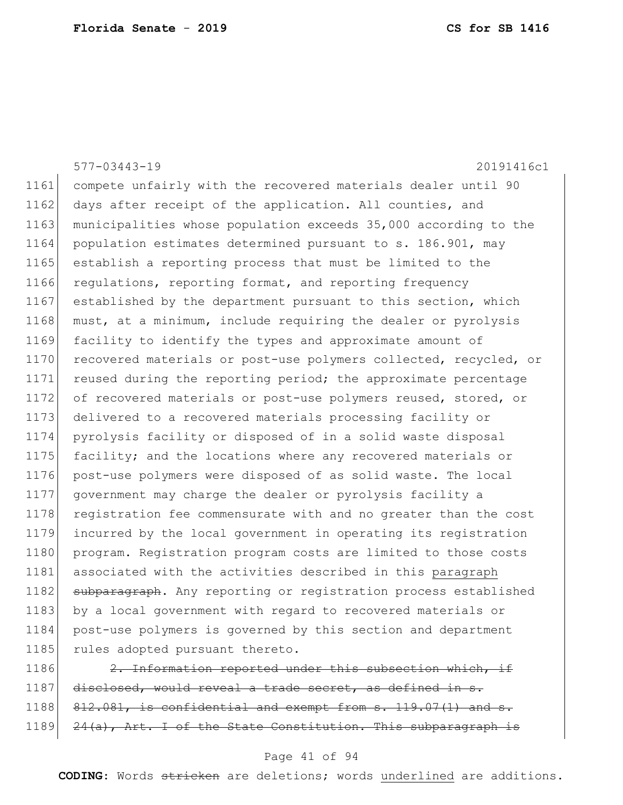|      | $577 - 03443 - 19$<br>20191416c1                                 |
|------|------------------------------------------------------------------|
| 1161 | compete unfairly with the recovered materials dealer until 90    |
| 1162 | days after receipt of the application. All counties, and         |
| 1163 | municipalities whose population exceeds 35,000 according to the  |
| 1164 | population estimates determined pursuant to s. 186.901, may      |
| 1165 | establish a reporting process that must be limited to the        |
| 1166 | regulations, reporting format, and reporting frequency           |
| 1167 | established by the department pursuant to this section, which    |
| 1168 | must, at a minimum, include requiring the dealer or pyrolysis    |
| 1169 | facility to identify the types and approximate amount of         |
| 1170 | recovered materials or post-use polymers collected, recycled, or |
| 1171 | reused during the reporting period; the approximate percentage   |
| 1172 | of recovered materials or post-use polymers reused, stored, or   |
| 1173 | delivered to a recovered materials processing facility or        |
| 1174 | pyrolysis facility or disposed of in a solid waste disposal      |
| 1175 | facility; and the locations where any recovered materials or     |
| 1176 | post-use polymers were disposed of as solid waste. The local     |
| 1177 | government may charge the dealer or pyrolysis facility a         |
| 1178 | registration fee commensurate with and no greater than the cost  |
| 1179 | incurred by the local government in operating its registration   |
| 1180 | program. Registration program costs are limited to those costs   |
| 1181 | associated with the activities described in this paragraph       |
| 1182 | subparagraph. Any reporting or registration process established  |
| 1183 | by a local government with regard to recovered materials or      |
| 1184 | post-use polymers is governed by this section and department     |
| 1185 | rules adopted pursuant thereto.                                  |
| 1186 | 2. Information reported under this subsection which, if          |

1187 disclosed, would reveal a trade secret, as defined in s.  $812.081$ , is confidential and exempt from s. 119.07(1) and s. 1189 24(a), Art. I of the State Constitution. This subparagraph is

## Page 41 of 94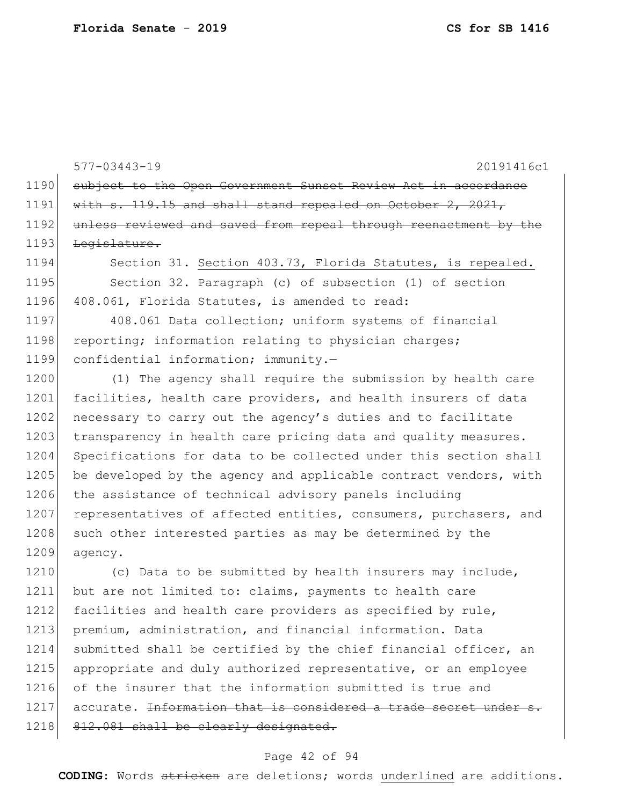1190 subject to the Open Government Sunset Review Act in accordance 1191 with s. 119.15 and shall stand repealed on October 2, 2021, 1192 unless reviewed and saved from repeal through reenactment by the 1193 <del>Legislature.</del> 1194 Section 31. Section 403.73, Florida Statutes, is repealed. 1195 Section 32. Paragraph (c) of subsection (1) of section 1196 408.061, Florida Statutes, is amended to read: 1197 408.061 Data collection; uniform systems of financial 1198 reporting; information relating to physician charges; 1199 confidential information; immunity.— 1200 (1) The agency shall require the submission by health care 1201 facilities, health care providers, and health insurers of data 1202 necessary to carry out the agency's duties and to facilitate 1203 transparency in health care pricing data and quality measures. 1204 Specifications for data to be collected under this section shall 1205 be developed by the agency and applicable contract vendors, with 1206 the assistance of technical advisory panels including 1207 representatives of affected entities, consumers, purchasers, and 1208 such other interested parties as may be determined by the 1209 agency. 1210 (c) Data to be submitted by health insurers may include, 1211 but are not limited to: claims, payments to health care 1212 facilities and health care providers as specified by rule,

577-03443-19 20191416c1

1214 submitted shall be certified by the chief financial officer, an 1215 appropriate and duly authorized representative, or an employee 1216 of the insurer that the information submitted is true and  $1217$  accurate. <del>Information that is considered a trade secret under</del> 1218 812.081 shall be clearly designated.

1213 premium, administration, and financial information. Data

### Page 42 of 94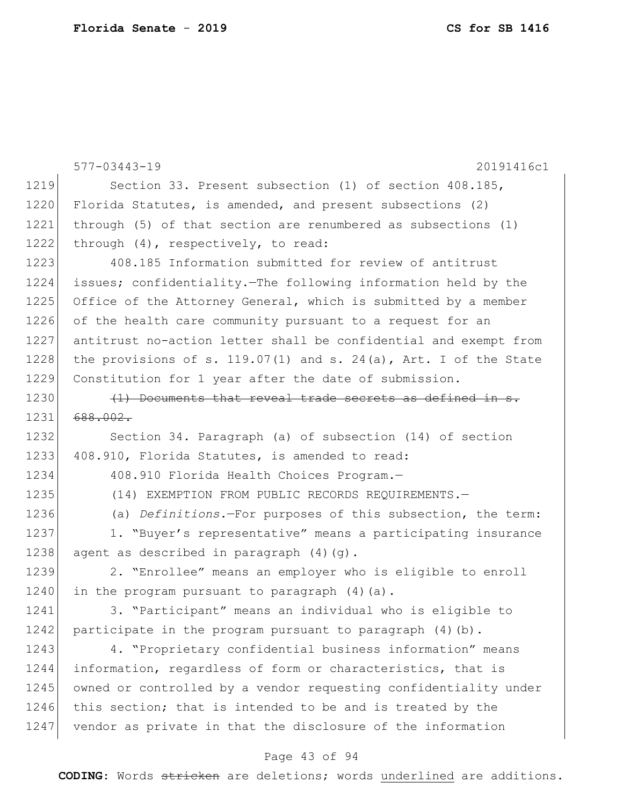577-03443-19 20191416c1 1219 Section 33. Present subsection (1) of section 408.185, 1220 Florida Statutes, is amended, and present subsections (2) 1221 through (5) of that section are renumbered as subsections (1) 1222 through (4), respectively, to read: 1223 408.185 Information submitted for review of antitrust 1224 issues; confidentiality.—The following information held by the 1225 Office of the Attorney General, which is submitted by a member 1226 of the health care community pursuant to a request for an 1227 antitrust no-action letter shall be confidential and exempt from 1228 the provisions of s. 119.07(1) and s. 24(a), Art. I of the State 1229 Constitution for 1 year after the date of submission.  $1230$  (1) Documents that reveal trade secrets as defined in 1231 688.002. 1232 Section 34. Paragraph (a) of subsection (14) of section 1233 408.910, Florida Statutes, is amended to read: 1234 408.910 Florida Health Choices Program.-1235 (14) EXEMPTION FROM PUBLIC RECORDS REQUIREMENTS. 1236 (a) *Definitions.*—For purposes of this subsection, the term: 1237 1. "Buyer's representative" means a participating insurance 1238 agent as described in paragraph (4)(g). 1239 2. "Enrollee" means an employer who is eligible to enroll 1240 in the program pursuant to paragraph  $(4)$   $(a)$ . 1241 3. "Participant" means an individual who is eligible to 1242 participate in the program pursuant to paragraph  $(4)(b)$ . 1243 4. "Proprietary confidential business information" means 1244 information, regardless of form or characteristics, that is 1245 owned or controlled by a vendor requesting confidentiality under 1246 this section; that is intended to be and is treated by the 1247 vendor as private in that the disclosure of the information

## Page 43 of 94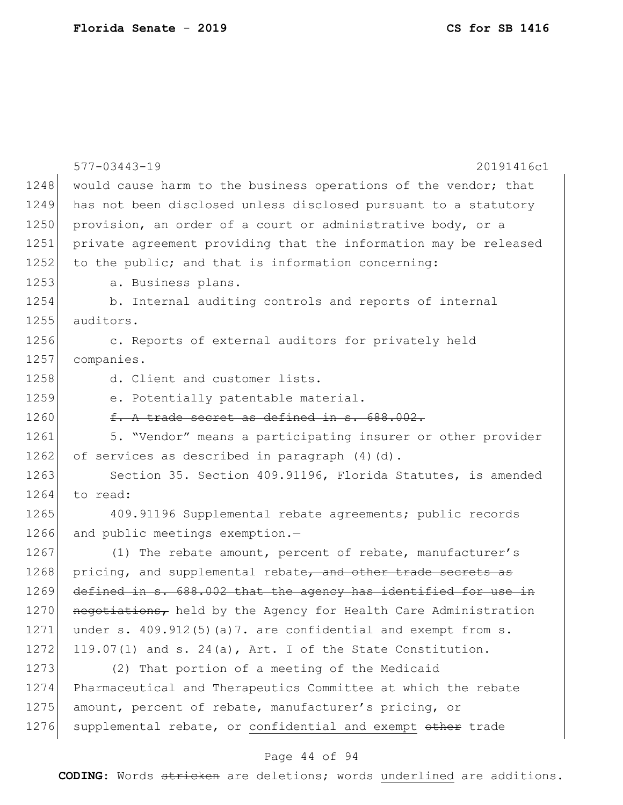|      | $577 - 03443 - 19$<br>20191416c1                                 |
|------|------------------------------------------------------------------|
| 1248 | would cause harm to the business operations of the vendor; that  |
| 1249 | has not been disclosed unless disclosed pursuant to a statutory  |
| 1250 | provision, an order of a court or administrative body, or a      |
| 1251 | private agreement providing that the information may be released |
| 1252 | to the public; and that is information concerning:               |
| 1253 | a. Business plans.                                               |
| 1254 | b. Internal auditing controls and reports of internal            |
| 1255 | auditors.                                                        |
| 1256 | c. Reports of external auditors for privately held               |
| 1257 | companies.                                                       |
| 1258 | d. Client and customer lists.                                    |
| 1259 | e. Potentially patentable material.                              |
| 1260 | f. A trade secret as defined in s. 688.002.                      |
| 1261 | 5. "Vendor" means a participating insurer or other provider      |
| 1262 | of services as described in paragraph (4)(d).                    |
| 1263 | Section 35. Section 409.91196, Florida Statutes, is amended      |
| 1264 | to read:                                                         |
| 1265 | 409.91196 Supplemental rebate agreements; public records         |
| 1266 | and public meetings exemption.-                                  |
| 1267 | (1) The rebate amount, percent of rebate, manufacturer's         |
| 1268 | pricing, and supplemental rebate, and other trade secrets as     |
| 1269 | defined in s. 688.002 that the agency has identified for use in  |
| 1270 | negotiations, held by the Agency for Health Care Administration  |
| 1271 | under s. $409.912(5)$ (a)7. are confidential and exempt from s.  |
| 1272 | $119.07(1)$ and s. 24(a), Art. I of the State Constitution.      |
| 1273 | (2) That portion of a meeting of the Medicaid                    |
| 1274 | Pharmaceutical and Therapeutics Committee at which the rebate    |
| 1275 | amount, percent of rebate, manufacturer's pricing, or            |
| 1276 | supplemental rebate, or confidential and exempt other trade      |

# Page 44 of 94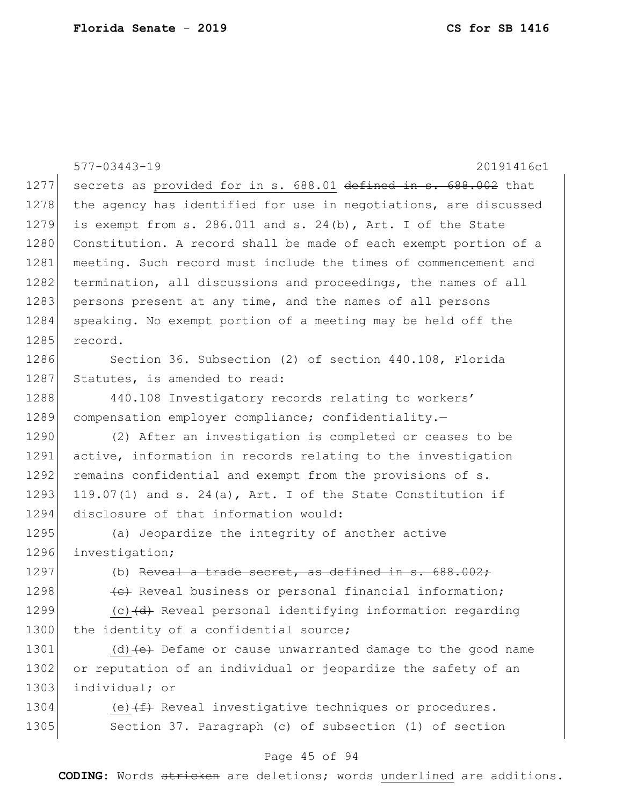|      | $577 - 03443 - 19$<br>20191416c1                                                         |
|------|------------------------------------------------------------------------------------------|
| 1277 | secrets as provided for in s. 688.01 defined in s. 688.002 that                          |
| 1278 | the agency has identified for use in negotiations, are discussed                         |
| 1279 | is exempt from s. 286.011 and s. 24(b), Art. I of the State                              |
| 1280 | Constitution. A record shall be made of each exempt portion of a                         |
| 1281 | meeting. Such record must include the times of commencement and                          |
| 1282 | termination, all discussions and proceedings, the names of all                           |
| 1283 | persons present at any time, and the names of all persons                                |
| 1284 | speaking. No exempt portion of a meeting may be held off the                             |
| 1285 | record.                                                                                  |
| 1286 | Section 36. Subsection (2) of section 440.108, Florida                                   |
| 1287 | Statutes, is amended to read:                                                            |
| 1288 | 440.108 Investigatory records relating to workers'                                       |
| 1289 | compensation employer compliance; confidentiality.-                                      |
| 1290 | (2) After an investigation is completed or ceases to be                                  |
| 1291 | active, information in records relating to the investigation                             |
| 1292 | remains confidential and exempt from the provisions of s.                                |
| 1293 | 119.07(1) and s. 24(a), Art. I of the State Constitution if                              |
| 1294 | disclosure of that information would:                                                    |
| 1295 | (a) Jeopardize the integrity of another active                                           |
| 1296 | investigation;                                                                           |
| 1297 | (b) Reveal a trade secret, as defined in $s. 688.002$ ;                                  |
| 1298 | (e) Reveal business or personal financial information;                                   |
| 1299 | (c) (d) Reveal personal identifying information regarding                                |
| 1300 | the identity of a confidential source;                                                   |
| 1301 | (d) $\left\{\leftrightarrow\right\}$ Defame or cause unwarranted damage to the good name |
| 1302 | or reputation of an individual or jeopardize the safety of an                            |
| 1303 | individual; or                                                                           |
| 1304 | (e) $(f+)$ Reveal investigative techniques or procedures.                                |
| 1305 | Section 37. Paragraph (c) of subsection (1) of section                                   |
|      |                                                                                          |

# Page 45 of 94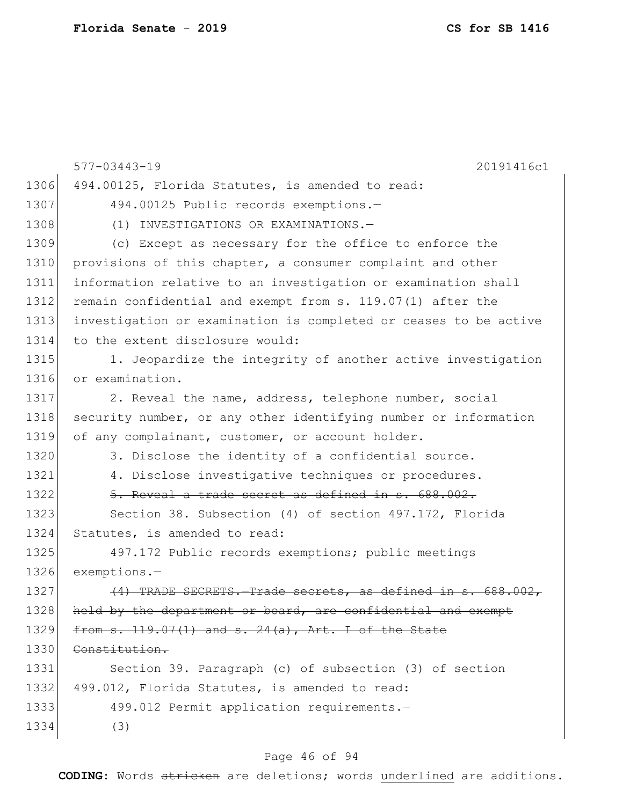|      | $577 - 03443 - 19$<br>20191416c1                                 |
|------|------------------------------------------------------------------|
| 1306 | 494.00125, Florida Statutes, is amended to read:                 |
| 1307 | 494.00125 Public records exemptions.-                            |
| 1308 | (1) INVESTIGATIONS OR EXAMINATIONS.-                             |
| 1309 | (c) Except as necessary for the office to enforce the            |
| 1310 | provisions of this chapter, a consumer complaint and other       |
| 1311 | information relative to an investigation or examination shall    |
| 1312 | remain confidential and exempt from s. 119.07(1) after the       |
| 1313 | investigation or examination is completed or ceases to be active |
| 1314 | to the extent disclosure would:                                  |
| 1315 | 1. Jeopardize the integrity of another active investigation      |
| 1316 | or examination.                                                  |
| 1317 | 2. Reveal the name, address, telephone number, social            |
| 1318 | security number, or any other identifying number or information  |
| 1319 | of any complainant, customer, or account holder.                 |
| 1320 | 3. Disclose the identity of a confidential source.               |
| 1321 | 4. Disclose investigative techniques or procedures.              |
| 1322 | 5. Reveal a trade secret as defined in s. 688.002.               |
| 1323 | Section 38. Subsection (4) of section 497.172, Florida           |
| 1324 | Statutes, is amended to read:                                    |
| 1325 | 497.172 Public records exemptions; public meetings               |
| 1326 | $exemptions. -$                                                  |
| 1327 | (4) TRADE SECRETS. Trade secrets, as defined in s. 688.002,      |
| 1328 | held by the department or board, are confidential and exempt     |
| 1329 | from s. 119.07(1) and s. 24(a), Art. I of the State              |
| 1330 | Constitution.                                                    |
| 1331 | Section 39. Paragraph (c) of subsection (3) of section           |
| 1332 | 499.012, Florida Statutes, is amended to read:                   |
| 1333 | 499.012 Permit application requirements.-                        |
| 1334 | (3)                                                              |
|      |                                                                  |

# Page 46 of 94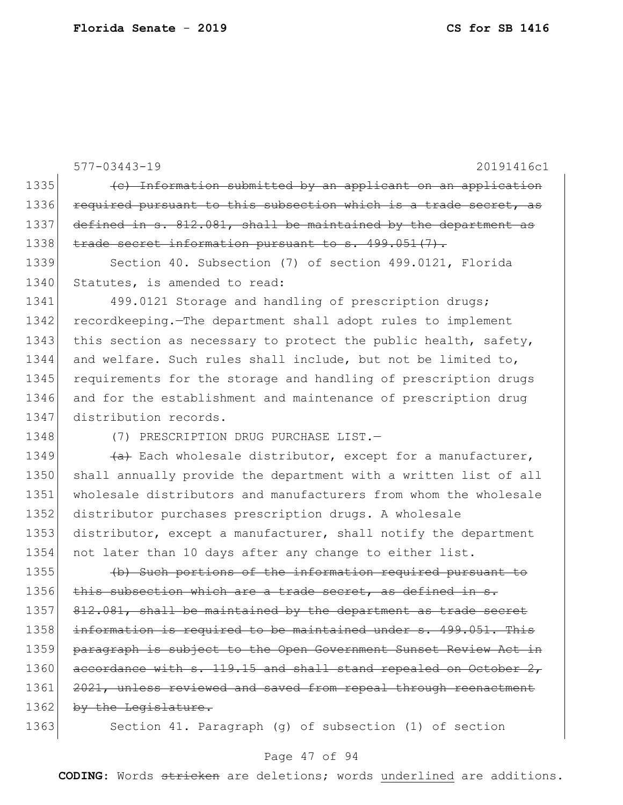577-03443-19 20191416c1 1335 (c) Information submitted by an applicant on an application 1336 required pursuant to this subsection which is a trade secret, as 1337 defined in s.  $812.081$ , shall be maintained by the department as 1338 trade secret information pursuant to s. 499.051(7). 1339 Section 40. Subsection (7) of section 499.0121, Florida 1340 Statutes, is amended to read: 1341 499.0121 Storage and handling of prescription drugs; 1342 recordkeeping.—The department shall adopt rules to implement 1343 this section as necessary to protect the public health, safety, 1344 and welfare. Such rules shall include, but not be limited to, 1345 requirements for the storage and handling of prescription drugs 1346 and for the establishment and maintenance of prescription drug 1347 distribution records. 1348 (7) PRESCRIPTION DRUG PURCHASE LIST. 1349  $\left(4\right)$  Each wholesale distributor, except for a manufacturer, 1350 shall annually provide the department with a written list of all 1351 wholesale distributors and manufacturers from whom the wholesale 1352 distributor purchases prescription drugs. A wholesale 1353 distributor, except a manufacturer, shall notify the department 1354 not later than 10 days after any change to either list. 1355 (b) Such portions of the information required pursuant to 1356 this subsection which are a trade secret, as defined in 1357 812.081, shall be maintained by the department as trade secret 1358 information is required to be maintained under s. 499.051. This 1359 paragraph is subject to the Open Government Sunset Review Act in 1360 accordance with s. 119.15 and shall stand repealed on October 2, 1361 2021, unless reviewed and saved from repeal through reenactment 1362 by the Legislature. 1363 Section 41. Paragraph (g) of subsection (1) of section

## Page 47 of 94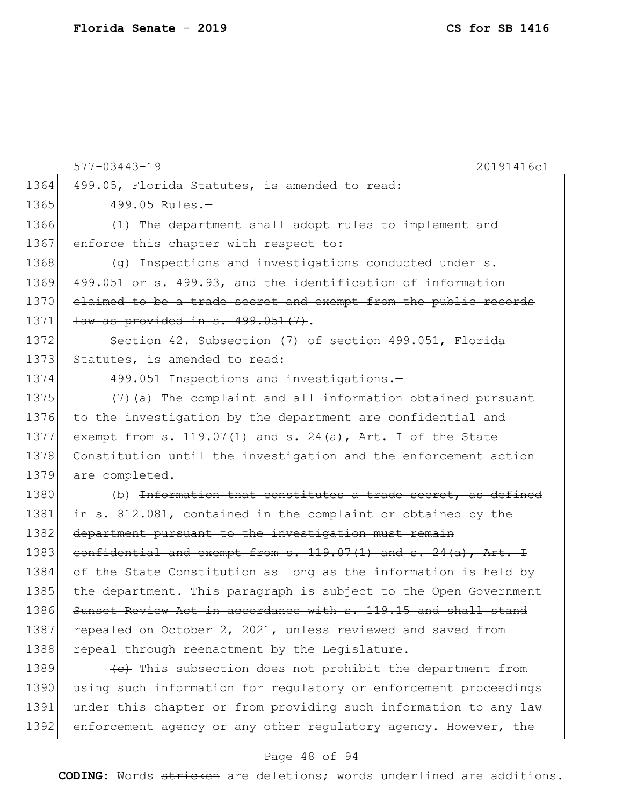|      | 20191416c1                                                             |
|------|------------------------------------------------------------------------|
|      | $577 - 03443 - 19$                                                     |
| 1364 | 499.05, Florida Statutes, is amended to read:                          |
| 1365 | 499.05 Rules.-                                                         |
| 1366 | (1) The department shall adopt rules to implement and                  |
| 1367 | enforce this chapter with respect to:                                  |
| 1368 | $(q)$ Inspections and investigations conducted under s.                |
| 1369 | 499.051 or s. 499.93, and the identification of information            |
| 1370 | elaimed to be a trade secret and exempt from the public records        |
| 1371 | law as provided in s. 499.051(7).                                      |
| 1372 | Section 42. Subsection (7) of section 499.051, Florida                 |
| 1373 | Statutes, is amended to read:                                          |
| 1374 | 499.051 Inspections and investigations.-                               |
| 1375 | (7) (a) The complaint and all information obtained pursuant            |
| 1376 | to the investigation by the department are confidential and            |
| 1377 | exempt from s. 119.07(1) and s. 24(a), Art. I of the State             |
| 1378 | Constitution until the investigation and the enforcement action        |
| 1379 | are completed.                                                         |
| 1380 | (b) <del>Information that constitutes a trade secret, as defined</del> |
| 1381 | in s. 812.081, contained in the complaint or obtained by the           |
| 1382 | department pursuant to the investigation must remain                   |
| 1383 | confidential and exempt from $s. 119.07(1)$ and $s. 24(a)$ , Art. I    |
| 1384 | of the State Constitution as long as the information is held by        |
| 1385 | the department. This paragraph is subject to the Open Government       |
| 1386 | Sunset Review Act in accordance with s. 119.15 and shall stand         |
| 1387 | repealed on October 2, 2021, unless reviewed and saved from            |
| 1388 | repeal through reenactment by the Legislature.                         |
| 1389 | (e) This subsection does not prohibit the department from              |
| 1390 | using such information for regulatory or enforcement proceedings       |
| 1391 | under this chapter or from providing such information to any law       |
| 1392 | enforcement agency or any other regulatory agency. However, the        |

# Page 48 of 94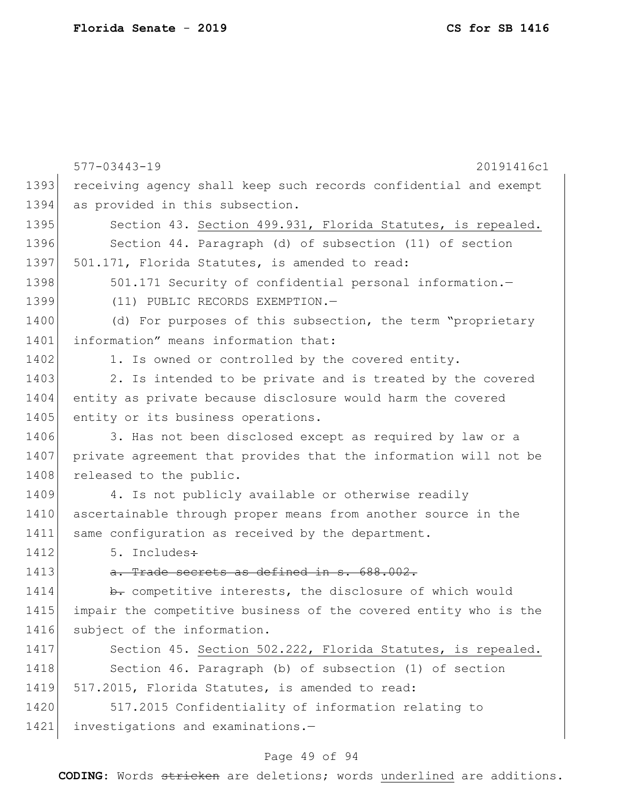|      | $577 - 03443 - 19$<br>20191416c1                                 |
|------|------------------------------------------------------------------|
| 1393 | receiving agency shall keep such records confidential and exempt |
| 1394 | as provided in this subsection.                                  |
| 1395 | Section 43. Section 499.931, Florida Statutes, is repealed.      |
| 1396 | Section 44. Paragraph (d) of subsection (11) of section          |
| 1397 | 501.171, Florida Statutes, is amended to read:                   |
| 1398 | 501.171 Security of confidential personal information.-          |
| 1399 | (11) PUBLIC RECORDS EXEMPTION.-                                  |
| 1400 | (d) For purposes of this subsection, the term "proprietary       |
| 1401 | information" means information that:                             |
| 1402 | 1. Is owned or controlled by the covered entity.                 |
| 1403 | 2. Is intended to be private and is treated by the covered       |
| 1404 | entity as private because disclosure would harm the covered      |
| 1405 | entity or its business operations.                               |
| 1406 | 3. Has not been disclosed except as required by law or a         |
| 1407 | private agreement that provides that the information will not be |
| 1408 | released to the public.                                          |
| 1409 | 4. Is not publicly available or otherwise readily                |
| 1410 | ascertainable through proper means from another source in the    |
| 1411 | same configuration as received by the department.                |
| 1412 | 5. Includes:                                                     |
| 1413 | a. Trade secrets as defined in s. 688.002.                       |
| 1414 | b. competitive interests, the disclosure of which would          |
| 1415 | impair the competitive business of the covered entity who is the |
| 1416 | subject of the information.                                      |
| 1417 | Section 45. Section 502.222, Florida Statutes, is repealed.      |
| 1418 | Section 46. Paragraph (b) of subsection (1) of section           |
| 1419 | 517.2015, Florida Statutes, is amended to read:                  |
| 1420 | 517.2015 Confidentiality of information relating to              |
| 1421 | investigations and examinations.-                                |

# Page 49 of 94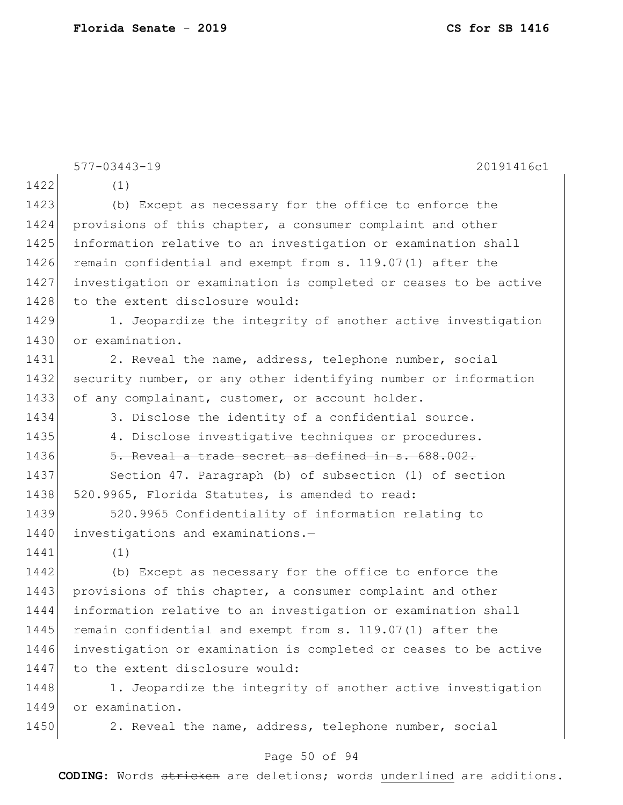|      | $577 - 03443 - 19$<br>20191416c1                                 |
|------|------------------------------------------------------------------|
| 1422 | (1)                                                              |
| 1423 | (b) Except as necessary for the office to enforce the            |
| 1424 | provisions of this chapter, a consumer complaint and other       |
| 1425 | information relative to an investigation or examination shall    |
| 1426 | remain confidential and exempt from s. 119.07(1) after the       |
| 1427 | investigation or examination is completed or ceases to be active |
| 1428 | to the extent disclosure would:                                  |
| 1429 | 1. Jeopardize the integrity of another active investigation      |
| 1430 | or examination.                                                  |
| 1431 | 2. Reveal the name, address, telephone number, social            |
| 1432 | security number, or any other identifying number or information  |
| 1433 | of any complainant, customer, or account holder.                 |
| 1434 | 3. Disclose the identity of a confidential source.               |
| 1435 | 4. Disclose investigative techniques or procedures.              |
| 1436 | 5. Reveal a trade secret as defined in s. 688.002.               |
| 1437 | Section 47. Paragraph (b) of subsection (1) of section           |
| 1438 | 520.9965, Florida Statutes, is amended to read:                  |
| 1439 | 520.9965 Confidentiality of information relating to              |
| 1440 | investigations and examinations.-                                |
| 1441 | (1)                                                              |
| 1442 | (b) Except as necessary for the office to enforce the            |
| 1443 | provisions of this chapter, a consumer complaint and other       |
| 1444 | information relative to an investigation or examination shall    |
| 1445 | remain confidential and exempt from s. 119.07(1) after the       |
| 1446 | investigation or examination is completed or ceases to be active |
| 1447 | to the extent disclosure would:                                  |
| 1448 | 1. Jeopardize the integrity of another active investigation      |
| 1449 | or examination.                                                  |
| 1450 | 2. Reveal the name, address, telephone number, social            |

# Page 50 of 94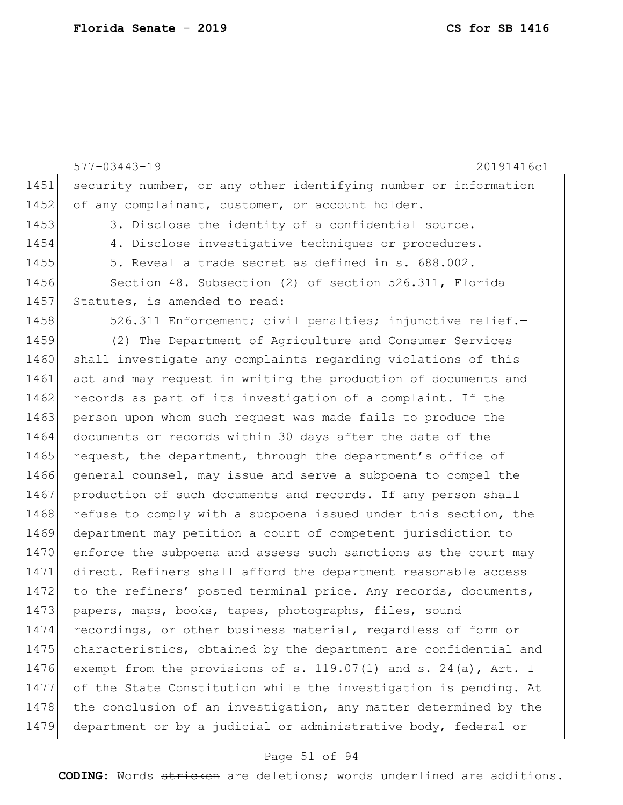|      | $577 - 03443 - 19$<br>20191416c1                                 |
|------|------------------------------------------------------------------|
| 1451 | security number, or any other identifying number or information  |
| 1452 | of any complainant, customer, or account holder.                 |
| 1453 | 3. Disclose the identity of a confidential source.               |
| 1454 | 4. Disclose investigative techniques or procedures.              |
| 1455 | 5. Reveal a trade secret as defined in s. 688.002.               |
| 1456 | Section 48. Subsection (2) of section 526.311, Florida           |
| 1457 | Statutes, is amended to read:                                    |
| 1458 | 526.311 Enforcement; civil penalties; injunctive relief.-        |
| 1459 | (2) The Department of Agriculture and Consumer Services          |
| 1460 | shall investigate any complaints regarding violations of this    |
| 1461 | act and may request in writing the production of documents and   |
| 1462 | records as part of its investigation of a complaint. If the      |
| 1463 | person upon whom such request was made fails to produce the      |
| 1464 | documents or records within 30 days after the date of the        |
| 1465 | request, the department, through the department's office of      |
| 1466 | general counsel, may issue and serve a subpoena to compel the    |
| 1467 | production of such documents and records. If any person shall    |
| 1468 | refuse to comply with a subpoena issued under this section, the  |
| 1469 | department may petition a court of competent jurisdiction to     |
| 1470 | enforce the subpoena and assess such sanctions as the court may  |
| 1471 | direct. Refiners shall afford the department reasonable access   |
| 1472 | to the refiners' posted terminal price. Any records, documents,  |
| 1473 | papers, maps, books, tapes, photographs, files, sound            |
| 1474 | recordings, or other business material, regardless of form or    |
| 1475 | characteristics, obtained by the department are confidential and |
| 1476 | exempt from the provisions of s. 119.07(1) and s. 24(a), Art. I  |
| 1477 | of the State Constitution while the investigation is pending. At |
| 1478 | the conclusion of an investigation, any matter determined by the |
| 1479 | department or by a judicial or administrative body, federal or   |

# Page 51 of 94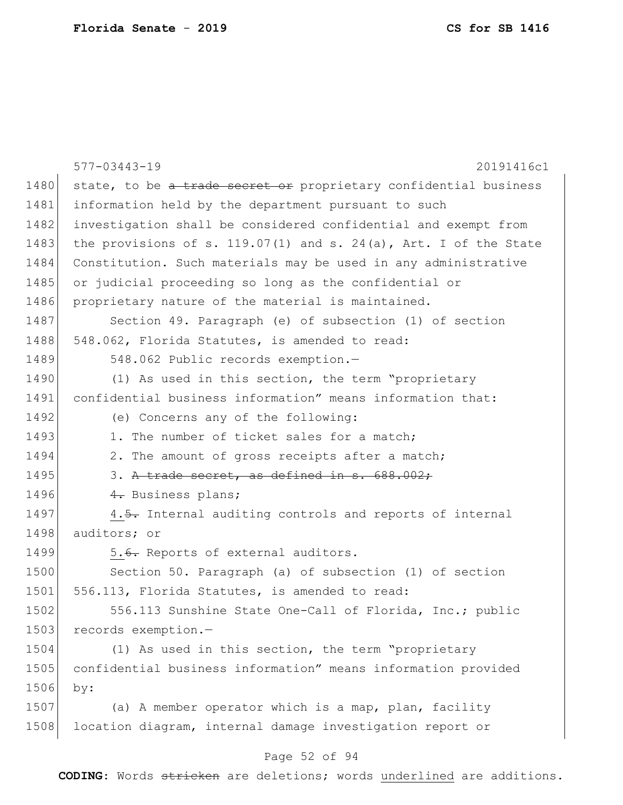|      | $577 - 03443 - 19$<br>20191416c1                                 |
|------|------------------------------------------------------------------|
| 1480 | state, to be a trade secret or proprietary confidential business |
| 1481 | information held by the department pursuant to such              |
| 1482 | investigation shall be considered confidential and exempt from   |
| 1483 | the provisions of s. 119.07(1) and s. 24(a), Art. I of the State |
| 1484 | Constitution. Such materials may be used in any administrative   |
| 1485 | or judicial proceeding so long as the confidential or            |
| 1486 | proprietary nature of the material is maintained.                |
| 1487 | Section 49. Paragraph (e) of subsection (1) of section           |
| 1488 | 548.062, Florida Statutes, is amended to read:                   |
| 1489 | 548.062 Public records exemption.-                               |
| 1490 | (1) As used in this section, the term "proprietary               |
| 1491 | confidential business information" means information that:       |
| 1492 | (e) Concerns any of the following:                               |
| 1493 | 1. The number of ticket sales for a match;                       |
| 1494 | 2. The amount of gross receipts after a match;                   |
| 1495 | 3. A trade secret, as defined in s. 688.002;                     |
| 1496 | 4. Business plans;                                               |
| 1497 | 4.5. Internal auditing controls and reports of internal          |
| 1498 | auditors; or                                                     |
| 1499 | 5.6. Reports of external auditors.                               |
| 1500 | Section 50. Paragraph (a) of subsection (1) of section           |
| 1501 | 556.113, Florida Statutes, is amended to read:                   |
| 1502 | 556.113 Sunshine State One-Call of Florida, Inc.; public         |
| 1503 | records exemption.-                                              |
| 1504 | (1) As used in this section, the term "proprietary               |
| 1505 | confidential business information" means information provided    |
| 1506 | by:                                                              |
| 1507 | (a) A member operator which is a map, plan, facility             |
| 1508 | location diagram, internal damage investigation report or        |

# Page 52 of 94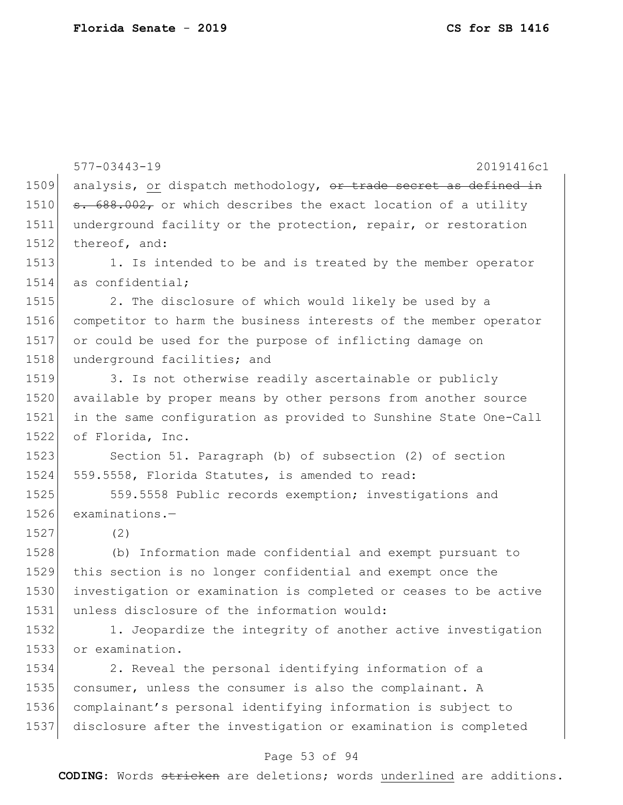577-03443-19 20191416c1 Page 53 of 94 1509 analysis, or dispatch methodology, or trade secret as defined in  $\sigma$ . 688.002, or which describes the exact location of a utility underground facility or the protection, repair, or restoration 1512 thereof, and: 1513 1. Is intended to be and is treated by the member operator as confidential; 1515 2. The disclosure of which would likely be used by a competitor to harm the business interests of the member operator or could be used for the purpose of inflicting damage on 1518 underground facilities; and 1519 3. Is not otherwise readily ascertainable or publicly 1520 available by proper means by other persons from another source in the same configuration as provided to Sunshine State One-Call of Florida, Inc. 1523 Section 51. Paragraph (b) of subsection (2) of section 559.5558, Florida Statutes, is amended to read: 1525 559.5558 Public records exemption; investigations and examinations.— 1527 (2) (b) Information made confidential and exempt pursuant to this section is no longer confidential and exempt once the investigation or examination is completed or ceases to be active unless disclosure of the information would: 1. Jeopardize the integrity of another active investigation or examination. 2. Reveal the personal identifying information of a consumer, unless the consumer is also the complainant. A complainant's personal identifying information is subject to disclosure after the investigation or examination is completed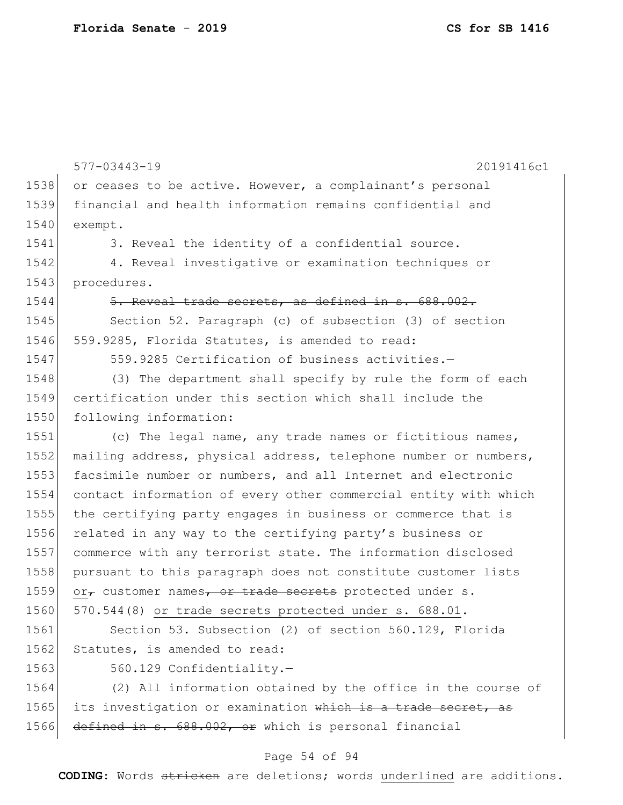577-03443-19 20191416c1 1538 or ceases to be active. However, a complainant's personal 1539 financial and health information remains confidential and 1540 exempt. 1541 3. Reveal the identity of a confidential source. 1542 4. Reveal investigative or examination techniques or 1543 procedures. 1544 5. Reveal trade secrets, as defined in s. 688.002. 1545 Section 52. Paragraph (c) of subsection (3) of section 1546 559.9285, Florida Statutes, is amended to read: 1547 559.9285 Certification of business activities.-1548 (3) The department shall specify by rule the form of each 1549 certification under this section which shall include the 1550 following information: 1551 (c) The legal name, any trade names or fictitious names, 1552 mailing address, physical address, telephone number or numbers, 1553 facsimile number or numbers, and all Internet and electronic 1554 contact information of every other commercial entity with which 1555 the certifying party engages in business or commerce that is 1556 related in any way to the certifying party's business or 1557 commerce with any terrorist state. The information disclosed 1558 pursuant to this paragraph does not constitute customer lists 1559 or $_{\tau}$  customer names, or trade secrets protected under s. 1560 570.544(8) or trade secrets protected under s. 688.01. 1561 Section 53. Subsection (2) of section 560.129, Florida 1562 Statutes, is amended to read: 1563 560.129 Confidentiality.-1564 (2) All information obtained by the office in the course of 1565 its investigation or examination which is a trade secret, as 1566 defined in s. 688.002, or which is personal financial

## Page 54 of 94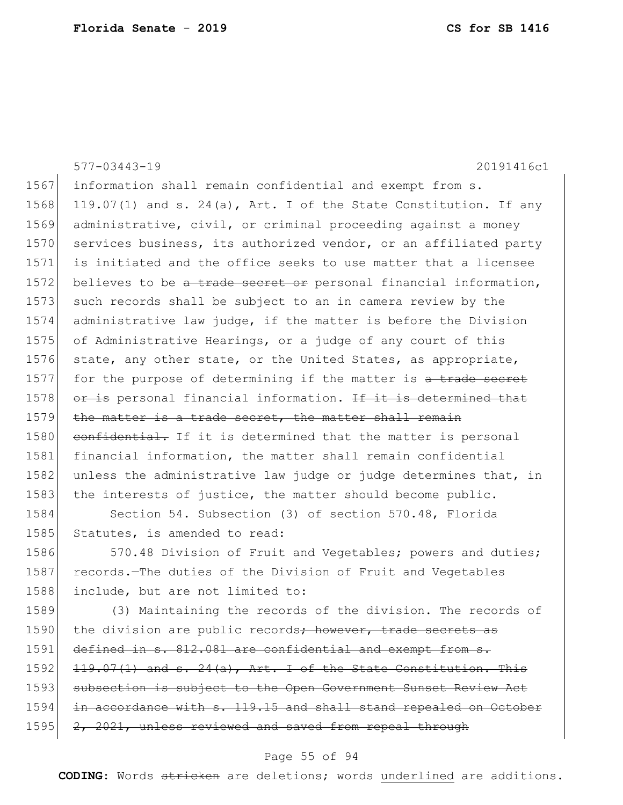|      | $577 - 03443 - 19$<br>20191416c1                                 |
|------|------------------------------------------------------------------|
| 1567 | information shall remain confidential and exempt from s.         |
| 1568 | 119.07(1) and s. 24(a), Art. I of the State Constitution. If any |
| 1569 | administrative, civil, or criminal proceeding against a money    |
| 1570 | services business, its authorized vendor, or an affiliated party |
| 1571 | is initiated and the office seeks to use matter that a licensee  |
| 1572 | believes to be a trade secret or personal financial information, |
| 1573 | such records shall be subject to an in camera review by the      |
| 1574 | administrative law judge, if the matter is before the Division   |
| 1575 | of Administrative Hearings, or a judge of any court of this      |
| 1576 | state, any other state, or the United States, as appropriate,    |
| 1577 | for the purpose of determining if the matter is a trade secret   |
| 1578 | or is personal financial information. If it is determined that   |
| 1579 | the matter is a trade secret, the matter shall remain            |
| 1580 | confidential. If it is determined that the matter is personal    |
| 1581 | financial information, the matter shall remain confidential      |
| 1582 | unless the administrative law judge or judge determines that, in |
| 1583 | the interests of justice, the matter should become public.       |
| 1584 | Section 54. Subsection (3) of section 570.48, Florida            |
| 1585 | Statutes, is amended to read:                                    |
| 1586 | 570.48 Division of Fruit and Vegetables; powers and duties;      |
| 1587 | records. The duties of the Division of Fruit and Vegetables      |
| 1588 | include, but are not limited to:                                 |
| 1589 | (3) Maintaining the records of the division. The records of      |
| 1590 | the division are public records; however, trade secrets as       |
| 1591 | defined in s. 812.081 are confidential and exempt from s.        |
| 1592 | $119.07(1)$ and s. 24(a), Art. I of the State Constitution. This |
| 1593 | subsection is subject to the Open Government Sunset Review Act   |

1594 in accordance with s. 119.15 and shall stand repealed on October 1595 2, 2021, unless reviewed and saved from repeal through

## Page 55 of 94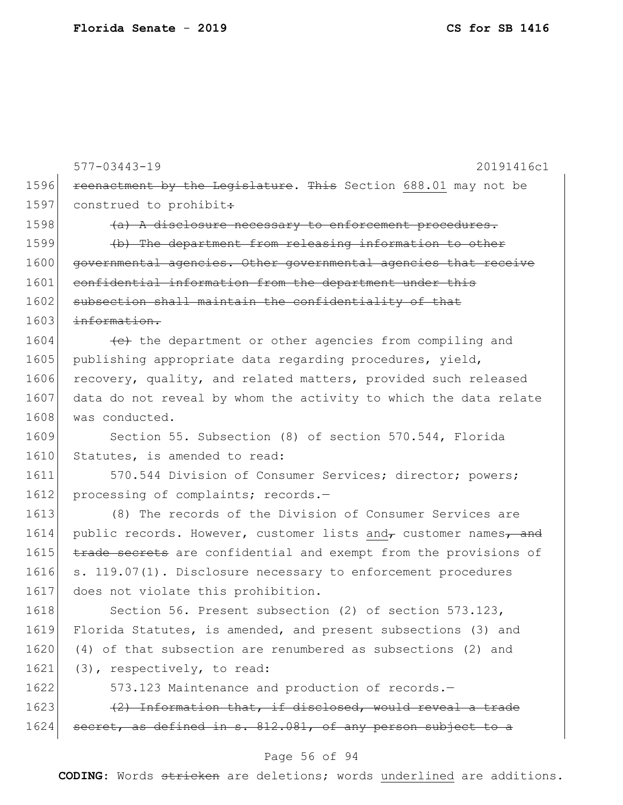577-03443-19 20191416c1 1596 reenactment by the Legislature. This Section 688.01 may not be 1597 construed to prohibit:  $1598$  (a) A disclosure necessary to enforcement procedures. 1599 (b) The department from releasing information to other 1600 governmental agencies. Other governmental agencies that receive 1601 confidential information from the department under this 1602 subsection shall maintain the confidentiality of that 1603 information.  $1604$  (e) the department or other agencies from compiling and 1605 publishing appropriate data regarding procedures, yield, 1606 recovery, quality, and related matters, provided such released 1607 data do not reveal by whom the activity to which the data relate 1608 was conducted. 1609 Section 55. Subsection (8) of section 570.544, Florida 1610 Statutes, is amended to read: 1611 570.544 Division of Consumer Services; director; powers; 1612 processing of complaints; records.-1613 (8) The records of the Division of Consumer Services are 1614 public records. However, customer lists and customer names, and 1615 trade secrets are confidential and exempt from the provisions of 1616 s. 119.07(1). Disclosure necessary to enforcement procedures 1617 does not violate this prohibition. 1618 Section 56. Present subsection (2) of section 573.123, 1619 Florida Statutes, is amended, and present subsections (3) and 1620 (4) of that subsection are renumbered as subsections (2) and 1621 (3), respectively, to read: 1622 573.123 Maintenance and production of records.  $1623$  (2) Information that, if disclosed, would reveal a trade 1624 secret, as defined in s. 812.081, of any person subject to a

## Page 56 of 94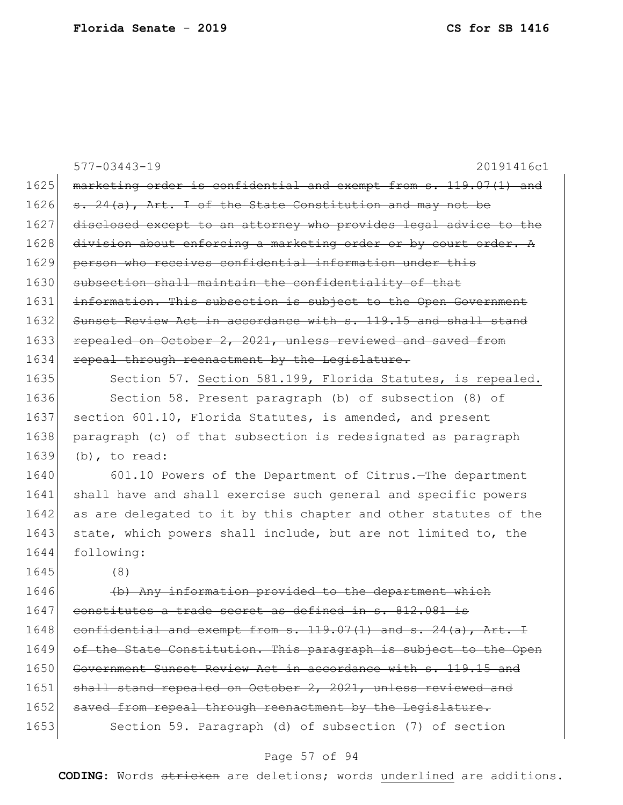|      | 577-03443-19<br>20191416c1                                               |
|------|--------------------------------------------------------------------------|
| 1625 | marketing order is confidential and exempt from s. 119.07(1) and         |
| 1626 | s. 24(a), Art. I of the State Constitution and may not be                |
| 1627 | disclosed except to an attorney who provides legal advice to the         |
| 1628 | division about enforcing a marketing order or by court order. A          |
| 1629 | person who receives confidential information under this                  |
| 1630 | subsection shall maintain the confidentiality of that                    |
| 1631 | information. This subsection is subject to the Open Government           |
| 1632 | Sunset Review Act in accordance with s. 119.15 and shall stand           |
| 1633 | repealed on October 2, 2021, unless reviewed and saved from              |
| 1634 | repeal through reenactment by the Legislature.                           |
| 1635 | Section 57. Section 581.199, Florida Statutes, is repealed.              |
| 1636 | Section 58. Present paragraph (b) of subsection (8) of                   |
| 1637 | section 601.10, Florida Statutes, is amended, and present                |
| 1638 | paragraph (c) of that subsection is redesignated as paragraph            |
| 1639 | $(b)$ , to read:                                                         |
| 1640 | 601.10 Powers of the Department of Citrus. The department                |
| 1641 | shall have and shall exercise such general and specific powers           |
| 1642 | as are delegated to it by this chapter and other statutes of the         |
| 1643 | state, which powers shall include, but are not limited to, the           |
| 1644 | following:                                                               |
| 1645 | (8)                                                                      |
| 1646 | Any information provided to the department<br>$\left( \mathrm{b}\right)$ |
| 1647 | constitutes a trade secret as defined in s. 812.081 is                   |
| 1648 | confidential and exempt from s. 119.07(1) and s. 24(a), Art. I           |
| 1649 | of the State Constitution. This paragraph is subject to the Open         |
| 1650 | Government Sunset Review Act in accordance with s. 119.15 and            |
| 1651 | shall stand repealed on October 2, 2021, unless reviewed and             |
| 1652 | saved from repeal through reenactment by the Legislature.                |
| 1653 | Section 59. Paragraph (d) of subsection (7) of section                   |

# Page 57 of 94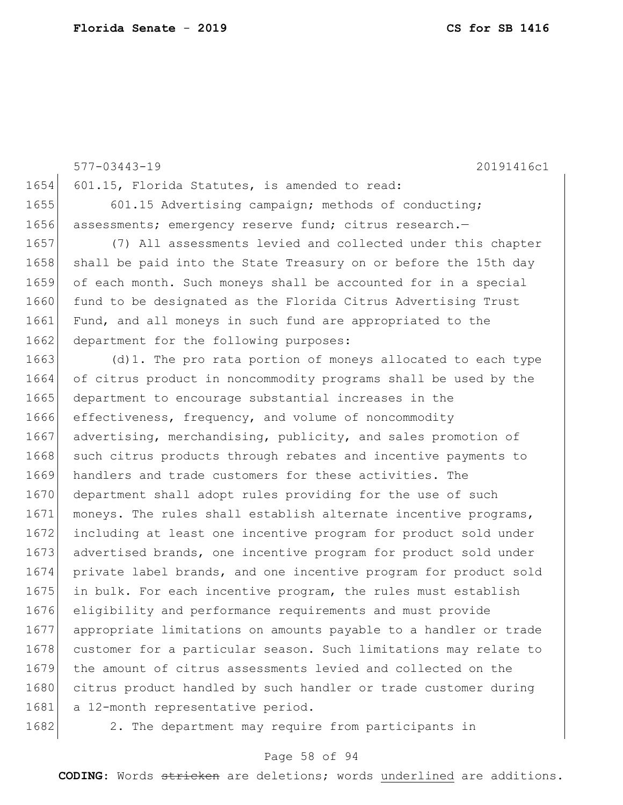577-03443-19 20191416c1 1654 601.15, Florida Statutes, is amended to read: 1655 601.15 Advertising campaign; methods of conducting; 1656 assessments; emergency reserve fund; citrus research. 1657 (7) All assessments levied and collected under this chapter 1658 shall be paid into the State Treasury on or before the 15th day 1659 of each month. Such moneys shall be accounted for in a special 1660 fund to be designated as the Florida Citrus Advertising Trust 1661 Fund, and all moneys in such fund are appropriated to the 1662 department for the following purposes: 1663 (d)1. The pro rata portion of moneys allocated to each type 1664 of citrus product in noncommodity programs shall be used by the 1665 department to encourage substantial increases in the 1666 effectiveness, frequency, and volume of noncommodity 1667 advertising, merchandising, publicity, and sales promotion of 1668 such citrus products through rebates and incentive payments to 1669 handlers and trade customers for these activities. The 1670 department shall adopt rules providing for the use of such 1671 moneys. The rules shall establish alternate incentive programs, 1672 including at least one incentive program for product sold under 1673 advertised brands, one incentive program for product sold under 1674 private label brands, and one incentive program for product sold 1675 in bulk. For each incentive program, the rules must establish 1676 eligibility and performance requirements and must provide 1677 appropriate limitations on amounts payable to a handler or trade 1678 customer for a particular season. Such limitations may relate to 1679 the amount of citrus assessments levied and collected on the 1680 citrus product handled by such handler or trade customer during 1681| a 12-month representative period.

1682 2. The department may require from participants in

## Page 58 of 94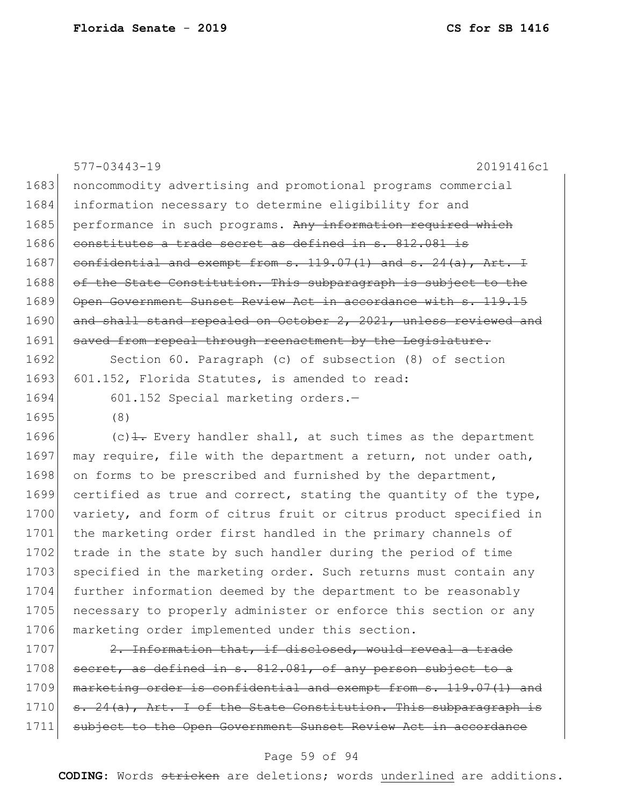|      | $577 - 03443 - 19$<br>20191416c1                                           |
|------|----------------------------------------------------------------------------|
| 1683 | noncommodity advertising and promotional programs commercial               |
| 1684 | information necessary to determine eligibility for and                     |
| 1685 | performance in such programs. Any information required which               |
| 1686 | constitutes a trade secret as defined in s. 812.081 is                     |
| 1687 | confidential and exempt from $s. 119.07(1)$ and $s. 24(a)$ , Art. I        |
| 1688 | of the State Constitution. This subparagraph is subject to the             |
| 1689 | Open Government Sunset Review Act in accordance with s. 119.15             |
| 1690 | and shall stand repealed on October 2, 2021, unless reviewed and           |
| 1691 | saved from repeal through reenactment by the Legislature.                  |
| 1692 | Section 60. Paragraph (c) of subsection (8) of section                     |
| 1693 | 601.152, Florida Statutes, is amended to read:                             |
| 1694 | 601.152 Special marketing orders.-                                         |
| 1695 | (8)                                                                        |
| 1696 | $(c)$ $\frac{1}{1}$ . Every handler shall, at such times as the department |
| 1697 | may require, file with the department a return, not under oath,            |
| 1698 | on forms to be prescribed and furnished by the department,                 |
| 1699 | certified as true and correct, stating the quantity of the type,           |
| 1700 | variety, and form of citrus fruit or citrus product specified in           |
| 1701 | the marketing order first handled in the primary channels of               |
| 1702 | trade in the state by such handler during the period of time               |
| 1703 | specified in the marketing order. Such returns must contain any            |
| 1704 | further information deemed by the department to be reasonably              |
| 1705 | necessary to properly administer or enforce this section or any            |
| 1706 | marketing order implemented under this section.                            |

1707  $\left| \right|$  2. Information that, if disclosed, would reveal a trade 1708 secret, as defined in s. 812.081, of any person subject to a 1709 marketing order is confidential and exempt from s. 119.07(1) and 1710 s. 24(a), Art. I of the State Constitution. This subparagraph is 1711 subject to the Open Government Sunset Review Act in accordance

## Page 59 of 94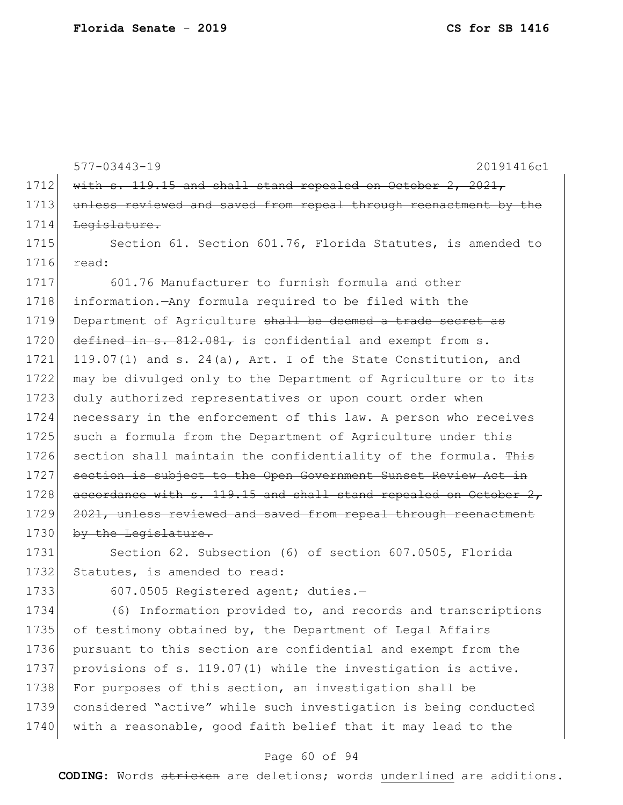577-03443-19 20191416c1 1712  $\text{with } s. 119.15 \text{ and shall stand repeated on October } 2, 2021,$ 1713 unless reviewed and saved from repeal through reenactment by the 1714 Legislature. 1715 Section 61. Section 601.76, Florida Statutes, is amended to 1716 read: 1717 601.76 Manufacturer to furnish formula and other 1718 information.—Any formula required to be filed with the 1719 Department of Agriculture shall be deemed a trade secret as 1720 defined in s. 812.081, is confidential and exempt from s. 1721 119.07(1) and s. 24(a), Art. I of the State Constitution, and 1722 may be divulged only to the Department of Agriculture or to its 1723 duly authorized representatives or upon court order when 1724 necessary in the enforcement of this law. A person who receives 1725 such a formula from the Department of Agriculture under this 1726 section shall maintain the confidentiality of the formula. This 1727 section is subject to the Open Government Sunset Review Act in 1728  $\vert$  accordance with s. 119.15 and shall stand repealed on October 2, 1729 2021, unless reviewed and saved from repeal through reenactment 1730 by the Legislature.

1731 Section 62. Subsection (6) of section 607.0505, Florida 1732 Statutes, is amended to read:

1733 607.0505 Registered agent; duties.-

1734 (6) Information provided to, and records and transcriptions 1735 of testimony obtained by, the Department of Legal Affairs 1736 pursuant to this section are confidential and exempt from the 1737 provisions of s. 119.07(1) while the investigation is active. 1738 For purposes of this section, an investigation shall be 1739 considered "active" while such investigation is being conducted 1740 with a reasonable, good faith belief that it may lead to the

## Page 60 of 94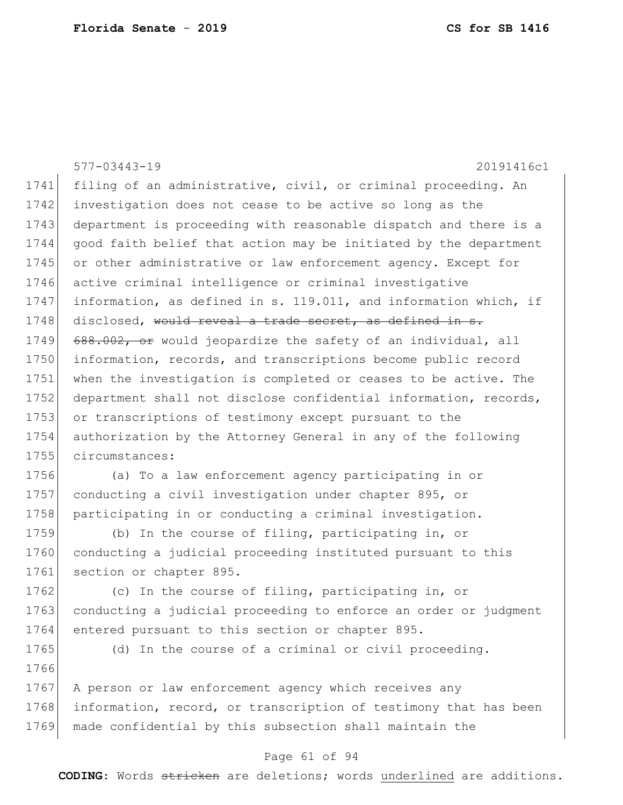|      | $577 - 03443 - 19$<br>20191416c1                                 |
|------|------------------------------------------------------------------|
| 1741 | filing of an administrative, civil, or criminal proceeding. An   |
| 1742 | investigation does not cease to be active so long as the         |
| 1743 | department is proceeding with reasonable dispatch and there is a |
| 1744 | good faith belief that action may be initiated by the department |
| 1745 | or other administrative or law enforcement agency. Except for    |
| 1746 | active criminal intelligence or criminal investigative           |
| 1747 | information, as defined in s. 119.011, and information which, if |
| 1748 | disclosed, would reveal a trade secret, as defined in s.         |
| 1749 | 688.002, or would jeopardize the safety of an individual, all    |
| 1750 | information, records, and transcriptions become public record    |
| 1751 | when the investigation is completed or ceases to be active. The  |
| 1752 | department shall not disclose confidential information, records, |
| 1753 | or transcriptions of testimony except pursuant to the            |
| 1754 | authorization by the Attorney General in any of the following    |
| 1755 | circumstances:                                                   |
| 1756 | (a) To a law enforcement agency participating in or              |
| 1757 | conducting a civil investigation under chapter 895, or           |
| 1758 | participating in or conducting a criminal investigation.         |
| 1759 | (b) In the course of filing, participating in, or                |
| 1760 | conducting a judicial proceeding instituted pursuant to this     |
| 1761 | section or chapter 895.                                          |
| 1762 | (c) In the course of filing, participating in, or                |
| 1763 | conducting a judicial proceeding to enforce an order or judgment |
| 1764 | entered pursuant to this section or chapter 895.                 |
| 1765 | (d) In the course of a criminal or civil proceeding.             |
| 1766 |                                                                  |
| 1767 | A person or law enforcement agency which receives any            |
| 1768 | information, record, or transcription of testimony that has been |
| 1769 | made confidential by this subsection shall maintain the          |

# Page 61 of 94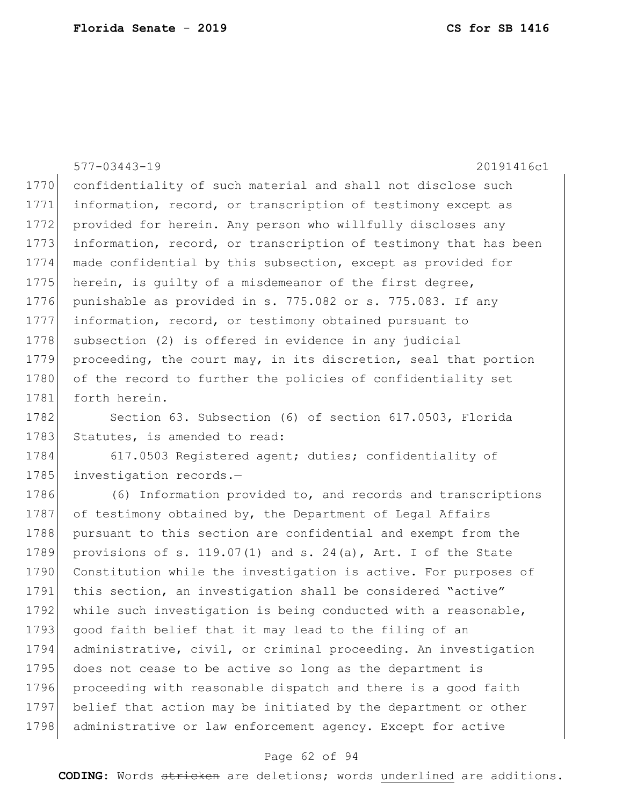577-03443-19 20191416c1 1770 confidentiality of such material and shall not disclose such 1771 information, record, or transcription of testimony except as 1772 provided for herein. Any person who willfully discloses any 1773 information, record, or transcription of testimony that has been 1774 made confidential by this subsection, except as provided for 1775 herein, is quilty of a misdemeanor of the first degree, 1776 punishable as provided in s. 775.082 or s. 775.083. If any 1777 information, record, or testimony obtained pursuant to 1778 subsection (2) is offered in evidence in any judicial 1779 proceeding, the court may, in its discretion, seal that portion 1780 of the record to further the policies of confidentiality set 1781 forth herein. 1782 Section 63. Subsection (6) of section 617.0503, Florida 1783 Statutes, is amended to read: 1784 617.0503 Registered agent; duties; confidentiality of 1785 investigation records.-1786 (6) Information provided to, and records and transcriptions 1787 of testimony obtained by, the Department of Legal Affairs 1788 pursuant to this section are confidential and exempt from the 1789 provisions of s. 119.07(1) and s. 24(a), Art. I of the State 1790 Constitution while the investigation is active. For purposes of 1791 this section, an investigation shall be considered "active" 1792 while such investigation is being conducted with a reasonable, 1793 good faith belief that it may lead to the filing of an 1794 administrative, civil, or criminal proceeding. An investigation 1795 does not cease to be active so long as the department is 1796 proceeding with reasonable dispatch and there is a good faith 1797 belief that action may be initiated by the department or other 1798 administrative or law enforcement agency. Except for active

## Page 62 of 94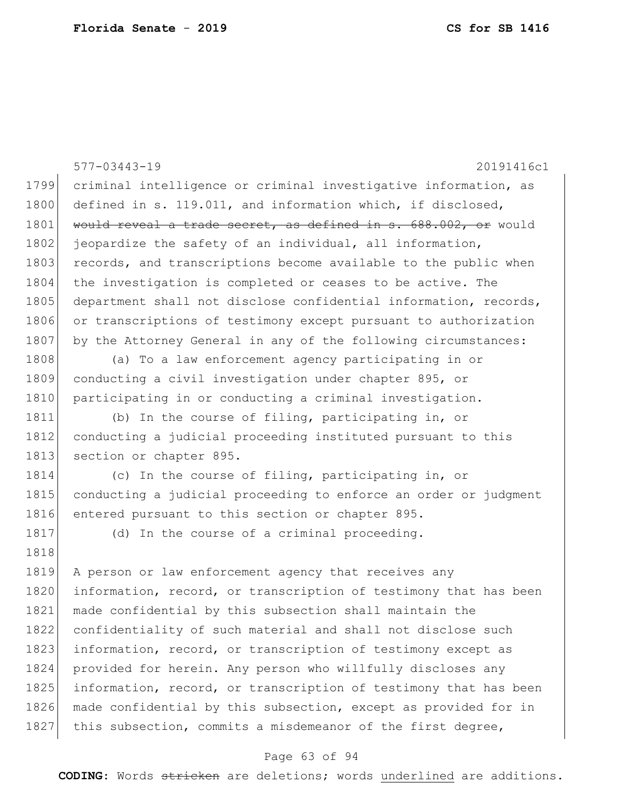|      | 577-03443-19<br>20191416c1                                       |
|------|------------------------------------------------------------------|
| 1799 | criminal intelligence or criminal investigative information, as  |
| 1800 | defined in s. 119.011, and information which, if disclosed,      |
| 1801 | would reveal a trade secret, as defined in s. 688.002, or would  |
| 1802 | jeopardize the safety of an individual, all information,         |
| 1803 | records, and transcriptions become available to the public when  |
| 1804 | the investigation is completed or ceases to be active. The       |
| 1805 | department shall not disclose confidential information, records, |
| 1806 | or transcriptions of testimony except pursuant to authorization  |
| 1807 | by the Attorney General in any of the following circumstances:   |
| 1808 | (a) To a law enforcement agency participating in or              |
| 1809 | conducting a civil investigation under chapter 895, or           |
| 1810 | participating in or conducting a criminal investigation.         |
| 1811 | (b) In the course of filing, participating in, or                |
| 1812 | conducting a judicial proceeding instituted pursuant to this     |
| 1813 | section or chapter 895.                                          |
| 1814 | (c) In the course of filing, participating in, or                |
| 1815 | conducting a judicial proceeding to enforce an order or judgment |
| 1816 | entered pursuant to this section or chapter 895.                 |
| 1817 | (d) In the course of a criminal proceeding.                      |
| 1818 |                                                                  |
| 1819 | A person or law enforcement agency that receives any             |
| 1820 | information, record, or transcription of testimony that has been |
| 1821 | made confidential by this subsection shall maintain the          |
| 1822 | confidentiality of such material and shall not disclose such     |
| 1823 | information, record, or transcription of testimony except as     |
| 1824 | provided for herein. Any person who willfully discloses any      |
| 1825 | information, record, or transcription of testimony that has been |
| 1826 | made confidential by this subsection, except as provided for in  |
| 1827 | this subsection, commits a misdemeanor of the first degree,      |

# Page 63 of 94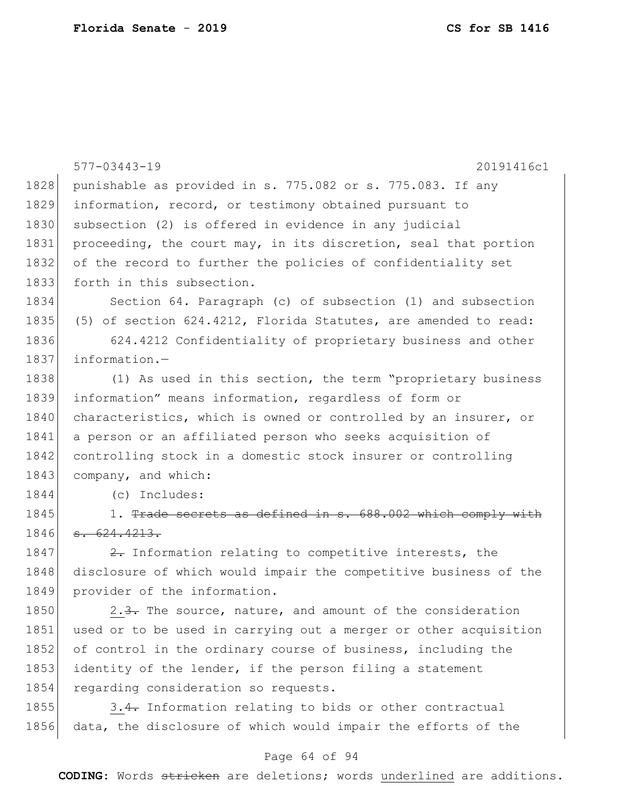|      | $577 - 03443 - 19$<br>20191416c1                                 |
|------|------------------------------------------------------------------|
| 1828 | punishable as provided in s. 775.082 or s. 775.083. If any       |
| 1829 | information, record, or testimony obtained pursuant to           |
| 1830 | subsection (2) is offered in evidence in any judicial            |
| 1831 | proceeding, the court may, in its discretion, seal that portion  |
| 1832 | of the record to further the policies of confidentiality set     |
| 1833 | forth in this subsection.                                        |
| 1834 | Section 64. Paragraph (c) of subsection (1) and subsection       |
| 1835 | (5) of section 624.4212, Florida Statutes, are amended to read:  |
| 1836 | 624.4212 Confidentiality of proprietary business and other       |
| 1837 | information.-                                                    |
| 1838 | (1) As used in this section, the term "proprietary business      |
| 1839 | information" means information, regardless of form or            |
| 1840 | characteristics, which is owned or controlled by an insurer, or  |
| 1841 | a person or an affiliated person who seeks acquisition of        |
| 1842 | controlling stock in a domestic stock insurer or controlling     |
| 1843 | company, and which:                                              |
| 1844 | (c) Includes:                                                    |
| 1845 | 1. Trade secrets as defined in s. 688.002 which comply with      |
| 1846 | s. 624.4213.                                                     |
| 1847 | 2. Information relating to competitive interests, the            |
| 1848 | disclosure of which would impair the competitive business of the |
| 1849 | provider of the information.                                     |
| 1850 | 2.3. The source, nature, and amount of the consideration         |
| 1851 | used or to be used in carrying out a merger or other acquisition |
| 1852 | of control in the ordinary course of business, including the     |
| 1853 | identity of the lender, if the person filing a statement         |
| 1854 | regarding consideration so requests.                             |
| 1855 | 3.4. Information relating to bids or other contractual           |
| 1856 | data, the disclosure of which would impair the efforts of the    |

# Page 64 of 94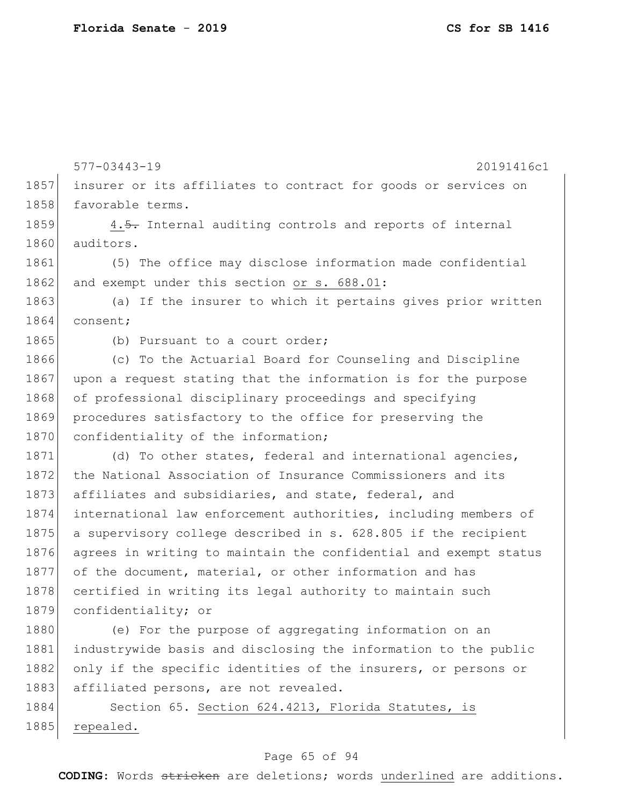1885 repealed.

577-03443-19 20191416c1 1857 insurer or its affiliates to contract for goods or services on 1858 favorable terms. 1859 4.5. Internal auditing controls and reports of internal 1860 auditors. 1861 (5) The office may disclose information made confidential 1862 and exempt under this section or s. 688.01: 1863 (a) If the insurer to which it pertains gives prior written 1864 consent; 1865 (b) Pursuant to a court order; 1866 (c) To the Actuarial Board for Counseling and Discipline 1867 upon a request stating that the information is for the purpose 1868 of professional disciplinary proceedings and specifying 1869 procedures satisfactory to the office for preserving the 1870 confidentiality of the information; 1871 (d) To other states, federal and international agencies, 1872 the National Association of Insurance Commissioners and its 1873 affiliates and subsidiaries, and state, federal, and 1874 international law enforcement authorities, including members of 1875 a supervisory college described in s. 628.805 if the recipient 1876 agrees in writing to maintain the confidential and exempt status 1877 of the document, material, or other information and has 1878 certified in writing its legal authority to maintain such 1879 confidentiality; or 1880 (e) For the purpose of aggregating information on an 1881 industrywide basis and disclosing the information to the public 1882 only if the specific identities of the insurers, or persons or 1883 affiliated persons, are not revealed. 1884 Section 65. Section 624.4213, Florida Statutes, is

## Page 65 of 94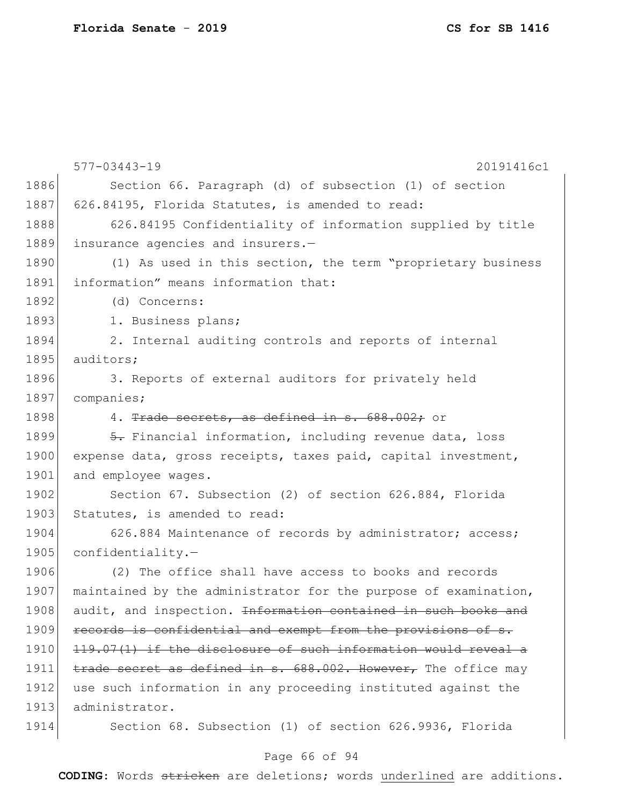577-03443-19 20191416c1 1886 Section 66. Paragraph (d) of subsection (1) of section 1887 626.84195, Florida Statutes, is amended to read: 1888 626.84195 Confidentiality of information supplied by title 1889 insurance agencies and insurers.— 1890 (1) As used in this section, the term "proprietary business 1891 information" means information that: 1892 (d) Concerns: 1893 1. Business plans; 1894 2. Internal auditing controls and reports of internal 1895 auditors; 1896 3. Reports of external auditors for privately held 1897 companies; 1898 4. Trade secrets, as defined in s. 688.002; or 1899  $\overline{5}$ . Financial information, including revenue data, loss 1900 expense data, gross receipts, taxes paid, capital investment, 1901 and employee wages. 1902 Section 67. Subsection (2) of section 626.884, Florida 1903 Statutes, is amended to read: 1904 626.884 Maintenance of records by administrator; access; 1905 confidentiality.-1906 (2) The office shall have access to books and records 1907 maintained by the administrator for the purpose of examination, 1908 audit, and inspection. <del>Information contained in such books and</del> 1909 records is confidential and exempt from the provisions of s. 1910 119.07(1) if the disclosure of such information would reveal a 1911 trade secret as defined in s. 688.002. However, The office may 1912 use such information in any proceeding instituted against the 1913 administrator. 1914 Section 68. Subsection (1) of section 626.9936, Florida

## Page 66 of 94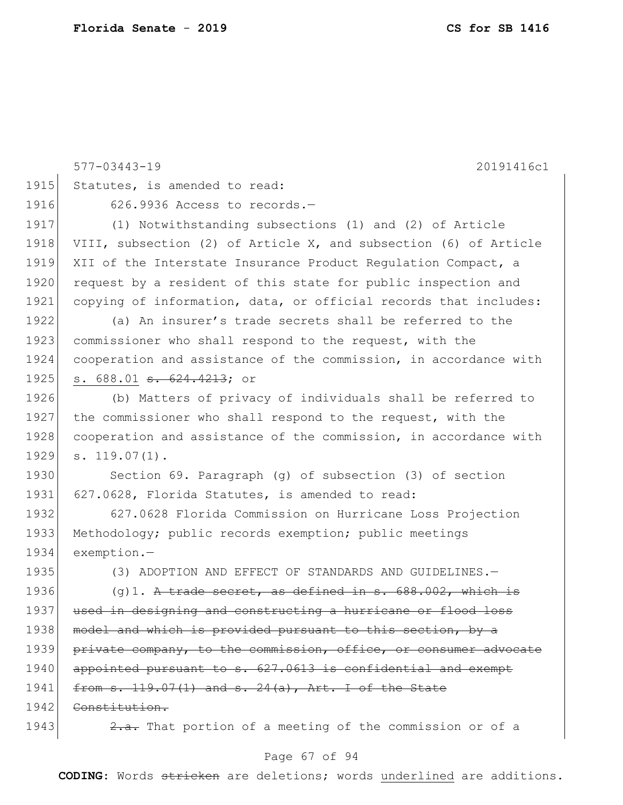|      | $577 - 03443 - 19$<br>20191416c1                                 |
|------|------------------------------------------------------------------|
| 1915 | Statutes, is amended to read:                                    |
| 1916 | 626.9936 Access to records.-                                     |
| 1917 | (1) Notwithstanding subsections (1) and (2) of Article           |
| 1918 | VIII, subsection (2) of Article X, and subsection (6) of Article |
| 1919 | XII of the Interstate Insurance Product Regulation Compact, a    |
| 1920 | request by a resident of this state for public inspection and    |
| 1921 | copying of information, data, or official records that includes: |
| 1922 | (a) An insurer's trade secrets shall be referred to the          |
| 1923 | commissioner who shall respond to the request, with the          |
| 1924 | cooperation and assistance of the commission, in accordance with |
| 1925 | s. 688.01 <del>s. 624.4213</del> ; or                            |
| 1926 | (b) Matters of privacy of individuals shall be referred to       |
| 1927 | the commissioner who shall respond to the request, with the      |
| 1928 | cooperation and assistance of the commission, in accordance with |
| 1929 | $s. 119.07(1)$ .                                                 |
| 1930 | Section 69. Paragraph (q) of subsection (3) of section           |
| 1931 | 627.0628, Florida Statutes, is amended to read:                  |
| 1932 | 627.0628 Florida Commission on Hurricane Loss Projection         |
| 1933 | Methodology; public records exemption; public meetings           |
| 1934 | exemption.-                                                      |
| 1935 | (3) ADOPTION AND EFFECT OF STANDARDS AND GUIDELINES.-            |
| 1936 | $(q)$ 1. A trade secret, as defined in s. 688.002, which is      |
| 1937 | used in designing and constructing a hurricane or flood loss     |
| 1938 | model and which is provided pursuant to this section, by a       |
| 1939 | private company, to the commission, office, or consumer advocate |
| 1940 | appointed pursuant to s. 627.0613 is confidential and exempt     |
| 1941 | from s. 119.07(1) and s. 24(a), Art. I of the State              |
| 1942 | Constitution.                                                    |
| 1943 | 2.a. That portion of a meeting of the commission or of a         |

# Page 67 of 94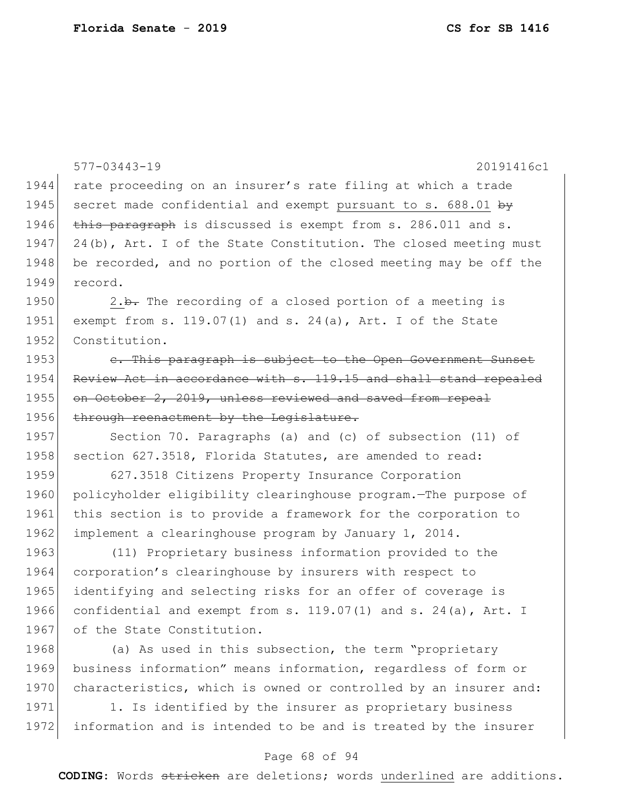|      | $577 - 03443 - 19$<br>20191416c1                                    |
|------|---------------------------------------------------------------------|
| 1944 | rate proceeding on an insurer's rate filing at which a trade        |
| 1945 | secret made confidential and exempt pursuant to s. 688.01 by        |
| 1946 | this paragraph is discussed is exempt from s. 286.011 and s.        |
| 1947 | 24(b), Art. I of the State Constitution. The closed meeting must    |
| 1948 | be recorded, and no portion of the closed meeting may be off the    |
| 1949 | record.                                                             |
| 1950 | 2.b. The recording of a closed portion of a meeting is              |
| 1951 | exempt from s. $119.07(1)$ and s. $24(a)$ , Art. I of the State     |
| 1952 | Constitution.                                                       |
| 1953 | e. This paragraph is subject to the Open Government Sunset          |
| 1954 | Review Act in accordance with s. 119.15 and shall stand repealed    |
| 1955 | on October 2, 2019, unless reviewed and saved from repeal           |
| 1956 | through reenactment by the Legislature.                             |
| 1957 | Section 70. Paragraphs (a) and (c) of subsection (11) of            |
| 1958 | section 627.3518, Florida Statutes, are amended to read:            |
| 1959 | 627.3518 Citizens Property Insurance Corporation                    |
| 1960 | policyholder eligibility clearinghouse program. The purpose of      |
| 1961 | this section is to provide a framework for the corporation to       |
| 1962 | implement a clearinghouse program by January 1, 2014.               |
| 1963 | (11) Proprietary business information provided to the               |
| 1964 | corporation's clearinghouse by insurers with respect to             |
| 1965 | identifying and selecting risks for an offer of coverage is         |
| 1966 | confidential and exempt from s. $119.07(1)$ and s. $24(a)$ , Art. I |
| 1967 | of the State Constitution.                                          |
| 1968 | (a) As used in this subsection, the term "proprietary               |
| 1969 | business information" means information, regardless of form or      |
| 1970 | characteristics, which is owned or controlled by an insurer and:    |
| 1971 | 1. Is identified by the insurer as proprietary business             |
| 1972 | information and is intended to be and is treated by the insurer     |

# Page 68 of 94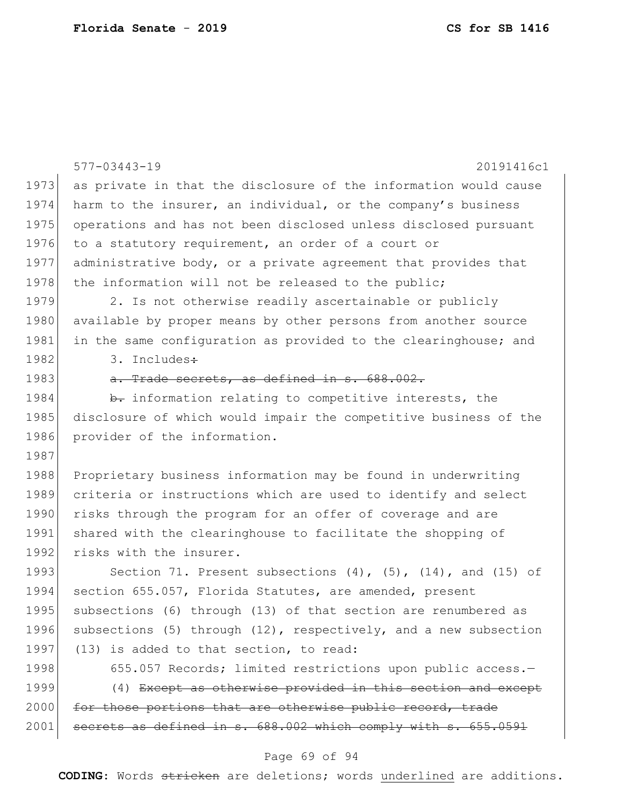|      | $577 - 03443 - 19$<br>20191416c1                                       |
|------|------------------------------------------------------------------------|
| 1973 | as private in that the disclosure of the information would cause       |
| 1974 | harm to the insurer, an individual, or the company's business          |
| 1975 | operations and has not been disclosed unless disclosed pursuant        |
| 1976 | to a statutory requirement, an order of a court or                     |
| 1977 |                                                                        |
| 1978 | administrative body, or a private agreement that provides that         |
| 1979 | the information will not be released to the public;                    |
|      | 2. Is not otherwise readily ascertainable or publicly                  |
| 1980 | available by proper means by other persons from another source         |
| 1981 | in the same configuration as provided to the clearinghouse; and        |
| 1982 | 3. Includes:                                                           |
| 1983 | a. Trade secrets, as defined in s. 688.002.                            |
| 1984 | b. information relating to competitive interests, the                  |
| 1985 | disclosure of which would impair the competitive business of the       |
| 1986 | provider of the information.                                           |
| 1987 |                                                                        |
| 1988 | Proprietary business information may be found in underwriting          |
| 1989 | criteria or instructions which are used to identify and select         |
| 1990 | risks through the program for an offer of coverage and are             |
| 1991 | shared with the clearinghouse to facilitate the shopping of            |
| 1992 | risks with the insurer.                                                |
| 1993 | Section 71. Present subsections $(4)$ , $(5)$ , $(14)$ , and $(15)$ of |
| 1994 | section 655.057, Florida Statutes, are amended, present                |
| 1995 | subsections (6) through (13) of that section are renumbered as         |
| 1996 | subsections (5) through (12), respectively, and a new subsection       |
| 1997 | (13) is added to that section, to read:                                |
| 1998 | 655.057 Records; limited restrictions upon public access.-             |
| 1999 | (4) Except as otherwise provided in this section and except            |
| 2000 | for those portions that are otherwise public record, trade             |
| 2001 | secrets as defined in s. 688.002 which comply with s. 655.0591         |
|      |                                                                        |
|      | Page 69 of 94                                                          |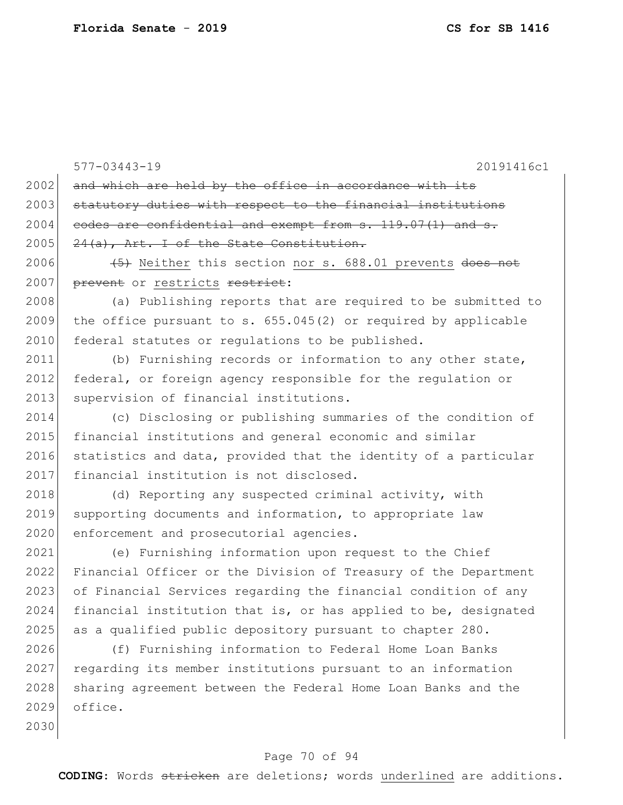2030

577-03443-19 20191416c1  $2002$  and which are held by the office in accordance with its 2003 statutory duties with respect to the financial institutions  $2004$  codes are confidential and exempt from s. 119.07(1) and s.  $2005$   $24(a)$ , Art. I of the State Constitution. 2006  $(5)$  Neither this section nor s. 688.01 prevents does not 2007 prevent or restricts restrict: 2008 (a) Publishing reports that are required to be submitted to 2009 the office pursuant to s.  $655.045(2)$  or required by applicable 2010 federal statutes or requiations to be published. 2011 (b) Furnishing records or information to any other state, 2012 federal, or foreign agency responsible for the regulation or 2013 supervision of financial institutions. 2014 (c) Disclosing or publishing summaries of the condition of 2015 financial institutions and general economic and similar 2016 statistics and data, provided that the identity of a particular 2017 financial institution is not disclosed. 2018 (d) Reporting any suspected criminal activity, with 2019 supporting documents and information, to appropriate law 2020 enforcement and prosecutorial agencies. 2021 (e) Furnishing information upon request to the Chief 2022 Financial Officer or the Division of Treasury of the Department 2023 of Financial Services regarding the financial condition of any  $2024$  financial institution that is, or has applied to be, designated 2025 as a qualified public depository pursuant to chapter 280. 2026 (f) Furnishing information to Federal Home Loan Banks 2027 regarding its member institutions pursuant to an information 2028 sharing agreement between the Federal Home Loan Banks and the 2029 office.

## Page 70 of 94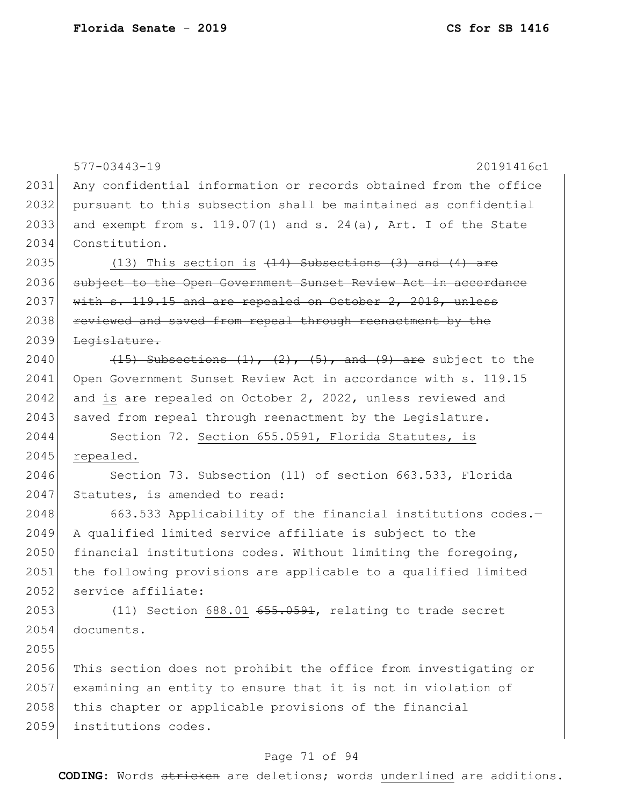577-03443-19 20191416c1 2031 Any confidential information or records obtained from the office 2032 pursuant to this subsection shall be maintained as confidential 2033 and exempt from s. 119.07(1) and s. 24(a), Art. I of the State 2034 Constitution. 2035 (13) This section is  $(14)$  Subsections  $(3)$  and  $(4)$  are 2036 subject to the Open Government Sunset Review Act in accordance 2037 with s. 119.15 and are repealed on October 2, 2019, unless 2038 reviewed and saved from repeal through reenactment by the 2039 Legislature. 2040  $(15)$  Subsections  $(1)$ ,  $(2)$ ,  $(5)$ , and  $(9)$  are subject to the 2041 Open Government Sunset Review Act in accordance with s. 119.15 2042 and is  $\frac{1}{2}$  are repealed on October 2, 2022, unless reviewed and 2043 saved from repeal through reenactment by the Legislature. 2044 Section 72. Section 655.0591, Florida Statutes, is 2045 repealed. 2046 Section 73. Subsection (11) of section 663.533, Florida 2047 Statutes, is amended to read: 2048 663.533 Applicability of the financial institutions codes.-2049 A qualified limited service affiliate is subject to the 2050 financial institutions codes. Without limiting the foregoing, 2051 the following provisions are applicable to a qualified limited 2052 service affiliate: 2053 (11) Section 688.01 655.0591, relating to trade secret 2054 documents. 2055 2056 This section does not prohibit the office from investigating or 2057 examining an entity to ensure that it is not in violation of 2058 this chapter or applicable provisions of the financial 2059 institutions codes.

## Page 71 of 94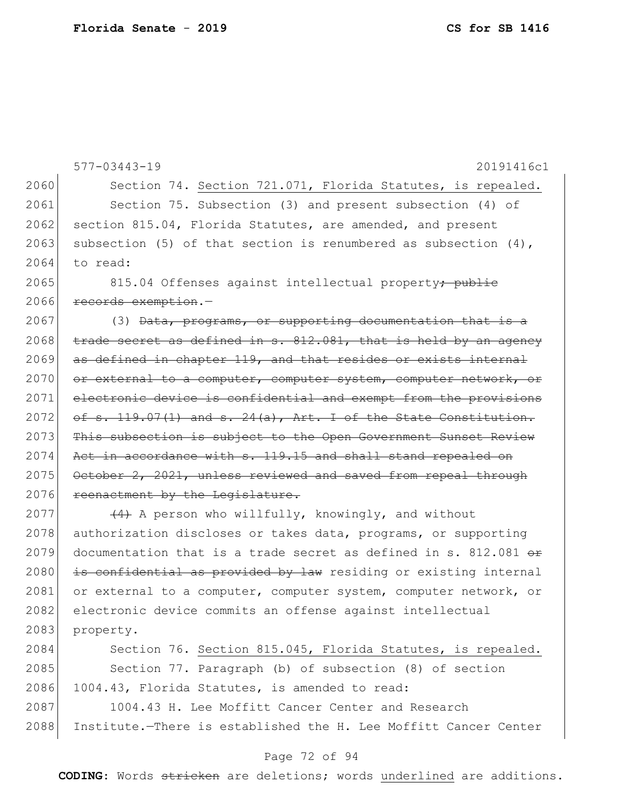577-03443-19 20191416c1 2060 Section 74. Section 721.071, Florida Statutes, is repealed. 2061 Section 75. Subsection (3) and present subsection (4) of  $2062$  section 815.04, Florida Statutes, are amended, and present 2063 subsection (5) of that section is renumbered as subsection  $(4)$ , 2064 to read: 2065 815.04 Offenses against intellectual property<del>; public</del> 2066 records exemption. 2067 (3) Data, programs, or supporting documentation that is a 2068  $t$  trade secret as defined in s. 812.081, that is held by an agency 2069 as defined in chapter 119, and that resides or exists internal 2070 or external to a computer, computer system, computer network, or 2071 electronic device is confidential and exempt from the provisions  $2072$  of s. 119.07(1) and s. 24(a), Art. I of the State Constitution. 2073 This subsection is subject to the Open Government Sunset Review 2074 Act in accordance with s. 119.15 and shall stand repealed on  $2075$  October 2, 2021, unless reviewed and saved from repeal through 2076 reenactment by the Legislature. 2077  $(4)$  A person who willfully, knowingly, and without 2078 authorization discloses or takes data, programs, or supporting 2079 documentation that is a trade secret as defined in s. 812.081  $\leftrightarrow$  $2080$  is confidential as provided by law residing or existing internal 2081 or external to a computer, computer system, computer network, or 2082 electronic device commits an offense against intellectual 2083 property. 2084 Section 76. Section 815.045, Florida Statutes, is repealed. 2085 Section 77. Paragraph (b) of subsection (8) of section 2086 1004.43, Florida Statutes, is amended to read: 2087 1004.43 H. Lee Moffitt Cancer Center and Research 2088 Institute.—There is established the H. Lee Moffitt Cancer Center

## Page 72 of 94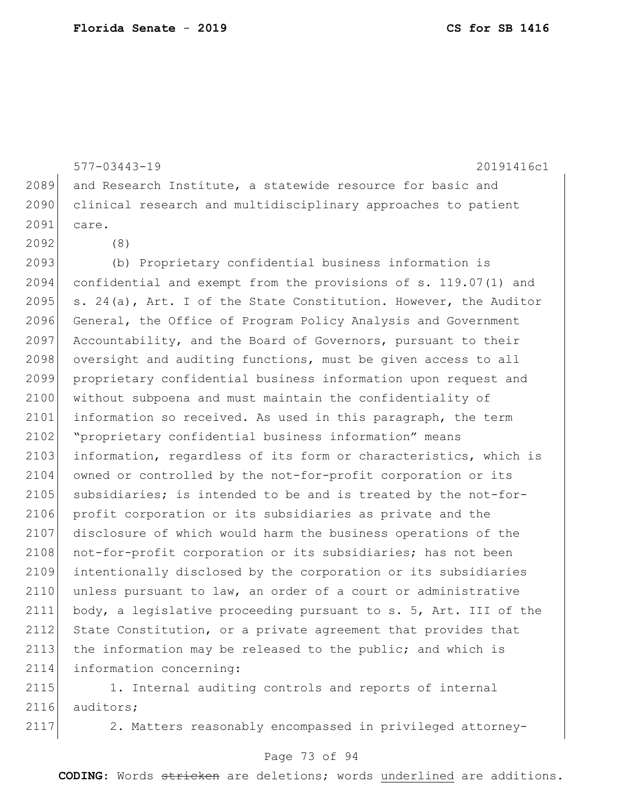577-03443-19 20191416c1 2089 and Research Institute, a statewide resource for basic and 2090 clinical research and multidisciplinary approaches to patient 2091 care. 2092 (8) 2093 (b) Proprietary confidential business information is 2094 confidential and exempt from the provisions of s. 119.07(1) and 2095  $\vert$  s. 24(a), Art. I of the State Constitution. However, the Auditor 2096 General, the Office of Program Policy Analysis and Government 2097 Accountability, and the Board of Governors, pursuant to their 2098 oversight and auditing functions, must be given access to all 2099 proprietary confidential business information upon request and 2100 without subpoena and must maintain the confidentiality of 2101 information so received. As used in this paragraph, the term 2102 "proprietary confidential business information" means 2103 information, regardless of its form or characteristics, which is 2104 owned or controlled by the not-for-profit corporation or its 2105 subsidiaries; is intended to be and is treated by the not-for-2106 profit corporation or its subsidiaries as private and the 2107 disclosure of which would harm the business operations of the 2108 not-for-profit corporation or its subsidiaries; has not been 2109 intentionally disclosed by the corporation or its subsidiaries 2110 unless pursuant to law, an order of a court or administrative 2111 body, a legislative proceeding pursuant to s. 5, Art. III of the 2112 State Constitution, or a private agreement that provides that 2113 the information may be released to the public; and which is 2114 information concerning:

2115 1. Internal auditing controls and reports of internal 2116 auditors;

2117 2. Matters reasonably encompassed in privileged attorney-

#### Page 73 of 94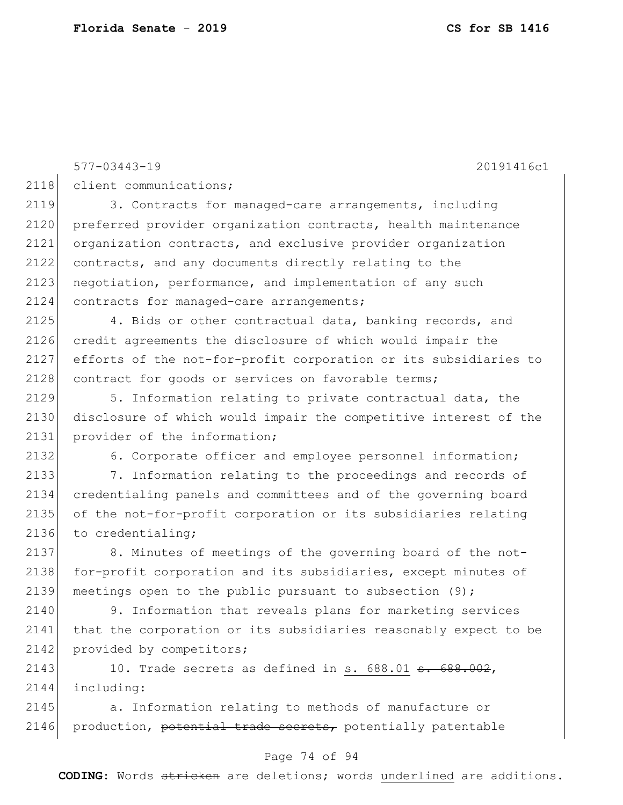577-03443-19 20191416c1 2118 client communications; 2119 3. Contracts for managed-care arrangements, including 2120 preferred provider organization contracts, health maintenance 2121 organization contracts, and exclusive provider organization 2122 contracts, and any documents directly relating to the 2123 negotiation, performance, and implementation of any such 2124 contracts for managed-care arrangements; 2125 4. Bids or other contractual data, banking records, and 2126 credit agreements the disclosure of which would impair the 2127 efforts of the not-for-profit corporation or its subsidiaries to 2128 contract for goods or services on favorable terms; 2129 5. Information relating to private contractual data, the 2130 disclosure of which would impair the competitive interest of the 2131 provider of the information; 2132 6. Corporate officer and employee personnel information; 2133 7. Information relating to the proceedings and records of 2134 credentialing panels and committees and of the governing board 2135 of the not-for-profit corporation or its subsidiaries relating 2136 to credentialing; 2137 8. Minutes of meetings of the governing board of the not-2138 for-profit corporation and its subsidiaries, except minutes of 2139 meetings open to the public pursuant to subsection (9); 2140 9. Information that reveals plans for marketing services 2141 that the corporation or its subsidiaries reasonably expect to be 2142 provided by competitors; 2143 10. Trade secrets as defined in s.  $688.01$   $\text{S}$ .  $688.002$ , 2144 including: 2145 a. Information relating to methods of manufacture or

2146 production, potential trade secrets, potentially patentable

#### Page 74 of 94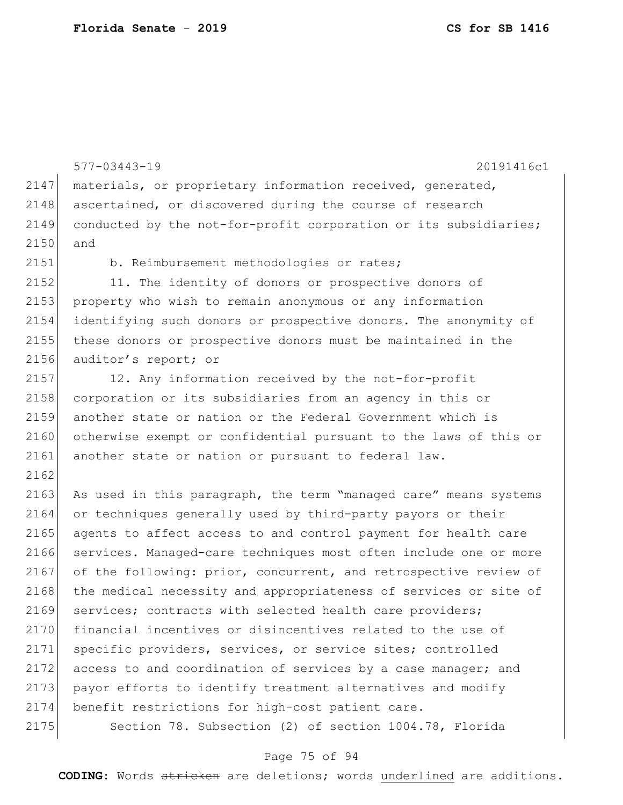577-03443-19 20191416c1 2147 materials, or proprietary information received, generated, 2148 ascertained, or discovered during the course of research 2149 conducted by the not-for-profit corporation or its subsidiaries; 2150 and 2151 b. Reimbursement methodologies or rates; 2152 11. The identity of donors or prospective donors of 2153 property who wish to remain anonymous or any information 2154 identifying such donors or prospective donors. The anonymity of 2155 these donors or prospective donors must be maintained in the 2156 auditor's report; or 2157 12. Any information received by the not-for-profit 2158 corporation or its subsidiaries from an agency in this or 2159 another state or nation or the Federal Government which is 2160 otherwise exempt or confidential pursuant to the laws of this or 2161 another state or nation or pursuant to federal law. 2162 2163 As used in this paragraph, the term "managed care" means systems 2164 or techniques generally used by third-party payors or their 2165 agents to affect access to and control payment for health care 2166 services. Managed-care techniques most often include one or more 2167 of the following: prior, concurrent, and retrospective review of 2168 the medical necessity and appropriateness of services or site of 2169 services; contracts with selected health care providers; 2170 financial incentives or disincentives related to the use of 2171 specific providers, services, or service sites; controlled 2172 access to and coordination of services by a case manager; and 2173 payor efforts to identify treatment alternatives and modify 2174 benefit restrictions for high-cost patient care. 2175 Section 78. Subsection (2) of section 1004.78, Florida

#### Page 75 of 94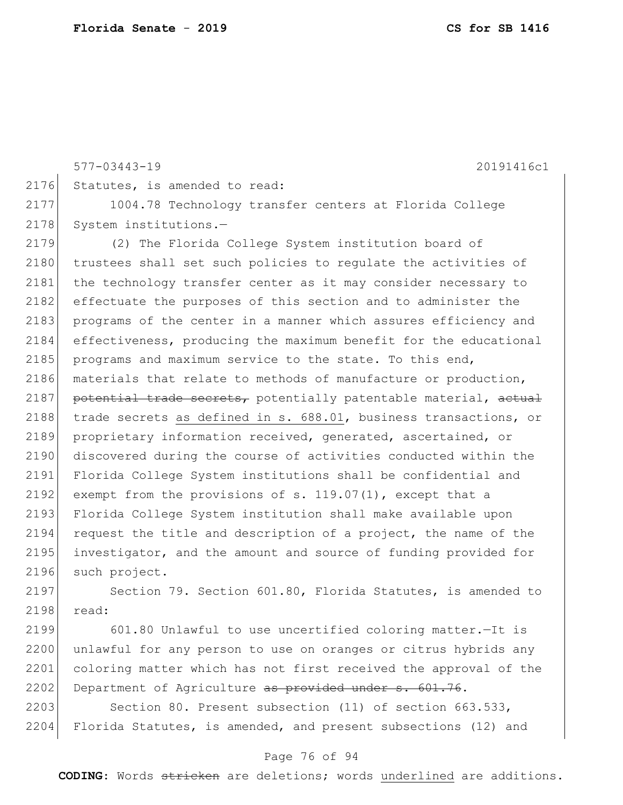577-03443-19 20191416c1 2176 Statutes, is amended to read: 2177 1004.78 Technology transfer centers at Florida College 2178 System institutions.-2179 (2) The Florida College System institution board of 2180 trustees shall set such policies to regulate the activities of 2181 the technology transfer center as it may consider necessary to 2182 effectuate the purposes of this section and to administer the 2183 programs of the center in a manner which assures efficiency and 2184 effectiveness, producing the maximum benefit for the educational 2185 programs and maximum service to the state. To this end, 2186 materials that relate to methods of manufacture or production, 2187 potential trade secrets, potentially patentable material, actual 2188 trade secrets as defined in s. 688.01, business transactions, or 2189 proprietary information received, generated, ascertained, or 2190 discovered during the course of activities conducted within the 2191 Florida College System institutions shall be confidential and 2192 exempt from the provisions of s. 119.07(1), except that a 2193 Florida College System institution shall make available upon 2194 request the title and description of a project, the name of the 2195 investigator, and the amount and source of funding provided for 2196 such project.

2197 Section 79. Section 601.80, Florida Statutes, is amended to 2198 read:

2199 601.80 Unlawful to use uncertified coloring matter.—It is 2200 unlawful for any person to use on oranges or citrus hybrids any 2201 coloring matter which has not first received the approval of the 2202 Department of Agriculture as provided under s. 601.76.

2203 Section 80. Present subsection (11) of section 663.533, 2204 Florida Statutes, is amended, and present subsections (12) and

#### Page 76 of 94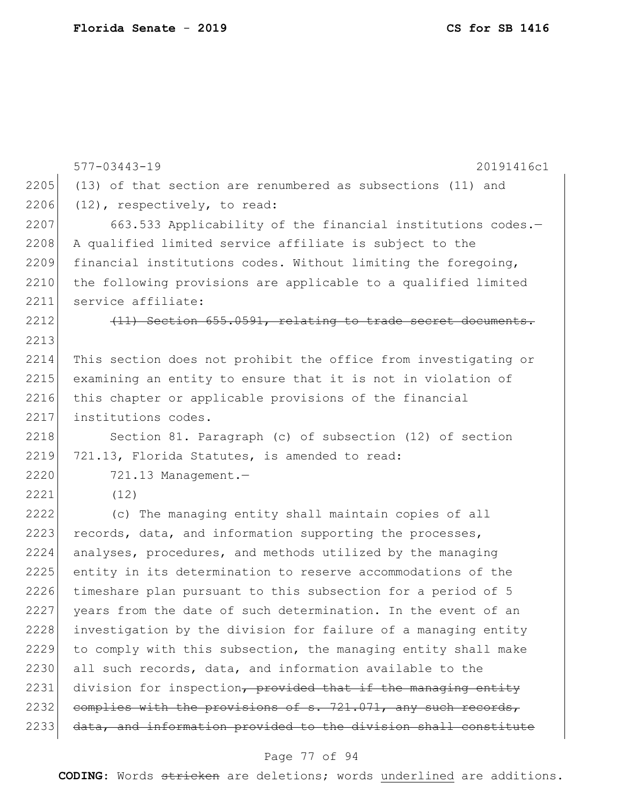|      | $577 - 03443 - 19$<br>20191416c1                                |
|------|-----------------------------------------------------------------|
| 2205 | (13) of that section are renumbered as subsections (11) and     |
| 2206 | $(12)$ , respectively, to read:                                 |
| 2207 | 663.533 Applicability of the financial institutions codes.-     |
| 2208 | A qualified limited service affiliate is subject to the         |
| 2209 | financial institutions codes. Without limiting the foregoing,   |
| 2210 | the following provisions are applicable to a qualified limited  |
| 2211 | service affiliate:                                              |
| 2212 | (11) Section 655.0591, relating to trade secret documents.      |
| 2213 |                                                                 |
| 2214 | This section does not prohibit the office from investigating or |
| 2215 | examining an entity to ensure that it is not in violation of    |
| 2216 | this chapter or applicable provisions of the financial          |
| 2217 | institutions codes.                                             |
| 2218 | Section 81. Paragraph (c) of subsection (12) of section         |
| 2219 | 721.13, Florida Statutes, is amended to read:                   |
| 2220 | 721.13 Management.-                                             |
| 2221 | (12)                                                            |
| 2222 | (c) The managing entity shall maintain copies of all            |
| 2223 | records, data, and information supporting the processes,        |
| 2224 | analyses, procedures, and methods utilized by the managing      |
| 2225 | entity in its determination to reserve accommodations of the    |
| 2226 | timeshare plan pursuant to this subsection for a period of 5    |
| 2227 | years from the date of such determination. In the event of an   |
| 2228 | investigation by the division for failure of a managing entity  |
| 2229 | to comply with this subsection, the managing entity shall make  |
| 2230 | all such records, data, and information available to the        |
| 2231 | division for inspection, provided that if the managing entity   |
| 2232 | complies with the provisions of s. 721.071, any such records,   |
| 2233 | data, and information provided to the division shall constitute |

# Page 77 of 94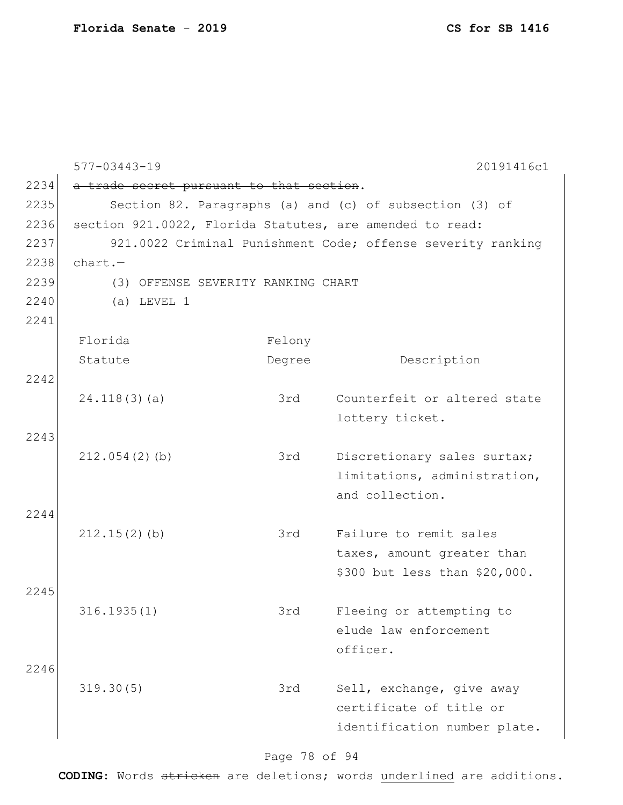|      | $577 - 03443 - 19$                                       |        | 20191416c1                                                  |
|------|----------------------------------------------------------|--------|-------------------------------------------------------------|
| 2234 | a trade secret pursuant to that section.                 |        |                                                             |
| 2235 |                                                          |        | Section 82. Paragraphs (a) and (c) of subsection (3) of     |
| 2236 | section 921.0022, Florida Statutes, are amended to read: |        |                                                             |
| 2237 |                                                          |        | 921.0022 Criminal Punishment Code; offense severity ranking |
| 2238 | $chart. -$                                               |        |                                                             |
| 2239 | (3) OFFENSE SEVERITY RANKING CHART                       |        |                                                             |
| 2240 | $(a)$ LEVEL 1                                            |        |                                                             |
| 2241 |                                                          |        |                                                             |
|      | Florida                                                  | Felony |                                                             |
|      | Statute                                                  | Degree | Description                                                 |
| 2242 |                                                          |        |                                                             |
|      | 24.118(3)(a)                                             | 3rd    | Counterfeit or altered state                                |
|      |                                                          |        | lottery ticket.                                             |
| 2243 |                                                          |        |                                                             |
|      | 212.054(2)(b)                                            | 3rd    | Discretionary sales surtax;                                 |
|      |                                                          |        | limitations, administration,                                |
|      |                                                          |        | and collection.                                             |
| 2244 |                                                          |        |                                                             |
|      | $212.15(2)$ (b)                                          | 3rd    | Failure to remit sales                                      |
|      |                                                          |        | taxes, amount greater than                                  |
|      |                                                          |        | \$300 but less than \$20,000.                               |
| 2245 |                                                          |        |                                                             |
|      | 316.1935(1)                                              | 3rd    | Fleeing or attempting to                                    |
|      |                                                          |        | elude law enforcement                                       |
|      |                                                          |        | officer.                                                    |
| 2246 |                                                          |        |                                                             |
|      | 319.30(5)                                                | 3rd    | Sell, exchange, give away                                   |
|      |                                                          |        | certificate of title or                                     |
|      |                                                          |        | identification number plate.                                |
|      |                                                          |        |                                                             |

# Page 78 of 94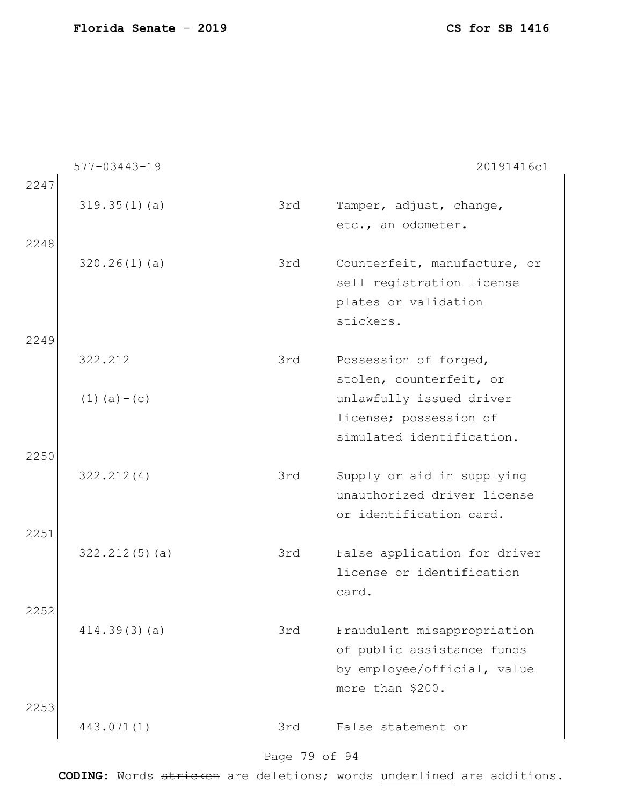|      | 577-03443-19      |     | 20191416c1                                                                                                   |
|------|-------------------|-----|--------------------------------------------------------------------------------------------------------------|
| 2247 |                   |     |                                                                                                              |
|      | 319.35(1)(a)      | 3rd | Tamper, adjust, change,                                                                                      |
|      |                   |     | etc., an odometer.                                                                                           |
| 2248 | 320.26(1)(a)      | 3rd | Counterfeit, manufacture, or<br>sell registration license<br>plates or validation<br>stickers.               |
| 2249 |                   |     |                                                                                                              |
|      | 322.212           | 3rd | Possession of forged,<br>stolen, counterfeit, or                                                             |
|      | $(1)$ $(a) - (c)$ |     | unlawfully issued driver                                                                                     |
|      |                   |     | license; possession of                                                                                       |
|      |                   |     | simulated identification.                                                                                    |
| 2250 | 322.212(4)        | 3rd | Supply or aid in supplying<br>unauthorized driver license<br>or identification card.                         |
| 2251 | $322.212(5)$ (a)  | 3rd | False application for driver                                                                                 |
|      |                   |     | license or identification<br>card.                                                                           |
| 2252 |                   | 3rd |                                                                                                              |
| 2253 | 414.39(3)(a)      |     | Fraudulent misappropriation<br>of public assistance funds<br>by employee/official, value<br>more than \$200. |
|      | 443.071(1)        | 3rd | False statement or                                                                                           |

# Page 79 of 94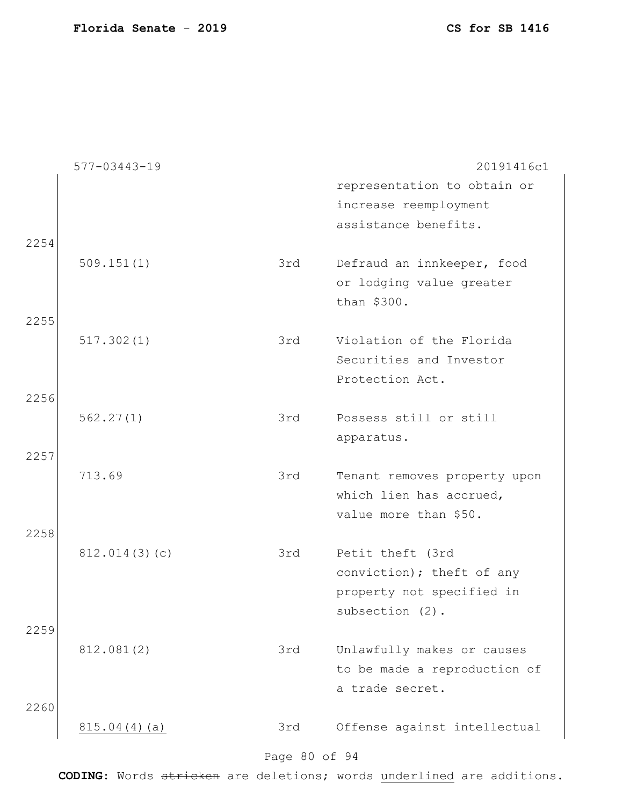|      | $577 - 03443 - 19$ |     | 20191416c1                   |
|------|--------------------|-----|------------------------------|
|      |                    |     | representation to obtain or  |
|      |                    |     | increase reemployment        |
|      |                    |     | assistance benefits.         |
| 2254 |                    |     |                              |
|      | 509.151(1)         | 3rd | Defraud an innkeeper, food   |
|      |                    |     | or lodging value greater     |
|      |                    |     | than \$300.                  |
| 2255 |                    |     |                              |
|      | 517.302(1)         | 3rd | Violation of the Florida     |
|      |                    |     | Securities and Investor      |
|      |                    |     | Protection Act.              |
| 2256 |                    |     |                              |
|      | 562.27(1)          | 3rd | Possess still or still       |
|      |                    |     | apparatus.                   |
| 2257 |                    |     |                              |
|      | 713.69             | 3rd | Tenant removes property upon |
|      |                    |     | which lien has accrued,      |
|      |                    |     | value more than \$50.        |
| 2258 |                    |     |                              |
|      | 812.014(3)(c)      | 3rd | Petit theft (3rd             |
|      |                    |     | conviction); theft of any    |
|      |                    |     | property not specified in    |
|      |                    |     | subsection (2).              |
| 2259 |                    |     |                              |
|      | 812.081(2)         | 3rd | Unlawfully makes or causes   |
|      |                    |     | to be made a reproduction of |
|      |                    |     | a trade secret.              |
| 2260 |                    |     |                              |
|      | 815.04(4)(a)       | 3rd | Offense against intellectual |
|      |                    |     |                              |
|      |                    |     |                              |

#### Page 80 of 94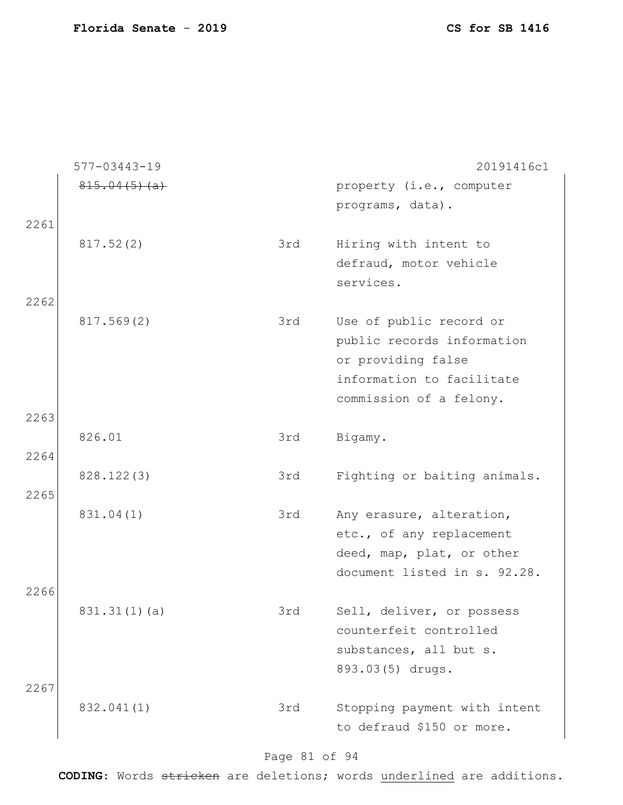|              | 577-03443-19 |     | 20191416c1                                                                                                                          |
|--------------|--------------|-----|-------------------------------------------------------------------------------------------------------------------------------------|
|              | 815.04(5)(a) |     | property (i.e., computer<br>programs, data).                                                                                        |
| 2261         |              |     |                                                                                                                                     |
| 2262         | 817.52(2)    | 3rd | Hiring with intent to<br>defraud, motor vehicle<br>services.                                                                        |
|              | 817.569(2)   | 3rd | Use of public record or<br>public records information<br>or providing false<br>information to facilitate<br>commission of a felony. |
| 2263         |              |     |                                                                                                                                     |
| 2264         | 826.01       | 3rd | Bigamy.                                                                                                                             |
| 2265         | 828.122(3)   | 3rd | Fighting or baiting animals.                                                                                                        |
|              | 831.04(1)    | 3rd | Any erasure, alteration,<br>etc., of any replacement<br>deed, map, plat, or other<br>document listed in s. 92.28.                   |
| 2266<br>2267 | 831.31(1)(a) | 3rd | Sell, deliver, or possess<br>counterfeit controlled<br>substances, all but s.<br>893.03(5) drugs.                                   |
|              | 832.041(1)   | 3rd | Stopping payment with intent<br>to defraud \$150 or more.                                                                           |

# Page 81 of 94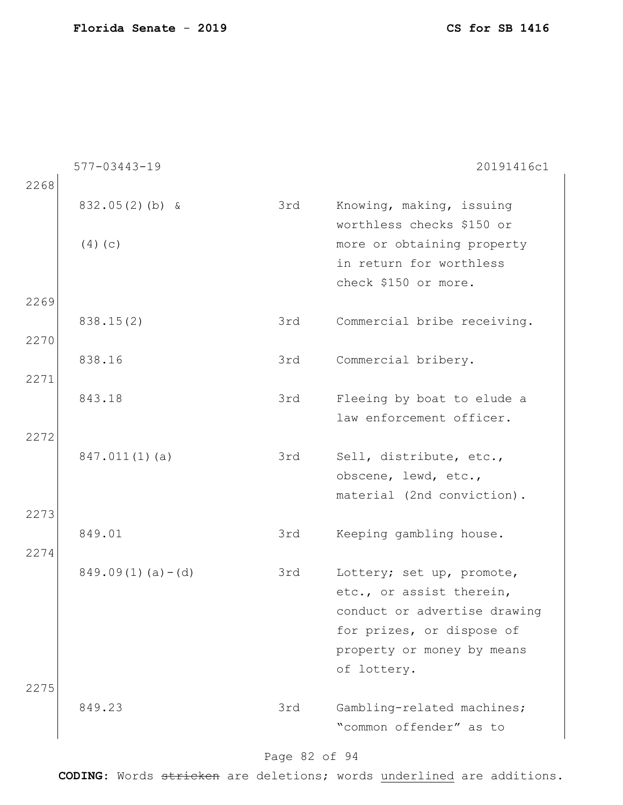|      | 577-03443-19          |     | 20191416c1                                            |
|------|-----------------------|-----|-------------------------------------------------------|
| 2268 |                       |     |                                                       |
|      | $832.05(2)(b)$ &      | 3rd | Knowing, making, issuing<br>worthless checks \$150 or |
|      | $(4)$ (c)             |     | more or obtaining property                            |
|      |                       |     | in return for worthless                               |
|      |                       |     | check \$150 or more.                                  |
| 2269 |                       |     |                                                       |
|      | 838.15(2)             | 3rd | Commercial bribe receiving.                           |
| 2270 |                       |     |                                                       |
|      | 838.16                | 3rd | Commercial bribery.                                   |
| 2271 |                       |     |                                                       |
|      | 843.18                | 3rd | Fleeing by boat to elude a                            |
|      |                       |     | law enforcement officer.                              |
| 2272 |                       |     |                                                       |
|      | $847.011(1)$ (a)      | 3rd | Sell, distribute, etc.,                               |
|      |                       |     | obscene, lewd, etc.,                                  |
|      |                       |     | material (2nd conviction).                            |
| 2273 |                       |     |                                                       |
|      | 849.01                | 3rd | Keeping gambling house.                               |
| 2274 |                       |     |                                                       |
|      | $849.09(1)$ (a) – (d) | 3rd | Lottery; set up, promote,                             |
|      |                       |     | etc., or assist therein,                              |
|      |                       |     | conduct or advertise drawing                          |
|      |                       |     | for prizes, or dispose of                             |
|      |                       |     | property or money by means                            |
|      |                       |     | of lottery.                                           |
| 2275 |                       |     |                                                       |
|      | 849.23                | 3rd | Gambling-related machines;                            |
|      |                       |     | "common offender" as to                               |
|      |                       |     |                                                       |

# Page 82 of 94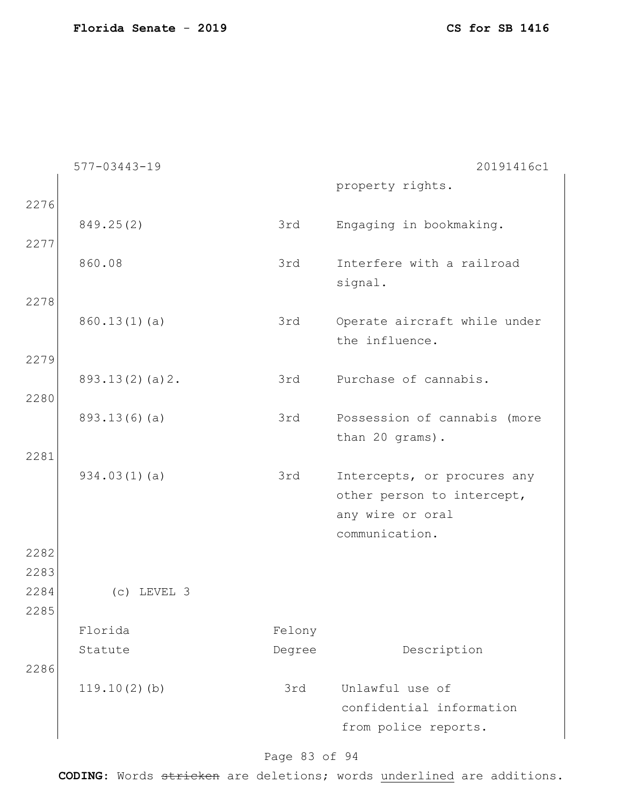|              | 577-03443-19    |        | 20191416c1                   |
|--------------|-----------------|--------|------------------------------|
|              |                 |        | property rights.             |
| 2276         |                 |        |                              |
|              | 849.25(2)       | 3rd    | Engaging in bookmaking.      |
| 2277         |                 |        |                              |
|              | 860.08          | 3rd    | Interfere with a railroad    |
| 2278         |                 |        | signal.                      |
|              | 860.13(1)(a)    | 3rd    | Operate aircraft while under |
|              |                 |        | the influence.               |
| 2279         |                 |        |                              |
|              | 893.13(2)(a)2.  | 3rd    | Purchase of cannabis.        |
| 2280         |                 |        |                              |
|              | 893.13(6)(a)    | 3rd    | Possession of cannabis (more |
|              |                 |        | than 20 grams).              |
| 2281         |                 |        |                              |
|              | 934.03(1)(a)    | 3rd    | Intercepts, or procures any  |
|              |                 |        | other person to intercept,   |
|              |                 |        | any wire or oral             |
|              |                 |        | communication.               |
| 2282<br>2283 |                 |        |                              |
| 2284         | $(c)$ LEVEL 3   |        |                              |
| 2285         |                 |        |                              |
|              | Florida         | Felony |                              |
|              | Statute         | Degree | Description                  |
| 2286         |                 |        |                              |
|              | $119.10(2)$ (b) | 3rd    | Unlawful use of              |
|              |                 |        | confidential information     |
|              |                 |        | from police reports.         |
|              |                 |        |                              |

# Page 83 of 94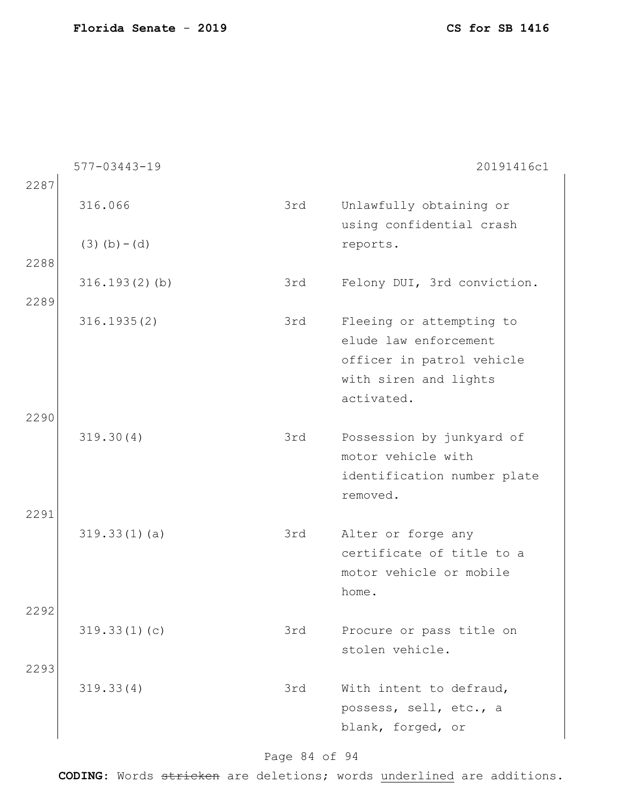|              | 577-03443-19               |     | 20191416c1                                                                                                            |
|--------------|----------------------------|-----|-----------------------------------------------------------------------------------------------------------------------|
| 2287<br>2288 | 316.066<br>$(3)$ (b) – (d) | 3rd | Unlawfully obtaining or<br>using confidential crash<br>reports.                                                       |
| 2289         | $316.193(2)$ (b)           | 3rd | Felony DUI, 3rd conviction.                                                                                           |
|              | 316.1935(2)                | 3rd | Fleeing or attempting to<br>elude law enforcement<br>officer in patrol vehicle<br>with siren and lights<br>activated. |
| 2290<br>2291 | 319.30(4)                  | 3rd | Possession by junkyard of<br>motor vehicle with<br>identification number plate<br>removed.                            |
|              | 319.33(1)(a)               | 3rd | Alter or forge any<br>certificate of title to a<br>motor vehicle or mobile<br>home.                                   |
| 2292         | 319.33(1)(c)               | 3rd | Procure or pass title on<br>stolen vehicle.                                                                           |
| 2293         | 319.33(4)                  | 3rd | With intent to defraud,<br>possess, sell, etc., a<br>blank, forged, or                                                |

# Page 84 of 94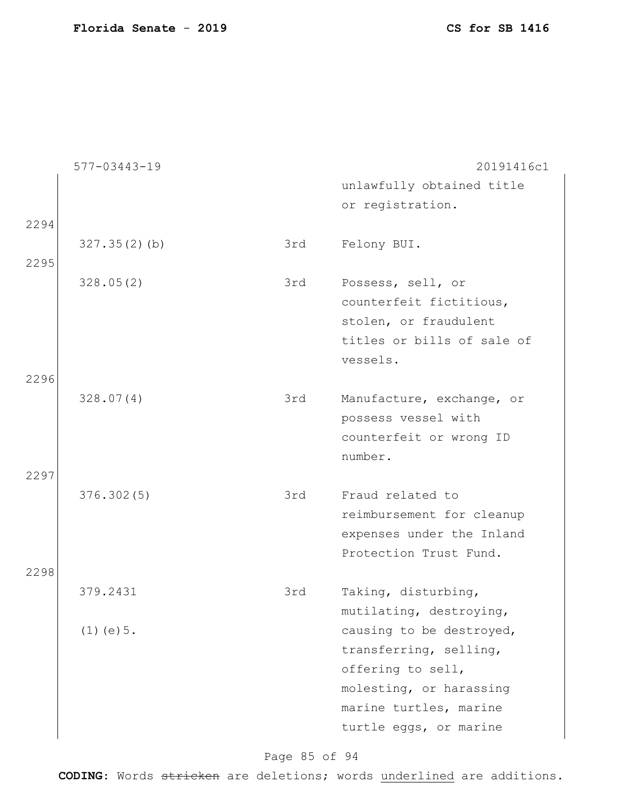|      | $577 - 03443 - 19$ |     | 20191416c1                 |
|------|--------------------|-----|----------------------------|
|      |                    |     | unlawfully obtained title  |
|      |                    |     | or registration.           |
| 2294 |                    |     |                            |
|      | 327.35(2)(b)       | 3rd | Felony BUI.                |
| 2295 |                    |     |                            |
|      | 328.05(2)          | 3rd | Possess, sell, or          |
|      |                    |     | counterfeit fictitious,    |
|      |                    |     | stolen, or fraudulent      |
|      |                    |     | titles or bills of sale of |
|      |                    |     | vessels.                   |
| 2296 |                    |     |                            |
|      | 328.07(4)          | 3rd | Manufacture, exchange, or  |
|      |                    |     | possess vessel with        |
|      |                    |     | counterfeit or wrong ID    |
|      |                    |     | number.                    |
| 2297 |                    |     |                            |
|      | 376.302(5)         | 3rd | Fraud related to           |
|      |                    |     | reimbursement for cleanup  |
|      |                    |     | expenses under the Inland  |
|      |                    |     | Protection Trust Fund.     |
| 2298 |                    |     |                            |
|      | 379.2431           | 3rd | Taking, disturbing,        |
|      |                    |     | mutilating, destroying,    |
|      | $(1)$ (e) $5$ .    |     | causing to be destroyed,   |
|      |                    |     | transferring, selling,     |
|      |                    |     | offering to sell,          |
|      |                    |     | molesting, or harassing    |
|      |                    |     | marine turtles, marine     |
|      |                    |     | turtle eggs, or marine     |
|      |                    |     |                            |

Page 85 of 94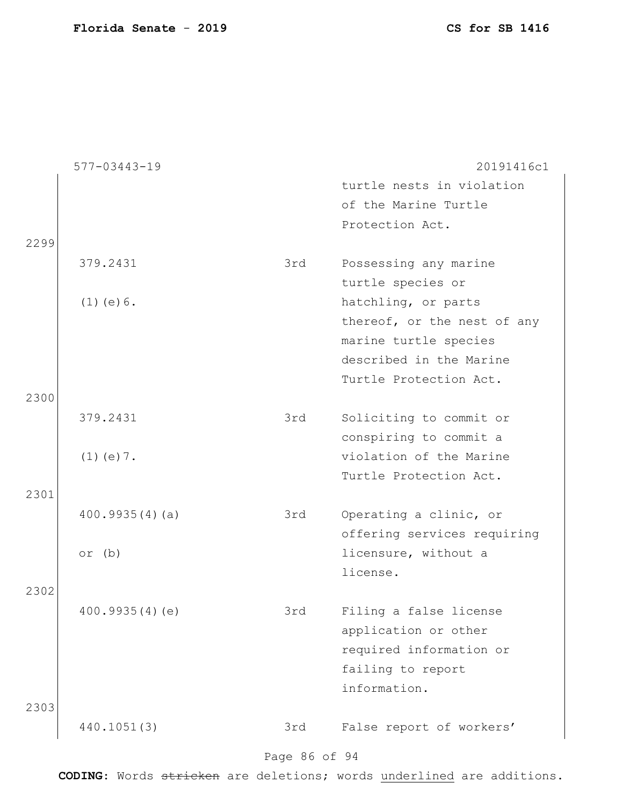|      | $577 - 03443 - 19$ |               | 20191416c1                  |
|------|--------------------|---------------|-----------------------------|
|      |                    |               | turtle nests in violation   |
|      |                    |               | of the Marine Turtle        |
|      |                    |               | Protection Act.             |
| 2299 |                    |               |                             |
|      | 379.2431           | 3rd           | Possessing any marine       |
|      |                    |               | turtle species or           |
|      | $(1)$ (e) $6$ .    |               | hatchling, or parts         |
|      |                    |               | thereof, or the nest of any |
|      |                    |               | marine turtle species       |
|      |                    |               | described in the Marine     |
|      |                    |               | Turtle Protection Act.      |
| 2300 |                    |               |                             |
|      | 379.2431           | 3rd           | Soliciting to commit or     |
|      |                    |               | conspiring to commit a      |
|      | $(1)$ (e) $7$ .    |               | violation of the Marine     |
|      |                    |               | Turtle Protection Act.      |
| 2301 |                    |               |                             |
|      | 400.9935(4)(a)     | 3rd           | Operating a clinic, or      |
|      |                    |               | offering services requiring |
|      | or $(b)$           |               | licensure, without a        |
|      |                    |               | license.                    |
| 2302 |                    |               |                             |
|      | 400.9935(4)(e)     | 3rd           | Filing a false license      |
|      |                    |               | application or other        |
|      |                    |               | required information or     |
|      |                    |               | failing to report           |
|      |                    |               | information.                |
| 2303 |                    |               |                             |
|      | 440.1051(3)        | 3rd           | False report of workers'    |
|      |                    | Page 86 of 94 |                             |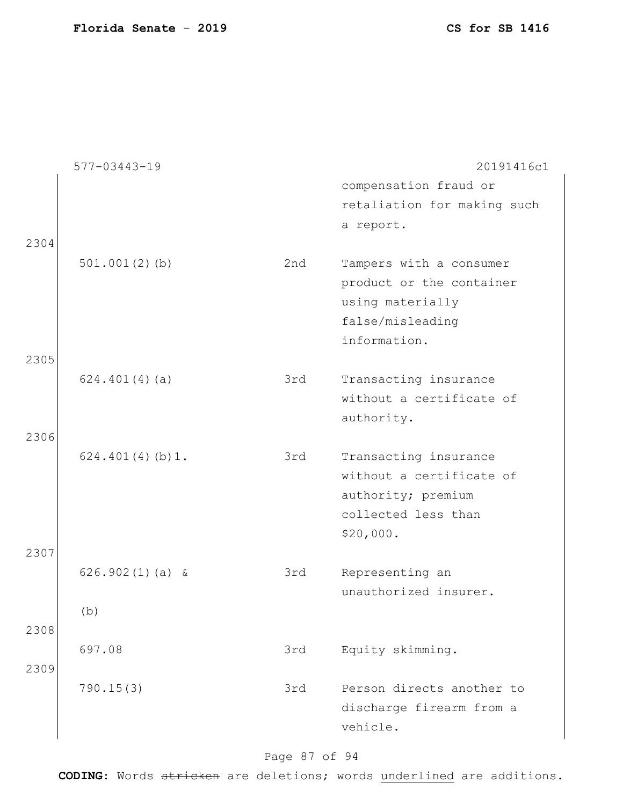|      | 577-03443-19      |     | 20191416c1                                                                                                  |
|------|-------------------|-----|-------------------------------------------------------------------------------------------------------------|
|      |                   |     | compensation fraud or                                                                                       |
|      |                   |     | retaliation for making such                                                                                 |
|      |                   |     | a report.                                                                                                   |
| 2304 | $501.001(2)$ (b)  | 2nd | Tampers with a consumer<br>product or the container<br>using materially<br>false/misleading<br>information. |
| 2305 |                   |     |                                                                                                             |
|      | 624.401(4)(a)     | 3rd | Transacting insurance<br>without a certificate of<br>authority.                                             |
| 2306 |                   |     |                                                                                                             |
|      | 624.401(4)(b)1.   | 3rd | Transacting insurance<br>without a certificate of<br>authority; premium<br>collected less than<br>\$20,000. |
| 2307 |                   |     |                                                                                                             |
|      | $626.902(1)(a)$ & | 3rd | Representing an<br>unauthorized insurer.                                                                    |
|      | (b)               |     |                                                                                                             |
| 2308 |                   |     |                                                                                                             |
|      | 697.08            | 3rd | Equity skimming.                                                                                            |
| 2309 |                   |     |                                                                                                             |
|      | 790.15(3)         | 3rd | Person directs another to<br>discharge firearm from a<br>vehicle.                                           |

# Page 87 of 94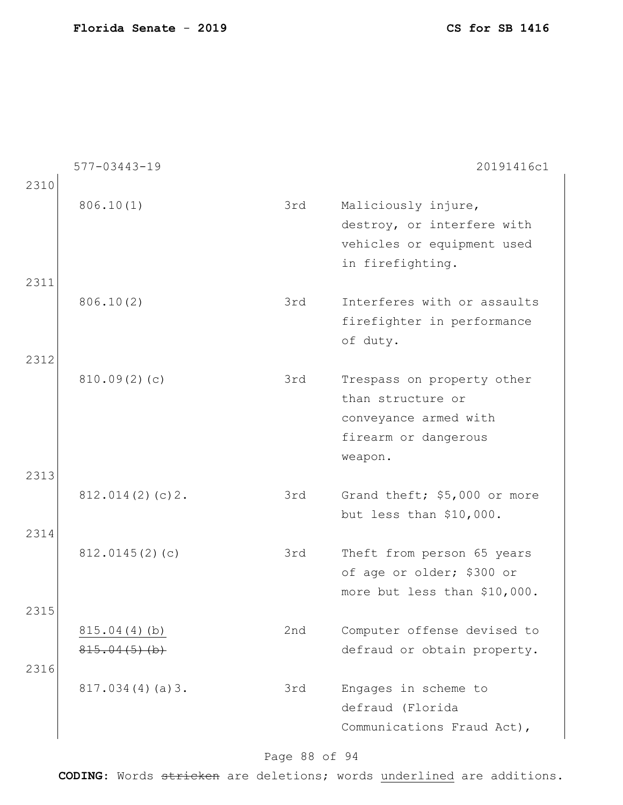|              | 577-03443-19                    |     | 20191416c1                                                                                                  |
|--------------|---------------------------------|-----|-------------------------------------------------------------------------------------------------------------|
| 2310         | 806.10(1)                       | 3rd | Maliciously injure,<br>destroy, or interfere with<br>vehicles or equipment used<br>in firefighting.         |
| 2311         | 806.10(2)                       | 3rd | Interferes with or assaults<br>firefighter in performance<br>of duty.                                       |
| 2312<br>2313 | 810.09(2)(c)                    | 3rd | Trespass on property other<br>than structure or<br>conveyance armed with<br>firearm or dangerous<br>weapon. |
| 2314         | 812.014(2)(c)2.                 | 3rd | Grand theft; \$5,000 or more<br>but less than \$10,000.                                                     |
|              | 812.0145(2)(c)                  | 3rd | Theft from person 65 years<br>of age or older; \$300 or<br>more but less than \$10,000.                     |
| 2315<br>2316 | 815.04(4)(b)<br>$815.04(5)$ (b) | 2nd | Computer offense devised to<br>defraud or obtain property.                                                  |
|              | 817.034(4)(a)3.                 | 3rd | Engages in scheme to<br>defraud (Florida<br>Communications Fraud Act),                                      |

# Page 88 of 94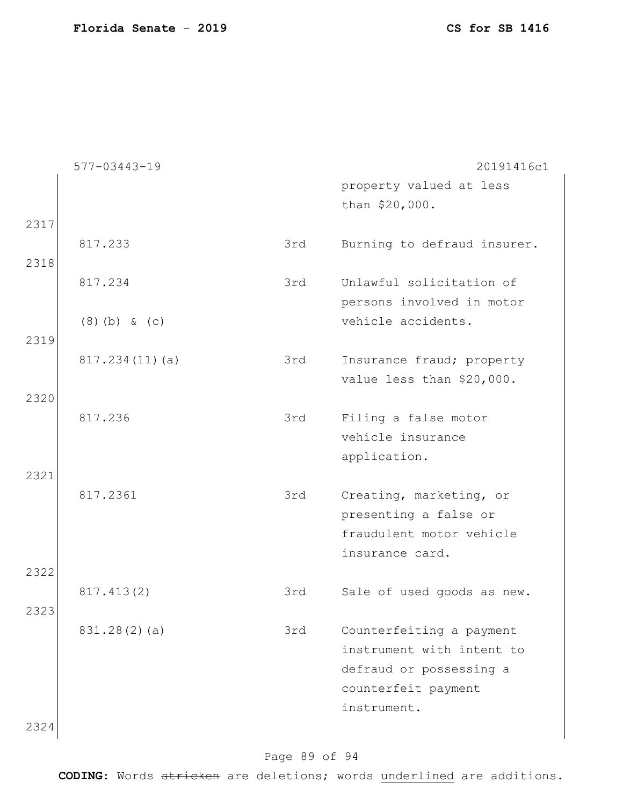|      | $577 - 03443 - 19$ |     | 20191416c1                  |
|------|--------------------|-----|-----------------------------|
|      |                    |     | property valued at less     |
|      |                    |     | than \$20,000.              |
| 2317 |                    |     |                             |
|      | 817.233            | 3rd | Burning to defraud insurer. |
| 2318 |                    |     |                             |
|      | 817.234            | 3rd | Unlawful solicitation of    |
|      |                    |     | persons involved in motor   |
|      |                    |     | vehicle accidents.          |
|      | $(8)$ (b) & (c)    |     |                             |
| 2319 |                    |     |                             |
|      | 817.234(11)(a)     | 3rd | Insurance fraud; property   |
|      |                    |     | value less than \$20,000.   |
| 2320 |                    |     |                             |
|      | 817.236            | 3rd | Filing a false motor        |
|      |                    |     | vehicle insurance           |
|      |                    |     | application.                |
| 2321 |                    |     |                             |
|      | 817.2361           | 3rd | Creating, marketing, or     |
|      |                    |     | presenting a false or       |
|      |                    |     | fraudulent motor vehicle    |
|      |                    |     | insurance card.             |
| 2322 |                    |     |                             |
|      | 817.413(2)         | 3rd | Sale of used goods as new.  |
| 2323 |                    |     |                             |
|      | 831.28(2)(a)       | 3rd | Counterfeiting a payment    |
|      |                    |     | instrument with intent to   |
|      |                    |     |                             |
|      |                    |     | defraud or possessing a     |
|      |                    |     | counterfeit payment         |
|      |                    |     | instrument.                 |
| 2324 |                    |     |                             |

# Page 89 of 94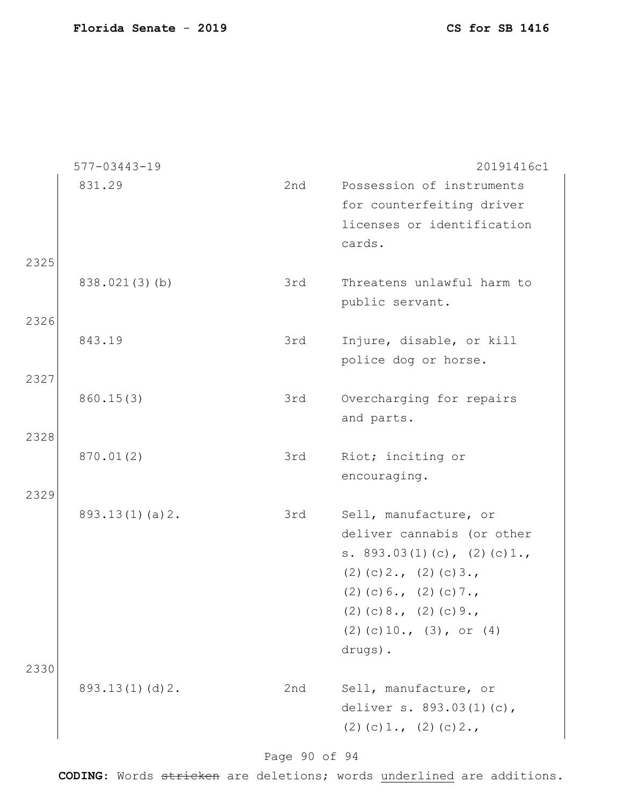|              | $577 - 03443 - 19$ |     | 20191416c1                                                                                                                                                                                                            |
|--------------|--------------------|-----|-----------------------------------------------------------------------------------------------------------------------------------------------------------------------------------------------------------------------|
| 2325         | 831.29             | 2nd | Possession of instruments<br>for counterfeiting driver<br>licenses or identification<br>cards.                                                                                                                        |
|              | 838.021(3)(b)      | 3rd | Threatens unlawful harm to<br>public servant.                                                                                                                                                                         |
| 2326         | 843.19             | 3rd | Injure, disable, or kill<br>police dog or horse.                                                                                                                                                                      |
| 2327         | 860.15(3)          | 3rd | Overcharging for repairs<br>and parts.                                                                                                                                                                                |
| 2328<br>2329 | 870.01(2)          | 3rd | Riot; inciting or<br>encouraging.                                                                                                                                                                                     |
|              | 893.13(1)(a)2.     | 3rd | Sell, manufacture, or<br>deliver cannabis (or other<br>s. $893.03(1)(c)$ , $(2)(c)1.$<br>$(2)$ (c) 2., (2) (c) 3.,<br>$(2)$ (c) 6., (2) (c) 7.,<br>$(2)$ (c) 8., (2) (c) 9.,<br>$(2)$ (c) 10., (3), or (4)<br>drugs). |
| 2330         | 893.13(1)(d)2.     | 2nd | Sell, manufacture, or<br>deliver s. 893.03(1)(c),<br>$(2)$ (c) 1., (2) (c) 2.,                                                                                                                                        |

Page 90 of 94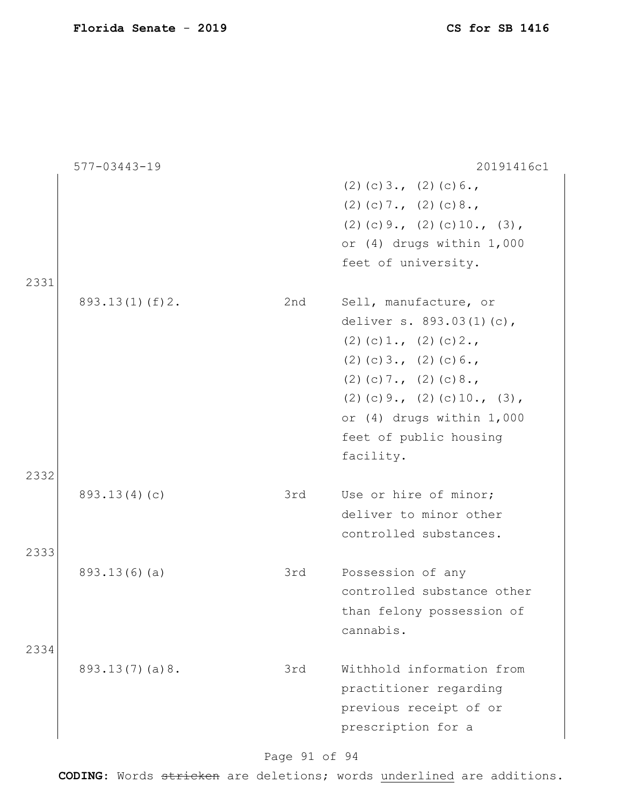|      | 577-03443-19   |     | 20191416c1                      |
|------|----------------|-----|---------------------------------|
|      |                |     | $(2)$ (c) 3., (2) (c) 6.,       |
|      |                |     | $(2)$ (c) 7., (2) (c) 8.,       |
|      |                |     | $(2)$ (c) 9., (2) (c) 10., (3), |
|      |                |     | or (4) drugs within 1,000       |
|      |                |     | feet of university.             |
| 2331 |                |     |                                 |
|      | 893.13(1)(f)2. | 2nd | Sell, manufacture, or           |
|      |                |     | deliver s. 893.03(1)(c),        |
|      |                |     | $(2)$ (c) 1., (2) (c) 2.,       |
|      |                |     | $(2)$ (c) 3., (2) (c) 6.,       |
|      |                |     | $(2)$ (c) 7., (2) (c) 8.,       |
|      |                |     | $(2)$ (c) 9., (2) (c) 10., (3), |
|      |                |     | or (4) drugs within 1,000       |
|      |                |     | feet of public housing          |
|      |                |     | facility.                       |
| 2332 |                |     |                                 |
|      | 893.13(4)(c)   | 3rd | Use or hire of minor;           |
|      |                |     | deliver to minor other          |
|      |                |     | controlled substances.          |
| 2333 |                |     |                                 |
|      | 893.13(6)(a)   | 3rd | Possession of any               |
|      |                |     | controlled substance other      |
|      |                |     | than felony possession of       |
|      |                |     | cannabis.                       |
| 2334 |                |     |                                 |
|      | 893.13(7)(a)8. | 3rd | Withhold information from       |
|      |                |     | practitioner regarding          |
|      |                |     | previous receipt of or          |
|      |                |     | prescription for a              |
|      |                |     |                                 |

Page 91 of 94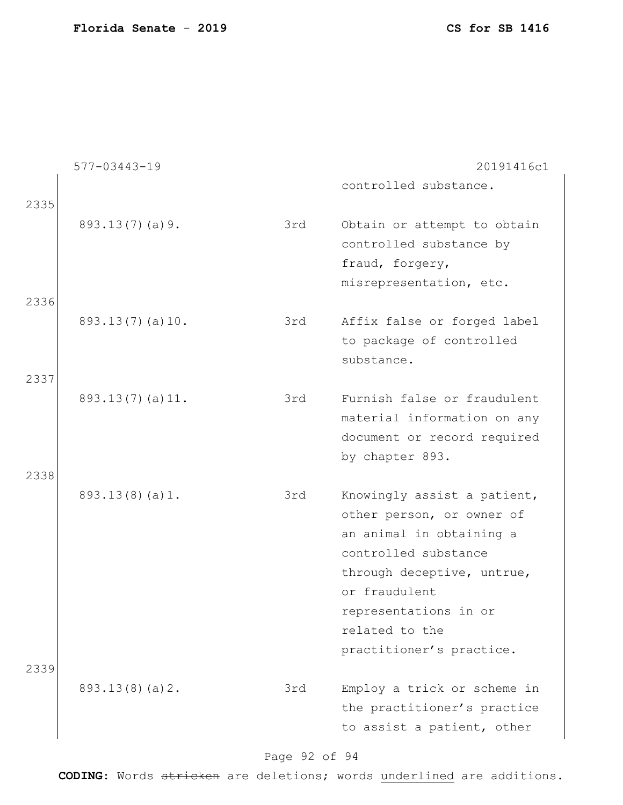|      | $577 - 03443 - 19$ |     | 20191416c1                                                                                                                                                                                                                         |
|------|--------------------|-----|------------------------------------------------------------------------------------------------------------------------------------------------------------------------------------------------------------------------------------|
| 2335 |                    |     | controlled substance.                                                                                                                                                                                                              |
| 2336 | 893.13(7)(a)9.     | 3rd | Obtain or attempt to obtain<br>controlled substance by<br>fraud, forgery,<br>misrepresentation, etc.                                                                                                                               |
|      | 893.13(7)(a)10.    | 3rd | Affix false or forged label<br>to package of controlled<br>substance.                                                                                                                                                              |
| 2337 |                    |     |                                                                                                                                                                                                                                    |
| 2338 | 893.13(7)(a)11.    | 3rd | Furnish false or fraudulent<br>material information on any<br>document or record required<br>by chapter 893.                                                                                                                       |
|      | 893.13(8)(a)1.     | 3rd | Knowingly assist a patient,<br>other person, or owner of<br>an animal in obtaining a<br>controlled substance<br>through deceptive, untrue,<br>or fraudulent<br>representations in or<br>related to the<br>practitioner's practice. |
| 2339 | 893.13(8)(a)2.     | 3rd | Employ a trick or scheme in                                                                                                                                                                                                        |
|      |                    |     | the practitioner's practice<br>to assist a patient, other                                                                                                                                                                          |

# Page 92 of 94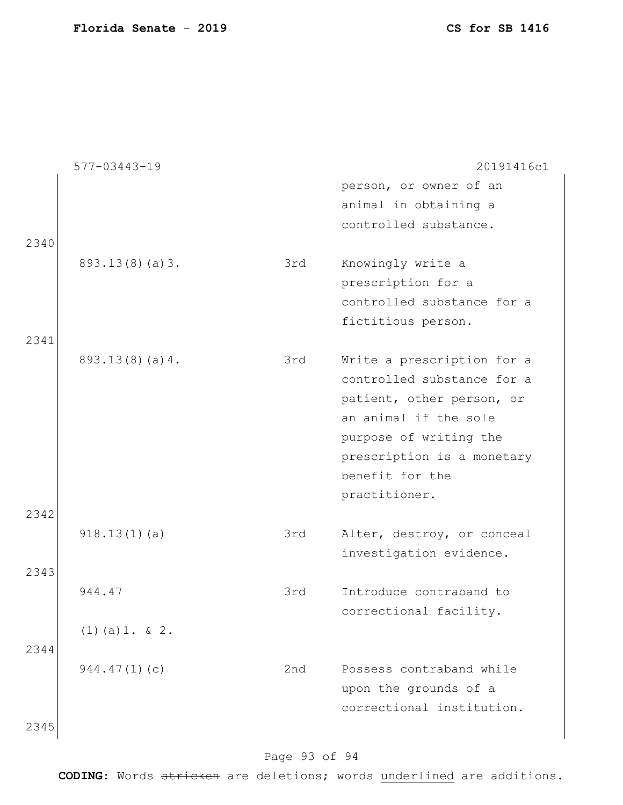|      | $577 - 03443 - 19$ |     | 20191416c1                 |
|------|--------------------|-----|----------------------------|
|      |                    |     | person, or owner of an     |
|      |                    |     | animal in obtaining a      |
|      |                    |     | controlled substance.      |
| 2340 |                    |     |                            |
|      | 893.13(8)(a)3.     | 3rd | Knowingly write a          |
|      |                    |     | prescription for a         |
|      |                    |     | controlled substance for a |
|      |                    |     | fictitious person.         |
| 2341 |                    |     |                            |
|      | 893.13(8)(a)4.     | 3rd | Write a prescription for a |
|      |                    |     | controlled substance for a |
|      |                    |     | patient, other person, or  |
|      |                    |     | an animal if the sole      |
|      |                    |     | purpose of writing the     |
|      |                    |     | prescription is a monetary |
|      |                    |     | benefit for the            |
|      |                    |     | practitioner.              |
| 2342 |                    |     |                            |
|      | 918.13(1)(a)       | 3rd | Alter, destroy, or conceal |
|      |                    |     | investigation evidence.    |
| 2343 |                    |     |                            |
|      | 944.47             | 3rd | Introduce contraband to    |
|      |                    |     | correctional facility.     |
|      | $(1)$ (a) 1. & 2.  |     |                            |
| 2344 |                    |     |                            |
|      | 944.47(1)(c)       | 2nd | Possess contraband while   |
|      |                    |     | upon the grounds of a      |
|      |                    |     | correctional institution.  |
| 2345 |                    |     |                            |

# Page 93 of 94